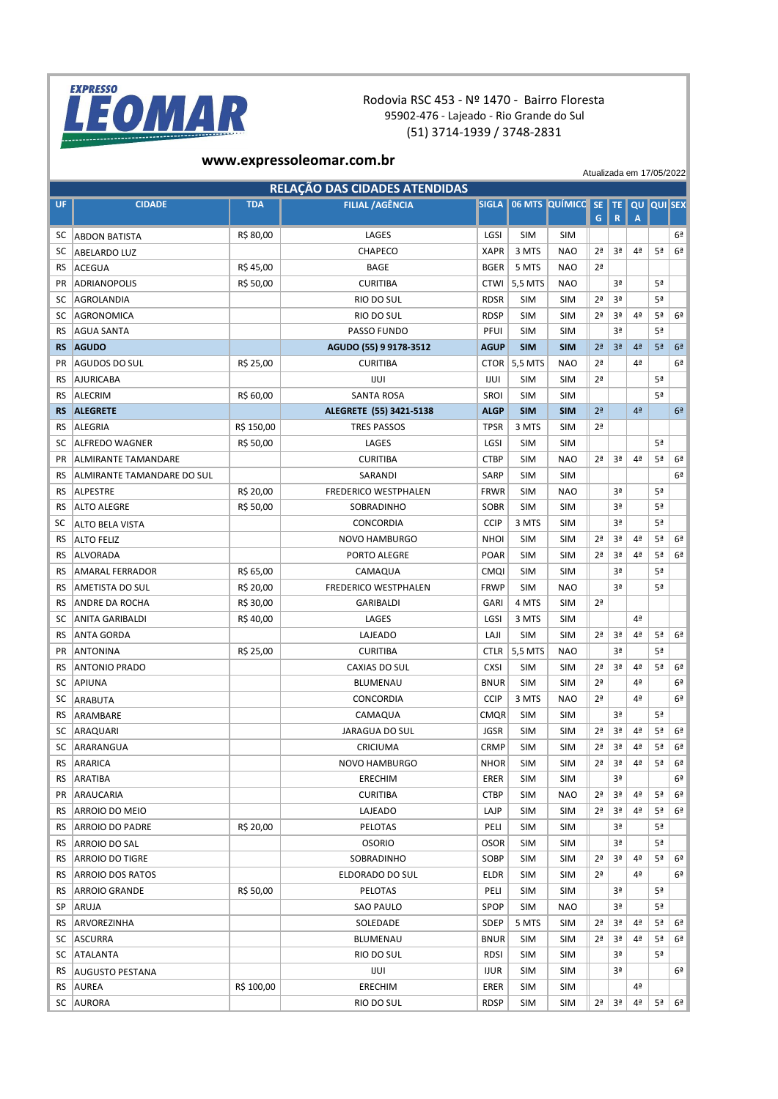

## Rodovia RSC 453 - Nº 1470 - Bairro Floresta 95902-476 - Lajeado - Rio Grande do Sul (51) 3714-1939 / 3748-2831

## **www.expressoleomar.com.br**

Atualizada em 17/05/2022

|           | RELAÇÃO DAS CIDADES ATENDIDAS |            |                             |              |            |                                 |                |                |                |    |                |
|-----------|-------------------------------|------------|-----------------------------|--------------|------------|---------------------------------|----------------|----------------|----------------|----|----------------|
| <b>UF</b> | <b>CIDADE</b>                 | <b>TDA</b> | <b>FILIAL / AGÊNCIA</b>     | <b>SIGLA</b> |            | 06 MTS QUÍMICO SE TE QU QUI SEX | G              | R              | $\overline{A}$ |    |                |
| SС        | <b>ABDON BATISTA</b>          | R\$ 80,00  | LAGES                       | LGSI         | <b>SIM</b> | <b>SIM</b>                      |                |                |                |    | 6 <sup>a</sup> |
| SC        | <b>ABELARDO LUZ</b>           |            | CHAPECO                     | <b>XAPR</b>  | 3 MTS      | <b>NAO</b>                      | 2ª             | 3ª             | 4ª             | 5ª | 6 <sup>a</sup> |
| RS        | <b>ACEGUA</b>                 | R\$45,00   | <b>BAGE</b>                 | <b>BGER</b>  | 5 MTS      | <b>NAO</b>                      | 2 <sup>a</sup> |                |                |    |                |
| <b>PR</b> | ADRIANOPOLIS                  | R\$ 50,00  | <b>CURITIBA</b>             | <b>CTWI</b>  | 5,5 MTS    | <b>NAO</b>                      |                | 3ª             |                | 5ª |                |
| SC        | AGROLANDIA                    |            | RIO DO SUL                  | <b>RDSR</b>  | <b>SIM</b> | <b>SIM</b>                      | 2 <sup>a</sup> | 3ª             |                | 5ª |                |
| SC        | AGRONOMICA                    |            | RIO DO SUL                  | <b>RDSP</b>  | <b>SIM</b> | <b>SIM</b>                      | 2ª             | 3ª             | 4ª             | 5ª | 6ª             |
| <b>RS</b> | <b>AGUA SANTA</b>             |            | PASSO FUNDO                 | PFUI         | <b>SIM</b> | <b>SIM</b>                      |                | 3ª             |                | 5ª |                |
| <b>RS</b> | <b>AGUDO</b>                  |            | AGUDO (55) 9 9178-3512      | <b>AGUP</b>  | <b>SIM</b> | <b>SIM</b>                      | 2 <sup>a</sup> | 3 <sup>a</sup> | 4 <sup>2</sup> | 5ª | 6 <sup>2</sup> |
| <b>PR</b> | AGUDOS DO SUL                 | R\$ 25,00  | <b>CURITIBA</b>             | <b>CTOR</b>  | 5,5 MTS    | <b>NAO</b>                      | 2ª             |                | 4 <sup>a</sup> |    | 6ª             |
| RS        | AJURICABA                     |            | IJUI                        | IJUI         | <b>SIM</b> | <b>SIM</b>                      | 2 <sup>a</sup> |                |                | 5ª |                |
| RS        | ALECRIM                       | R\$ 60,00  | <b>SANTA ROSA</b>           | <b>SROI</b>  | <b>SIM</b> | <b>SIM</b>                      |                |                |                | 5ª |                |
| <b>RS</b> | <b>ALEGRETE</b>               |            | ALEGRETE (55) 3421-5138     | <b>ALGP</b>  | <b>SIM</b> | <b>SIM</b>                      | 2 <sup>a</sup> |                | 4 <sup>a</sup> |    | 6 <sup>2</sup> |
| <b>RS</b> | <b>ALEGRIA</b>                | R\$ 150,00 | <b>TRES PASSOS</b>          | <b>TPSR</b>  | 3 MTS      | <b>SIM</b>                      | 2ª             |                |                |    |                |
| SC        | <b>ALFREDO WAGNER</b>         | R\$ 50,00  | LAGES                       | LGSI         | <b>SIM</b> | <b>SIM</b>                      |                |                |                | 5ª |                |
| <b>PR</b> | <b>ALMIRANTE TAMANDARE</b>    |            | <b>CURITIBA</b>             | <b>CTBP</b>  | <b>SIM</b> | <b>NAO</b>                      | 2ª             | 3ª             | 4 <sup>a</sup> | 5ª | 6ª             |
| RS        | ALMIRANTE TAMANDARE DO SUL    |            | SARANDI                     | <b>SARP</b>  | <b>SIM</b> | <b>SIM</b>                      |                |                |                |    | 6ª             |
| RS        | <b>ALPESTRE</b>               | R\$ 20,00  | <b>FREDERICO WESTPHALEN</b> | <b>FRWR</b>  | <b>SIM</b> | <b>NAO</b>                      |                | 3ª             |                | 5ª |                |
| RS        | ALTO ALEGRE                   | R\$ 50,00  | SOBRADINHO                  | <b>SOBR</b>  | <b>SIM</b> | <b>SIM</b>                      |                | 3ª             |                | 5ª |                |
| SC        | <b>ALTO BELA VISTA</b>        |            | CONCORDIA                   | <b>CCIP</b>  | 3 MTS      | <b>SIM</b>                      |                | 3ª             |                | 5ª |                |
| <b>RS</b> | <b>ALTO FELIZ</b>             |            | <b>NOVO HAMBURGO</b>        | <b>NHOI</b>  | <b>SIM</b> | <b>SIM</b>                      | 2 <sup>a</sup> | 3ª             | 4 <sup>a</sup> | 5ª | 6 <sup>a</sup> |
| <b>RS</b> | <b>ALVORADA</b>               |            | PORTO ALEGRE                | <b>POAR</b>  | <b>SIM</b> | <b>SIM</b>                      | 2 <sup>a</sup> | 3ª             | 4ª             | 5ª | 6ª             |
| RS        | <b>AMARAL FERRADOR</b>        | R\$ 65,00  | CAMAQUA                     | <b>CMQI</b>  | <b>SIM</b> | <b>SIM</b>                      |                | Зª             |                | 5ª |                |
| RS        | <b>AMETISTA DO SUL</b>        | R\$ 20,00  | <b>FREDERICO WESTPHALEN</b> | <b>FRWP</b>  | <b>SIM</b> | <b>NAO</b>                      |                | 3ª             |                | 5ª |                |
| RS        | <b>ANDRE DA ROCHA</b>         | R\$ 30,00  | <b>GARIBALDI</b>            | <b>GARI</b>  | 4 MTS      | <b>SIM</b>                      | 2ª             |                |                |    |                |
| SC        | <b>ANITA GARIBALDI</b>        | R\$40,00   | LAGES                       | LGSI         | 3 MTS      | <b>SIM</b>                      |                |                | 4ª             |    |                |
| <b>RS</b> | <b>ANTA GORDA</b>             |            | LAJEADO                     | LAJI         | <b>SIM</b> | <b>SIM</b>                      | 2ª             | 3ª             | 4ª             | 5ª | 6 <sup>a</sup> |
| <b>PR</b> | <b>ANTONINA</b>               | R\$ 25,00  | <b>CURITIBA</b>             | <b>CTLR</b>  | 5,5 MTS    | <b>NAO</b>                      |                | 3ª             |                | 5ª |                |
| RS        | <b>ANTONIO PRADO</b>          |            | CAXIAS DO SUL               | <b>CXSI</b>  | <b>SIM</b> | <b>SIM</b>                      | 2 <sup>a</sup> | 3ª             | 4ª             | 5ª | 6ª             |
| SC        | APIUNA                        |            | <b>BLUMENAU</b>             | <b>BNUR</b>  | <b>SIM</b> | <b>SIM</b>                      | 2 <sup>a</sup> |                | 4ª             |    | 6ª             |
| SC        | ARABUTA                       |            | CONCORDIA                   | <b>CCIP</b>  | 3 MTS      | <b>NAO</b>                      | 2 <sup>a</sup> |                | 4ª             |    | 6ª             |
| <b>RS</b> | ARAMBARE                      |            | CAMAQUA                     | <b>CMOR</b>  | <b>SIM</b> | <b>SIM</b>                      |                | 3ª             |                | 5ª |                |
| SC        | ARAQUARI                      |            | <b>JARAGUA DO SUL</b>       | <b>JGSR</b>  | <b>SIM</b> | <b>SIM</b>                      | 2 <sup>a</sup> | 3ª             | 4 <sup>a</sup> | 5ª | 6 <sup>a</sup> |
| SC        | ARARANGUA                     |            | CRICIUMA                    | <b>CRMP</b>  | <b>SIM</b> | SIM                             | 2ª             | 3ª             | 4ª             | 5ª | 6 <sup>a</sup> |
| RS        | ARARICA                       |            | <b>NOVO HAMBURGO</b>        | <b>NHOR</b>  | <b>SIM</b> | <b>SIM</b>                      | 2ª             | 3ª             | 4ª             | 5ª | 6 <sup>2</sup> |
| RS        | ARATIBA                       |            | <b>ERECHIM</b>              | ERER         | <b>SIM</b> | <b>SIM</b>                      |                | 3ª             |                |    | 6ª             |
| PR        | ARAUCARIA                     |            | <b>CURITIBA</b>             | <b>CTBP</b>  | <b>SIM</b> | <b>NAO</b>                      | 2ª             | 3ª             | 4ª             | 5ª | 6ª             |
| RS        | ARROIO DO MEIO                |            | LAJEADO                     | LAJP         | <b>SIM</b> | <b>SIM</b>                      | 2 <sup>a</sup> | 3ª             | 4ª             | 5ª | 6ª             |
| RS        | ARROIO DO PADRE               | R\$ 20,00  | PELOTAS                     | PELI         | <b>SIM</b> | SIM                             |                | 3ª             |                | 5ª |                |
| RS        | ARROIO DO SAL                 |            | <b>OSORIO</b>               | <b>OSOR</b>  | <b>SIM</b> | <b>SIM</b>                      |                | 3ª             |                | 5ª |                |
| RS        | ARROIO DO TIGRE               |            | SOBRADINHO                  | SOBP         | <b>SIM</b> | <b>SIM</b>                      | 2 <sup>a</sup> | 3ª             | 4ª             | 5ª | 6ª             |
| RS        | <b>ARROIO DOS RATOS</b>       |            | ELDORADO DO SUL             | <b>ELDR</b>  | <b>SIM</b> | SIM                             | 2 <sup>a</sup> |                | 4ª             |    | 6ª             |
| RS        | ARROIO GRANDE                 | R\$ 50,00  | PELOTAS                     | PELI         | <b>SIM</b> | SIM                             |                | 3ª             |                | 5ª |                |
| SP        | ARUJA                         |            | <b>SAO PAULO</b>            | <b>SPOP</b>  | <b>SIM</b> | <b>NAO</b>                      |                | 3ª             |                | 5ª |                |
| RS        | ARVOREZINHA                   |            | SOLEDADE                    | <b>SDEP</b>  | 5 MTS      | SIM                             | 2 <sup>a</sup> | 3ª             | 4 <sup>a</sup> | 5ª | 6ª             |
| SC        | <b>ASCURRA</b>                |            | <b>BLUMENAU</b>             | <b>BNUR</b>  | <b>SIM</b> | <b>SIM</b>                      | 2ª             | 3ª             | 4ª             | 5ª | 6ª             |
| SC        | ATALANTA                      |            | RIO DO SUL                  | <b>RDSI</b>  | <b>SIM</b> | <b>SIM</b>                      |                | 3ª             |                | 5ª |                |
| RS        | <b>AUGUSTO PESTANA</b>        |            | IJUI                        | <b>IJUR</b>  | <b>SIM</b> | <b>SIM</b>                      |                | 3ª             |                |    | 6ª             |
| RS        | <b>AUREA</b>                  | R\$ 100,00 | <b>ERECHIM</b>              | ERER         | <b>SIM</b> | <b>SIM</b>                      |                |                | 4ª             |    |                |
|           | SC AURORA                     |            | RIO DO SUL                  | <b>RDSP</b>  | <b>SIM</b> | <b>SIM</b>                      | 2ª             | 3ª             | 4ª             | 5ª | 6 <sup>a</sup> |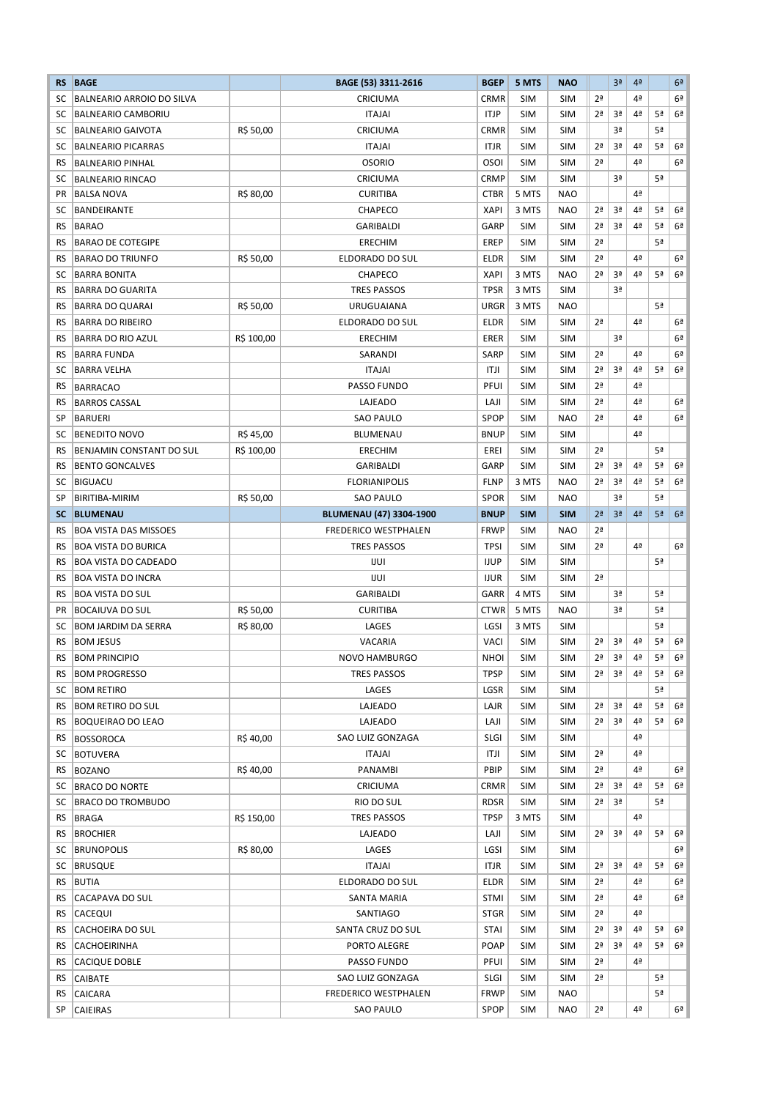| <b>RS</b> | <b>BAGE</b>                                     |            | BAGE (53) 3311-2616                                    | <b>BGEP</b> | 5 MTS      | <b>NAO</b>     |                | 3 <sup>a</sup> | 4 <sup>2</sup> |    | 6 <sup>2</sup> |
|-----------|-------------------------------------------------|------------|--------------------------------------------------------|-------------|------------|----------------|----------------|----------------|----------------|----|----------------|
| SC        | BALNEARIO ARROIO DO SILVA                       |            | CRICIUMA                                               | <b>CRMR</b> | <b>SIM</b> | <b>SIM</b>     | 2 <sup>a</sup> |                | 4ª             |    | 6 <sup>a</sup> |
| sc        | <b>BALNEARIO CAMBORIU</b>                       |            | <b>ITAJAI</b>                                          | <b>ITJP</b> | <b>SIM</b> | <b>SIM</b>     | 2 <sup>a</sup> | 3ª             | 4ª             | 5ª | 6 <sup>2</sup> |
| sc        | <b>BALNEARIO GAIVOTA</b>                        | R\$ 50,00  | CRICIUMA                                               | <b>CRMR</b> | <b>SIM</b> | <b>SIM</b>     |                | 3ª             |                | 5ª |                |
| SC        | <b>BALNEARIO PICARRAS</b>                       |            | <b>ITAJAI</b>                                          | ITJR        | <b>SIM</b> | <b>SIM</b>     | 2 <sup>a</sup> | 3ª             | 4 <sup>a</sup> | 5ª | 6 <sup>a</sup> |
| RS        | <b>BALNEARIO PINHAL</b>                         |            | <b>OSORIO</b>                                          | <b>OSOI</b> | <b>SIM</b> | <b>SIM</b>     | 2ª             |                | 4ª             |    | 6ª             |
| SC        | <b>BALNEARIO RINCAO</b>                         |            | CRICIUMA                                               | <b>CRMP</b> | <b>SIM</b> | <b>SIM</b>     |                | 3ª             |                | 5ª |                |
| <b>PR</b> | <b>BALSA NOVA</b>                               | R\$ 80,00  | <b>CURITIBA</b>                                        | <b>CTBR</b> | 5 MTS      | <b>NAO</b>     |                |                | 4 <sup>a</sup> |    |                |
| SC        | <b>BANDEIRANTE</b>                              |            | <b>CHAPECO</b>                                         | <b>XAPI</b> | 3 MTS      | <b>NAO</b>     | 2 <sup>a</sup> | 3ª             | 4ª             | 5ª | 6 <sup>2</sup> |
| RS        | <b>BARAO</b>                                    |            | GARIBALDI                                              | GARP        | <b>SIM</b> | <b>SIM</b>     | 2ª             | 3ª             | 4ª             | 5ª | 6 <sup>2</sup> |
| RS        | <b>BARAO DE COTEGIPE</b>                        |            | <b>ERECHIM</b>                                         | <b>EREP</b> | <b>SIM</b> | <b>SIM</b>     | 2 <sup>a</sup> |                |                | 5ª |                |
| RS        | <b>BARAO DO TRIUNFO</b>                         | R\$ 50,00  | <b>ELDORADO DO SUL</b>                                 | <b>ELDR</b> | <b>SIM</b> | <b>SIM</b>     | 2 <sup>a</sup> |                | 4ª             |    | 6ª             |
| SC        | <b>BARRA BONITA</b>                             |            | CHAPECO                                                | <b>XAPI</b> | 3 MTS      | <b>NAO</b>     | 2 <sup>a</sup> | 3ª             | 4ª             | 5ª | 6 <sup>2</sup> |
| <b>RS</b> | <b>BARRA DO GUARITA</b>                         |            | <b>TRES PASSOS</b>                                     | <b>TPSR</b> | 3 MTS      | <b>SIM</b>     |                | 3ª             |                |    |                |
| RS        | <b>BARRA DO QUARAI</b>                          | R\$ 50,00  | <b>URUGUAIANA</b>                                      | <b>URGR</b> | 3 MTS      | <b>NAO</b>     |                |                |                | 5ª |                |
| RS        | <b>BARRA DO RIBEIRO</b>                         |            | ELDORADO DO SUL                                        | <b>ELDR</b> | <b>SIM</b> | <b>SIM</b>     | 2 <sup>a</sup> |                | 4ª             |    | 6ª             |
| RS        | <b>BARRA DO RIO AZUL</b>                        | R\$ 100,00 | ERECHIM                                                | ERER        | <b>SIM</b> | <b>SIM</b>     |                | 3ª             |                |    | 6ª             |
| RS        | <b>BARRA FUNDA</b>                              |            | SARANDI                                                | <b>SARP</b> | <b>SIM</b> | <b>SIM</b>     | 2 <sup>a</sup> |                | 4ª             |    | 6 <sup>2</sup> |
| SC        | <b>BARRA VELHA</b>                              |            | <b>ITAJAI</b>                                          | ITJI        | <b>SIM</b> | <b>SIM</b>     | 2ª             | 3ª             | 4ª             | 5ª | 6 <sup>2</sup> |
| RS        | <b>BARRACAO</b>                                 |            | PASSO FUNDO                                            | PFUI        | <b>SIM</b> | <b>SIM</b>     | 2 <sup>a</sup> |                | 4ª             |    |                |
| RS        | <b>BARROS CASSAL</b>                            |            | LAJEADO                                                | LAJI        | <b>SIM</b> | <b>SIM</b>     | 2 <sup>a</sup> |                | 4ª             |    | 6ª             |
| SP        | <b>BARUERI</b>                                  |            | SAO PAULO                                              | <b>SPOP</b> | <b>SIM</b> | <b>NAO</b>     | 2 <sup>a</sup> |                | 4ª             |    | 6 <sup>a</sup> |
| SC        | <b>BENEDITO NOVO</b>                            | R\$45,00   | <b>BLUMENAU</b>                                        | <b>BNUP</b> | <b>SIM</b> | <b>SIM</b>     |                |                | 4 <sup>a</sup> |    |                |
| RS        | BENJAMIN CONSTANT DO SUL                        | R\$ 100,00 | <b>ERECHIM</b>                                         | EREI        | <b>SIM</b> | <b>SIM</b>     | 2 <sup>a</sup> |                |                | 5ª |                |
| RS        |                                                 |            | GARIBALDI                                              | GARP        | <b>SIM</b> | <b>SIM</b>     | 2ª             | 3ª             | 4 <sup>a</sup> | 5ª | 6 <sup>a</sup> |
| sc        | <b>BENTO GONCALVES</b><br><b>BIGUACU</b>        |            | <b>FLORIANIPOLIS</b>                                   | <b>FLNP</b> | 3 MTS      | <b>NAO</b>     | 2 <sup>a</sup> | 3ª             | 4 <sup>a</sup> | 5ª | 6 <sup>a</sup> |
| SP        | BIRITIBA-MIRIM                                  | R\$ 50,00  | <b>SAO PAULO</b>                                       | <b>SPOR</b> | <b>SIM</b> | <b>NAO</b>     |                | 3ª             |                | 5ª |                |
| <b>SC</b> |                                                 |            |                                                        | <b>BNUP</b> | <b>SIM</b> | <b>SIM</b>     | 2 <sup>a</sup> | 3 <sup>a</sup> | 4ª             | 5ª | 6 <sup>a</sup> |
| RS        | <b>BLUMENAU</b><br><b>BOA VISTA DAS MISSOES</b> |            | <b>BLUMENAU (47) 3304-1900</b><br>FREDERICO WESTPHALEN | <b>FRWP</b> | SIM        | <b>NAO</b>     | 2 <sup>a</sup> |                |                |    |                |
|           | <b>BOA VISTA DO BURICA</b>                      |            |                                                        | <b>TPSI</b> | <b>SIM</b> | <b>SIM</b>     | 2ª             |                | 4 <sup>a</sup> |    | 6 <sup>a</sup> |
| RS<br>RS  | <b>BOA VISTA DO CADEADO</b>                     |            | <b>TRES PASSOS</b><br><b>IJUI</b>                      | <b>IJUP</b> | <b>SIM</b> | <b>SIM</b>     |                |                |                | 5ª |                |
|           |                                                 |            |                                                        |             |            |                | 2 <sup>a</sup> |                |                |    |                |
| <b>RS</b> | <b>BOA VISTA DO INCRA</b>                       |            | IJUI<br><b>GARIBALDI</b>                               | <b>IJUR</b> | <b>SIM</b> | <b>SIM</b>     |                |                |                | 5ª |                |
| RS        | <b>BOA VISTA DO SUL</b>                         |            |                                                        | GARR        | 4 MTS      | <b>SIM</b>     |                | 3ª             |                |    |                |
| PR        | <b>BOCAIUVA DO SUL</b>                          | R\$ 50,00  | <b>CURITIBA</b>                                        | <b>CTWR</b> | 5 MTS      | <b>NAO</b>     |                | 3ª             |                | 5ª |                |
| SC        | <b>BOM JARDIM DA SERRA</b>                      | R\$ 80,00  | LAGES                                                  | LGSI        | 3 MTS      | <b>SIM</b>     |                |                |                | 5ª |                |
| <b>RS</b> | <b>BOM JESUS</b>                                |            | VACARIA                                                | <b>VACI</b> | <b>SIM</b> | <b>SIM</b>     | 2 <sup>a</sup> | 3ª             | 4 <sup>a</sup> | 5ª | 6 <sup>a</sup> |
| RS        | <b>BOM PRINCIPIO</b>                            |            | NOVO HAMBURGO                                          | NHOI        | SIM        | $\mathsf{SIM}$ | 2 <sup>a</sup> | 3ª             | 4ª             | 5ª | 6 <sup>a</sup> |
| RS.       | <b>BOM PROGRESSO</b>                            |            | TRES PASSOS                                            | <b>TPSP</b> | SIM        | <b>SIM</b>     | 2 <sup>a</sup> | 3ª             | 4 <sup>a</sup> | 5ª | 6 <sup>2</sup> |
| SC        | <b>BOM RETIRO</b>                               |            | LAGES                                                  | LGSR        | <b>SIM</b> | <b>SIM</b>     |                |                |                | 5ª |                |
| RS.       | <b>BOM RETIRO DO SUL</b>                        |            | LAJEADO                                                | LAJR        | <b>SIM</b> | <b>SIM</b>     | 2ª             | 3ª             | 4ª             | 5ª | 6 <sup>2</sup> |
| RS        | <b>BOQUEIRAO DO LEAO</b>                        |            | LAJEADO                                                | LAJI        | <b>SIM</b> | <b>SIM</b>     | 2ª             | 3ª             | 4 <sup>a</sup> | 5ª | 6 <sup>a</sup> |
| RS.       | <b>BOSSOROCA</b>                                | R\$40,00   | SAO LUIZ GONZAGA                                       | <b>SLGI</b> | <b>SIM</b> | <b>SIM</b>     |                |                | 4 <sup>a</sup> |    |                |
| SC        | <b>BOTUVERA</b>                                 |            | ITAJAI                                                 | ITJI        | <b>SIM</b> | <b>SIM</b>     | 2ª             |                | 4 <sup>a</sup> |    |                |
| RS        | <b>BOZANO</b>                                   | R\$40,00   | <b>PANAMBI</b>                                         | PBIP        | SIM        | <b>SIM</b>     | 2 <sup>a</sup> |                | 4 <sup>a</sup> |    | 6ª             |
| SC        | <b>BRACO DO NORTE</b>                           |            | CRICIUMA                                               | <b>CRMR</b> | <b>SIM</b> | <b>SIM</b>     | 2ª             | 3ª             | 4 <sup>a</sup> | 5ª | 6ª             |
| SC        | <b>BRACO DO TROMBUDO</b>                        |            | RIO DO SUL                                             | RDSR        | SIM        | <b>SIM</b>     | 2ª             | 3ª             |                | 5ª |                |
| RS.       | BRAGA                                           | R\$ 150,00 | <b>TRES PASSOS</b>                                     | <b>TPSP</b> | 3 MTS      | <b>SIM</b>     |                |                | 4 <sup>a</sup> |    |                |
| RS        | <b>BROCHIER</b>                                 |            | LAJEADO                                                | LAJI        | <b>SIM</b> | <b>SIM</b>     | 2ª             | 3ª             | 4 <sup>a</sup> | 5ª | 6ª             |
| SC        | <b>BRUNOPOLIS</b>                               | R\$ 80,00  | LAGES                                                  | LGSI        | SIM        | <b>SIM</b>     |                |                |                |    | 6ª             |
| SC        | <b>BRUSQUE</b>                                  |            | <b>ITAJAI</b>                                          | <b>ITJR</b> | SIM        | <b>SIM</b>     | 2 <sup>a</sup> | 3ª             | 4 <sup>a</sup> | 5ª | 6 <sup>2</sup> |
| RS        | BUTIA                                           |            | ELDORADO DO SUL                                        | ELDR        | SIM        | <b>SIM</b>     | 2ª             |                | 4ª             |    | 6ª             |
| RS        | <b>CACAPAVA DO SUL</b>                          |            | SANTA MARIA                                            | <b>STMI</b> | SIM        | <b>SIM</b>     | 2 <sup>a</sup> |                | 4ª             |    | 6ª             |
| RS.       | <b>CACEQUI</b>                                  |            | SANTIAGO                                               | <b>STGR</b> | SIM        | <b>SIM</b>     | 2 <sup>a</sup> |                | 4ª             |    |                |
| RS        | CACHOEIRA DO SUL                                |            | SANTA CRUZ DO SUL                                      | <b>STAI</b> | <b>SIM</b> | <b>SIM</b>     | 2ª             | 3ª             | 4 <sup>a</sup> | 5ª | 6ª             |
| RS        | CACHOEIRINHA                                    |            | PORTO ALEGRE                                           | <b>POAP</b> | SIM        | <b>SIM</b>     | 2ª             | 3ª             | 4 <sup>a</sup> | 5ª | 6 <sup>a</sup> |
| RS.       | CACIQUE DOBLE                                   |            | PASSO FUNDO                                            | PFUI        | SIM        | <b>SIM</b>     | 2ª             |                | 4 <sup>a</sup> |    |                |
| RS.       | CAIBATE                                         |            | SAO LUIZ GONZAGA                                       | SLGI        | SIM        | <b>SIM</b>     | 2ª             |                |                | 5ª |                |
| RS.       | CAICARA                                         |            | <b>FREDERICO WESTPHALEN</b>                            | <b>FRWP</b> | SIM        | <b>NAO</b>     |                |                |                | 5ª |                |
| SP        | CAIEIRAS                                        |            | SAO PAULO                                              | <b>SPOP</b> | SIM        | <b>NAO</b>     | 2ª             |                | 4ª             |    | 6ª             |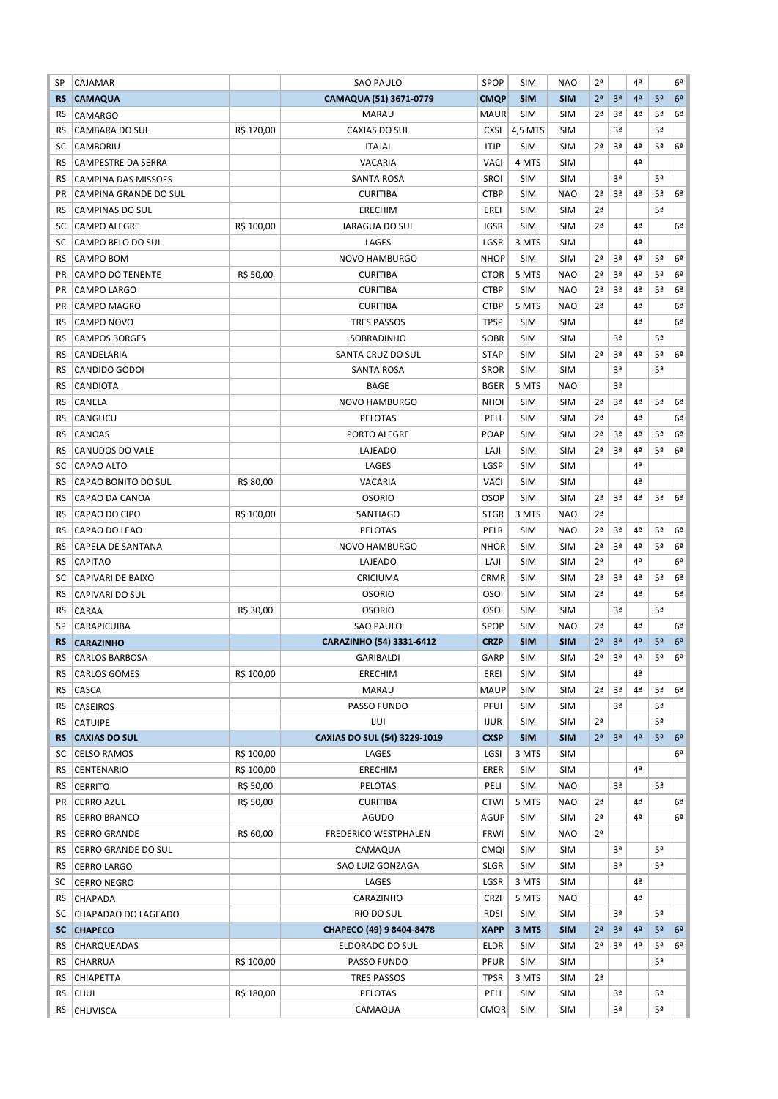| SP        | CAJAMAR                    |            | <b>SAO PAULO</b>             | <b>SPOP</b> | <b>SIM</b> | <b>NAO</b> | 2ª             |                | 4ª             |    | 6 <sup>a</sup> |
|-----------|----------------------------|------------|------------------------------|-------------|------------|------------|----------------|----------------|----------------|----|----------------|
| <b>RS</b> | <b>CAMAQUA</b>             |            | CAMAQUA (51) 3671-0779       | <b>CMQP</b> | <b>SIM</b> | <b>SIM</b> | 2 <sup>a</sup> | 3 <sup>a</sup> | 4 <sup>2</sup> | 5ª | 6 <sup>2</sup> |
| RS        | CAMARGO                    |            | <b>MARAU</b>                 | <b>MAUR</b> | <b>SIM</b> | <b>SIM</b> | 2ª             | 3ª             | 4ª             | 5ª | 6ª             |
| RS        | <b>CAMBARA DO SUL</b>      | R\$ 120,00 | <b>CAXIAS DO SUL</b>         | <b>CXSI</b> | 4,5 MTS    | <b>SIM</b> |                | 3ª             |                | 5ª |                |
| SC        | CAMBORIU                   |            | <b>ITAJAI</b>                | <b>ITJP</b> | <b>SIM</b> | <b>SIM</b> | 2 <sup>a</sup> | 3ª             | 4 <sup>a</sup> | 5ª | 6 <sup>a</sup> |
| RS        | CAMPESTRE DA SERRA         |            | <b>VACARIA</b>               | VACI        | 4 MTS      | <b>SIM</b> |                |                | 4ª             |    |                |
| RS        | <b>CAMPINA DAS MISSOES</b> |            | <b>SANTA ROSA</b>            | <b>SROI</b> | <b>SIM</b> | <b>SIM</b> |                | 3ª             |                | 5ª |                |
| <b>PR</b> | CAMPINA GRANDE DO SUL      |            | <b>CURITIBA</b>              | <b>CTBP</b> | <b>SIM</b> | <b>NAO</b> | 2 <sup>a</sup> | 3ª             | 4 <sup>a</sup> | 5ª | 6 <sup>a</sup> |
| RS        | <b>CAMPINAS DO SUL</b>     |            | ERECHIM                      | EREI        | <b>SIM</b> | <b>SIM</b> | 2ª             |                |                | 5ª |                |
| SC        | <b>CAMPO ALEGRE</b>        | R\$ 100,00 | JARAGUA DO SUL               | <b>JGSR</b> | <b>SIM</b> | <b>SIM</b> | 2ª             |                | 4 <sup>a</sup> |    | 6 <sup>2</sup> |
| SC        | <b>CAMPO BELO DO SUL</b>   |            | LAGES                        | LGSR        | 3 MTS      | <b>SIM</b> |                |                | 4 <sup>a</sup> |    |                |
| RS        | CAMPO BOM                  |            | <b>NOVO HAMBURGO</b>         | <b>NHOP</b> | <b>SIM</b> | <b>SIM</b> | 2 <sup>a</sup> | 3ª             | 4ª             | 5ª | 6 <sup>a</sup> |
| PR        | <b>CAMPO DO TENENTE</b>    | R\$ 50,00  | <b>CURITIBA</b>              | <b>CTOR</b> | 5 MTS      | <b>NAO</b> | 2ª             | 3ª             | 4ª             | 5ª | 6 <sup>a</sup> |
| <b>PR</b> | <b>CAMPO LARGO</b>         |            | <b>CURITIBA</b>              | <b>CTBP</b> | <b>SIM</b> | <b>NAO</b> | 2 <sup>a</sup> | 3ª             | 4ª             | 5ª | 6ª             |
| <b>PR</b> | <b>CAMPO MAGRO</b>         |            | <b>CURITIBA</b>              | <b>CTBP</b> | 5 MTS      | <b>NAO</b> | 2 <sup>a</sup> |                | 4ª             |    | 6ª             |
| RS        | CAMPO NOVO                 |            | <b>TRES PASSOS</b>           | <b>TPSP</b> | <b>SIM</b> | <b>SIM</b> |                |                | 4ª             |    | 6ª             |
| <b>RS</b> | <b>CAMPOS BORGES</b>       |            | SOBRADINHO                   | <b>SOBR</b> | <b>SIM</b> | <b>SIM</b> |                | 3ª             |                | 5ª |                |
| <b>RS</b> | CANDELARIA                 |            | SANTA CRUZ DO SUL            | <b>STAP</b> | <b>SIM</b> | <b>SIM</b> | 2 <sup>a</sup> | 3ª             | 4ª             | 5ª | 6 <sup>a</sup> |
| RS        | CANDIDO GODOI              |            | SANTA ROSA                   | <b>SROR</b> | <b>SIM</b> | <b>SIM</b> |                | 3ª             |                | 5ª |                |
| RS        | CANDIOTA                   |            | BAGE                         | <b>BGER</b> | 5 MTS      | <b>NAO</b> |                | 3ª             |                |    |                |
| RS        | CANELA                     |            | <b>NOVO HAMBURGO</b>         | <b>NHOI</b> | <b>SIM</b> | <b>SIM</b> | 2ª             | 3ª             | 4ª             | 5ª | 6 <sup>a</sup> |
| RS        | CANGUCU                    |            | PELOTAS                      | PELI        | <b>SIM</b> | <b>SIM</b> | 2ª             |                | 4 <sup>a</sup> |    | 6 <sup>a</sup> |
| <b>RS</b> | CANOAS                     |            | PORTO ALEGRE                 | <b>POAP</b> | <b>SIM</b> | <b>SIM</b> | 2 <sup>a</sup> | 3ª             | 4 <sup>a</sup> | 5ª | 6 <sup>a</sup> |
| <b>RS</b> | CANUDOS DO VALE            |            | LAJEADO                      | LAJI        | <b>SIM</b> | <b>SIM</b> | 2ª             | 3ª             | 4ª             | 5ª | 6ª             |
| SC        | CAPAO ALTO                 |            | LAGES                        | LGSP        | <b>SIM</b> | <b>SIM</b> |                |                | 4ª             |    |                |
| RS        | CAPAO BONITO DO SUL        | R\$ 80,00  | VACARIA                      | <b>VACI</b> | <b>SIM</b> | <b>SIM</b> |                |                | 4ª             |    |                |
|           |                            |            |                              |             |            |            | 2 <sup>a</sup> | 3ª             | 4 <sup>a</sup> | 5ª | 6 <sup>a</sup> |
| RS        | CAPAO DA CANOA             |            | <b>OSORIO</b>                | <b>OSOP</b> | <b>SIM</b> | <b>SIM</b> |                |                |                |    |                |
| RS        | CAPAO DO CIPO              | R\$ 100,00 | SANTIAGO                     | <b>STGR</b> | 3 MTS      | <b>NAO</b> | 2ª             |                |                |    |                |
| <b>RS</b> | CAPAO DO LEAO              |            | PELOTAS                      | PELR        | <b>SIM</b> | <b>NAO</b> | 2 <sup>a</sup> | 3ª             | 4 <sup>a</sup> | 5ª | 6 <sup>a</sup> |
| RS        | CAPELA DE SANTANA          |            | <b>NOVO HAMBURGO</b>         | <b>NHOR</b> | <b>SIM</b> | <b>SIM</b> | 2 <sup>a</sup> | 3ª             | 4ª             | 5ª | 6ª             |
| RS        | <b>CAPITAO</b>             |            | LAJEADO                      | LAJI        | <b>SIM</b> | <b>SIM</b> | 2 <sup>a</sup> |                | 4ª             |    | 6ª             |
| SC        | <b>CAPIVARI DE BAIXO</b>   |            | CRICIUMA                     | <b>CRMR</b> | <b>SIM</b> | <b>SIM</b> | 2 <sup>a</sup> | 3ª             | 4 <sup>a</sup> | 5ª | 6 <sup>a</sup> |
| <b>RS</b> | <b>CAPIVARI DO SUL</b>     |            | <b>OSORIO</b>                | <b>OSOI</b> | SIM        | <b>SIM</b> | 2ª             |                | 4 <sup>a</sup> |    | 6ª             |
| RS        | CARAA                      | R\$ 30,00  | <b>OSORIO</b>                | <b>OSOI</b> | SIM        | <b>SIM</b> |                | 3ª             |                | 5ª |                |
| SP        | CARAPICUIBA                |            | SAO PAULO                    | <b>SPOP</b> | <b>SIM</b> | <b>NAO</b> | 2 <sup>a</sup> |                | 4 <sup>a</sup> |    | 6 <sup>a</sup> |
| <b>RS</b> | <b>CARAZINHO</b>           |            | CARAZINHO (54) 3331-6412     | <b>CRZP</b> | <b>SIM</b> | <b>SIM</b> | 2 <sup>a</sup> | 3 <sup>a</sup> | 4ª             | 5ª | 6 <sup>2</sup> |
| RS        | <b>CARLOS BARBOSA</b>      |            | <b>GARIBALDI</b>             | GARP        | <b>SIM</b> | <b>SIM</b> | 2 <sup>a</sup> | 3 <sup>a</sup> | 4ª             | 5ª | 6ª             |
| RS        | <b>CARLOS GOMES</b>        | R\$ 100,00 | ERECHIM                      | EREI        | SIM        | <b>SIM</b> |                |                | 4ª             |    |                |
| RS.       | CASCA                      |            | MARAU                        | <b>MAUP</b> | <b>SIM</b> | <b>SIM</b> | 2 <sup>a</sup> | 3ª             | 4ª             | 5ª | 6 <sup>2</sup> |
| RS        | <b>CASEIROS</b>            |            | PASSO FUNDO                  | PFUI        | <b>SIM</b> | <b>SIM</b> |                | 3ª             |                | 5ª |                |
| RS        | <b>CATUIPE</b>             |            | <b>IJUI</b>                  | <b>IJUR</b> | <b>SIM</b> | <b>SIM</b> | 2 <sup>a</sup> |                |                | 5ª |                |
| <b>RS</b> | <b>CAXIAS DO SUL</b>       |            | CAXIAS DO SUL (54) 3229-1019 | <b>CXSP</b> | <b>SIM</b> | <b>SIM</b> | 2 <sup>a</sup> | 3 <sup>a</sup> | 4 <sup>2</sup> | 5ª | 6 <sup>2</sup> |
| SC        | <b>CELSO RAMOS</b>         | R\$ 100,00 | LAGES                        | LGSI        | 3 MTS      | <b>SIM</b> |                |                |                |    | 6 <sup>2</sup> |
| RS.       | CENTENARIO                 | R\$ 100,00 | ERECHIM                      | ERER        | <b>SIM</b> | <b>SIM</b> |                |                | 4ª             |    |                |
| RS.       | <b>CERRITO</b>             | R\$ 50,00  | PELOTAS                      | PELI        | <b>SIM</b> | <b>NAO</b> |                | 3ª             |                | 5ª |                |
| PR        | <b>CERRO AZUL</b>          | R\$ 50,00  | CURITIBA                     | <b>CTWI</b> | 5 MTS      | <b>NAO</b> | 2 <sup>a</sup> |                | 4 <sup>a</sup> |    | 6ª             |
| RS        | <b>CERRO BRANCO</b>        |            | AGUDO                        | <b>AGUP</b> | SIM        | <b>SIM</b> | 2 <sup>a</sup> |                | 4ª             |    | 6 <sup>a</sup> |
| RS.       | CERRO GRANDE               | R\$ 60,00  | FREDERICO WESTPHALEN         | <b>FRWI</b> | <b>SIM</b> | <b>NAO</b> | 2 <sup>a</sup> |                |                |    |                |
| RS.       | CERRO GRANDE DO SUL        |            | CAMAQUA                      | <b>CMQI</b> | SIM        | <b>SIM</b> |                | 3ª             |                | 5ª |                |
| RS.       | <b>CERRO LARGO</b>         |            | SAO LUIZ GONZAGA             | <b>SLGR</b> | <b>SIM</b> | <b>SIM</b> |                | 3ª             |                | 5ª |                |
| SC        | <b>CERRO NEGRO</b>         |            | LAGES                        | LGSR        | 3 MTS      | <b>SIM</b> |                |                | 4 <sup>a</sup> |    |                |
| RS        | <b>CHAPADA</b>             |            | CARAZINHO                    | <b>CRZI</b> | 5 MTS      | <b>NAO</b> |                |                | 4ª             |    |                |
| SC        | CHAPADAO DO LAGEADO        |            | RIO DO SUL                   | <b>RDSI</b> | <b>SIM</b> | <b>SIM</b> |                | 3ª             |                | 5ª |                |
| SC.       | <b>CHAPECO</b>             |            | CHAPECO (49) 9 8404-8478     | <b>XAPP</b> | 3 MTS      | <b>SIM</b> | 2 <sup>a</sup> | 3 <sup>a</sup> | 4 <sup>2</sup> | 5ª | 6 <sup>2</sup> |
| RS        | CHARQUEADAS                |            | ELDORADO DO SUL              | <b>ELDR</b> | <b>SIM</b> | <b>SIM</b> | 2ª             | 3ª             | 4 <sup>a</sup> | 5ª | 6ª             |
| RS        | <b>CHARRUA</b>             | R\$ 100,00 | PASSO FUNDO                  | <b>PFUR</b> | SIM        | <b>SIM</b> |                |                |                | 5ª |                |
| RS        | CHIAPETTA                  |            | TRES PASSOS                  | <b>TPSR</b> | 3 MTS      | <b>SIM</b> | 2 <sup>a</sup> |                |                |    |                |
| RS        | <b>CHUI</b>                | R\$ 180,00 | PELOTAS                      | PELI        | SIM        | <b>SIM</b> |                | 3ª             |                | 5ª |                |
| RS        | <b>CHUVISCA</b>            |            | CAMAQUA                      | <b>CMQR</b> | <b>SIM</b> | <b>SIM</b> |                | 3ª             |                | 5ª |                |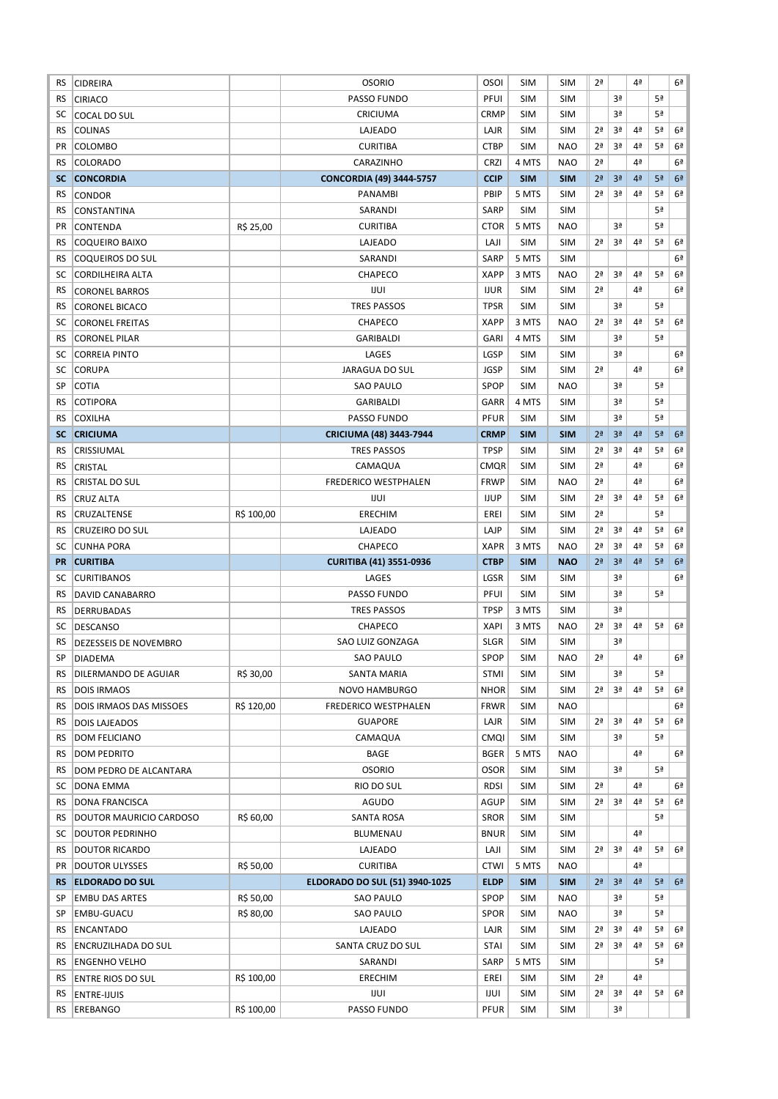| RS        | <b>CIDREIRA</b>                |            | <b>OSORIO</b>                   | <b>OSOI</b> | <b>SIM</b> | <b>SIM</b> | 2 <sup>a</sup> |                | 4ª             |                | 6ª             |
|-----------|--------------------------------|------------|---------------------------------|-------------|------------|------------|----------------|----------------|----------------|----------------|----------------|
| RS        | <b>CIRIACO</b>                 |            | PASSO FUNDO                     | PFUI        | <b>SIM</b> | <b>SIM</b> |                | 3ª             |                | 5ª             |                |
| SC        | <b>COCAL DO SUL</b>            |            | CRICIUMA                        | CRMP        | <b>SIM</b> | <b>SIM</b> |                | 3ª             |                | 5 <sup>a</sup> |                |
| RS        | <b>COLINAS</b>                 |            | LAJEADO                         | LAJR        | <b>SIM</b> | <b>SIM</b> | 2ª             | 3ª             | 4ª             | 5 <sup>a</sup> | 6ª             |
| <b>PR</b> | <b>COLOMBO</b>                 |            | <b>CURITIBA</b>                 | <b>CTBP</b> | <b>SIM</b> | <b>NAO</b> | 2 <sup>a</sup> | 3ª             | 4ª             | 5ª             | 6 <sup>a</sup> |
| RS.       | <b>COLORADO</b>                |            | CARAZINHO                       | <b>CRZI</b> | 4 MTS      | <b>NAO</b> | 2 <sup>a</sup> |                | 4ª             |                | 6 <sup>a</sup> |
| SC.       | <b>CONCORDIA</b>               |            | <b>CONCORDIA (49) 3444-5757</b> | <b>CCIP</b> | <b>SIM</b> | <b>SIM</b> | 2 <sup>a</sup> | 3 <sup>a</sup> | 4 <sup>2</sup> | 5 <sup>a</sup> | 6 <sup>a</sup> |
| RS        | <b>CONDOR</b>                  |            | PANAMBI                         | PBIP        | 5 MTS      | <b>SIM</b> | 2ª             | 3ª             | 4ª             | 5ª             | 6 <sup>a</sup> |
| RS        | <b>CONSTANTINA</b>             |            | SARANDI                         | <b>SARP</b> | <b>SIM</b> | <b>SIM</b> |                |                |                | 5ª             |                |
| PR        | CONTENDA                       | R\$ 25,00  | <b>CURITIBA</b>                 | <b>CTOR</b> | 5 MTS      | <b>NAO</b> |                | 3ª             |                | 5 <sup>a</sup> |                |
| <b>RS</b> | <b>COQUEIRO BAIXO</b>          |            | LAJEADO                         | LAJI        | <b>SIM</b> | <b>SIM</b> | 2 <sup>a</sup> | 3ª             | 4 <sup>a</sup> | 5ª             | 6 <sup>a</sup> |
| RS        | COQUEIROS DO SUL               |            | SARANDI                         | <b>SARP</b> | 5 MTS      | <b>SIM</b> |                |                |                |                | 6ª             |
| SC        | CORDILHEIRA ALTA               |            | CHAPECO                         | <b>XAPP</b> | 3 MTS      | <b>NAO</b> | 2 <sup>a</sup> | 3ª             | 4ª             | 5ª             | 6 <sup>a</sup> |
|           |                                |            | <b>IJUI</b>                     | <b>IJUR</b> | <b>SIM</b> | <b>SIM</b> | 2ª             |                | 4ª             |                | 6ª             |
| RS        | <b>CORONEL BARROS</b>          |            |                                 |             |            |            |                | 3ª             |                | 5ª             |                |
| RS        | <b>CORONEL BICACO</b>          |            | <b>TRES PASSOS</b>              | <b>TPSR</b> | <b>SIM</b> | <b>SIM</b> |                |                |                |                |                |
| SC        | <b>CORONEL FREITAS</b>         |            | CHAPECO                         | <b>XAPP</b> | 3 MTS      | <b>NAO</b> | 2 <sup>a</sup> | 3ª             | 4ª             | 5ª             | 6 <sup>a</sup> |
| <b>RS</b> | <b>CORONEL PILAR</b>           |            | <b>GARIBALDI</b>                | <b>GARI</b> | 4 MTS      | <b>SIM</b> |                | 3ª             |                | 5ª             |                |
| SC        | <b>CORREIA PINTO</b>           |            | LAGES                           | LGSP        | <b>SIM</b> | <b>SIM</b> |                | 3ª             |                |                | 6ª             |
| SC        | <b>CORUPA</b>                  |            | <b>JARAGUA DO SUL</b>           | <b>JGSP</b> | <b>SIM</b> | <b>SIM</b> | 2 <sup>a</sup> |                | 4ª             |                | 6 <sup>a</sup> |
| SP        | <b>COTIA</b>                   |            | <b>SAO PAULO</b>                | SPOP        | <b>SIM</b> | <b>NAO</b> |                | 3ª             |                | 5ª             |                |
| RS        | <b>COTIPORA</b>                |            | <b>GARIBALDI</b>                | GARR        | 4 MTS      | <b>SIM</b> |                | 3ª             |                | 5 <sup>a</sup> |                |
| RS        | <b>COXILHA</b>                 |            | PASSO FUNDO                     | PFUR        | <b>SIM</b> | <b>SIM</b> |                | 3ª             |                | 5ª             |                |
| <b>SC</b> | <b>CRICIUMA</b>                |            | <b>CRICIUMA (48) 3443-7944</b>  | <b>CRMP</b> | <b>SIM</b> | <b>SIM</b> | 2 <sup>a</sup> | 3 <sup>a</sup> | 4 <sup>2</sup> | 5 <sup>a</sup> | 6 <sup>2</sup> |
| RS        | CRISSIUMAL                     |            | <b>TRES PASSOS</b>              | <b>TPSP</b> | <b>SIM</b> | <b>SIM</b> | 2ª             | 3ª             | 4ª             | 5ª             | 6 <sup>a</sup> |
| RS        | <b>CRISTAL</b>                 |            | CAMAQUA                         | <b>CMQR</b> | <b>SIM</b> | <b>SIM</b> | 2ª             |                | 4ª             |                | 6ª             |
| RS        | <b>CRISTAL DO SUL</b>          |            | FREDERICO WESTPHALEN            | <b>FRWP</b> | <b>SIM</b> | <b>NAO</b> | 2ª             |                | 4ª             |                | 6ª             |
| RS        | <b>CRUZ ALTA</b>               |            | IJUI                            | <b>IJUP</b> | <b>SIM</b> | <b>SIM</b> | 2ª             | 3ª             | 4 <sup>2</sup> | 5ª             | 6 <sup>a</sup> |
| RS        | CRUZALTENSE                    | R\$ 100,00 | <b>ERECHIM</b>                  | EREI        | <b>SIM</b> | <b>SIM</b> | 2 <sup>a</sup> |                |                | 5 <sup>a</sup> |                |
| <b>RS</b> | <b>CRUZEIRO DO SUL</b>         |            | LAJEADO                         | LAJP        | <b>SIM</b> | <b>SIM</b> | 2 <sup>a</sup> | 3ª             | 4ª             | 5ª             | 6 <sup>a</sup> |
| SC        | <b>CUNHA PORA</b>              |            | CHAPECO                         | <b>XAPR</b> | 3 MTS      | <b>NAO</b> | 2ª             | 3ª             | 4ª             | 5ª             | 6 <sup>a</sup> |
| <b>PR</b> | <b>CURITIBA</b>                |            | <b>CURITIBA (41) 3551-0936</b>  | <b>CTBP</b> | <b>SIM</b> | <b>NAO</b> | 2 <sup>a</sup> | 3 <sup>a</sup> | 4 <sup>2</sup> | 5 <sup>a</sup> | 6 <sup>2</sup> |
| SC        | <b>CURITIBANOS</b>             |            | LAGES                           | LGSR        | <b>SIM</b> | <b>SIM</b> |                | 3ª             |                |                | 6 <sup>a</sup> |
| RS        | <b>DAVID CANABARRO</b>         |            | PASSO FUNDO                     | PFUI        | <b>SIM</b> | <b>SIM</b> |                | 3ª             |                | 5ª             |                |
| RS        | <b>DERRUBADAS</b>              |            | <b>TRES PASSOS</b>              | <b>TPSP</b> | 3 MTS      | <b>SIM</b> |                | 3ª             |                |                |                |
| SC        | DESCANSO                       |            | CHAPECO                         | <b>XAPI</b> | 3 MTS      | <b>NAO</b> | 2 <sup>a</sup> | 3ª             | 4ª             | 5ª             | 6 <sup>a</sup> |
| <b>RS</b> | <b>DEZESSEIS DE NOVEMBRO</b>   |            | SAO LUIZ GONZAGA                | <b>SLGR</b> | <b>SIM</b> | <b>SIM</b> |                | 3ª             |                |                |                |
| SP        | <b>DIADEMA</b>                 |            | <b>SAO PAULO</b>                | SPOP        | <b>SIM</b> | <b>NAO</b> | 2 <sup>a</sup> |                | 4ª             |                | 6ª             |
| RS        | DILERMANDO DE AGUIAR           | R\$ 30,00  | SANTA MARIA                     | <b>STMI</b> | SIM        | <b>SIM</b> |                | 3ª             |                | 5ª             |                |
| RS        | <b>DOIS IRMAOS</b>             |            | NOVO HAMBURGO                   |             |            |            |                | 3ª             | 4 <sup>a</sup> | 5ª             | 6 <sup>a</sup> |
| RS        | <b>DOIS IRMAOS DAS MISSOES</b> |            |                                 | <b>NHOR</b> | <b>SIM</b> | <b>SIM</b> | 2ª             |                |                |                |                |
|           |                                | R\$ 120,00 | <b>FREDERICO WESTPHALEN</b>     | <b>FRWR</b> | SIM        | <b>NAO</b> |                |                |                |                | 6ª             |
| RS.       | <b>DOIS LAJEADOS</b>           |            | <b>GUAPORE</b>                  | LAJR        | <b>SIM</b> | <b>SIM</b> | 2ª             | 3ª             | 4 <sup>a</sup> | 5ª             | 6ª             |
| RS        | <b>DOM FELICIANO</b>           |            | CAMAQUA                         | <b>CMQI</b> | <b>SIM</b> | <b>SIM</b> |                | 3ª             |                | 5ª             |                |
| RS        | DOM PEDRITO                    |            | BAGE                            | <b>BGER</b> | 5 MTS      | NAO        |                |                | 4 <sup>a</sup> |                | 6ª             |
| RS.       | DOM PEDRO DE ALCANTARA         |            | <b>OSORIO</b>                   | <b>OSOR</b> | SIM        | <b>SIM</b> |                | 3ª             |                | 5 <sup>a</sup> |                |
| SC        | DONA EMMA                      |            | RIO DO SUL                      | <b>RDSI</b> | SIM        | <b>SIM</b> | 2ª             |                | 4ª             |                | 6 <sup>a</sup> |
| RS        | <b>DONA FRANCISCA</b>          |            | AGUDO                           | AGUP        | SIM        | <b>SIM</b> | 2ª             | 3ª             | 4ª             | 5ª             | 6 <sup>2</sup> |
| RS        | DOUTOR MAURICIO CARDOSO        | R\$ 60,00  | <b>SANTA ROSA</b>               | <b>SROR</b> | <b>SIM</b> | SIM        |                |                |                | 5ª             |                |
| SC        | <b>DOUTOR PEDRINHO</b>         |            | BLUMENAU                        | <b>BNUR</b> | <b>SIM</b> | SIM        |                |                | 4ª             |                |                |
| RS        | <b>DOUTOR RICARDO</b>          |            | LAJEADO                         | LAJI        | SIM        | <b>SIM</b> | 2ª             | 3ª             | 4ª             | 5ª             | 6 <sup>a</sup> |
| PR        | <b>DOUTOR ULYSSES</b>          | R\$ 50,00  | <b>CURITIBA</b>                 | <b>CTWI</b> | 5 MTS      | <b>NAO</b> |                |                | 4ª             |                |                |
| <b>RS</b> | <b>ELDORADO DO SUL</b>         |            | ELDORADO DO SUL (51) 3940-1025  | <b>ELDP</b> | <b>SIM</b> | <b>SIM</b> | 2 <sup>a</sup> | 3 <sup>a</sup> | 4 <sup>2</sup> | 5 <sup>a</sup> | 6 <sup>2</sup> |
| SP        | <b>EMBU DAS ARTES</b>          | R\$ 50,00  | <b>SAO PAULO</b>                | SPOP        | <b>SIM</b> | <b>NAO</b> |                | 3ª             |                | 5ª             |                |
| SP        | EMBU-GUACU                     | R\$ 80,00  | SAO PAULO                       | <b>SPOR</b> | <b>SIM</b> | <b>NAO</b> |                | 3ª             |                | 5 <sup>a</sup> |                |
| RS.       | ENCANTADO                      |            | LAJEADO                         | LAJR        | <b>SIM</b> | <b>SIM</b> | 2ª             | 3ª             | 4 <sup>a</sup> | 5ª             | 6 <sup>a</sup> |
| RS.       | ENCRUZILHADA DO SUL            |            | SANTA CRUZ DO SUL               | <b>STAI</b> | SIM        | <b>SIM</b> | 2ª             | 3ª             | 4 <sup>a</sup> | 5ª             | 6 <sup>2</sup> |
| RS        | <b>ENGENHO VELHO</b>           |            | SARANDI                         | SARP        | 5 MTS      | <b>SIM</b> |                |                |                | 5ª             |                |
| RS        | <b>ENTRE RIOS DO SUL</b>       | R\$ 100,00 | ERECHIM                         | EREI        | SIM        | <b>SIM</b> | 2ª             |                | 4ª             |                |                |
| RS        | <b>ENTRE-IJUIS</b>             |            | IJUI                            | IJUI        | SIM        | <b>SIM</b> | 2ª             | 3ª             | 4ª             | 5ª             | 6 <sup>2</sup> |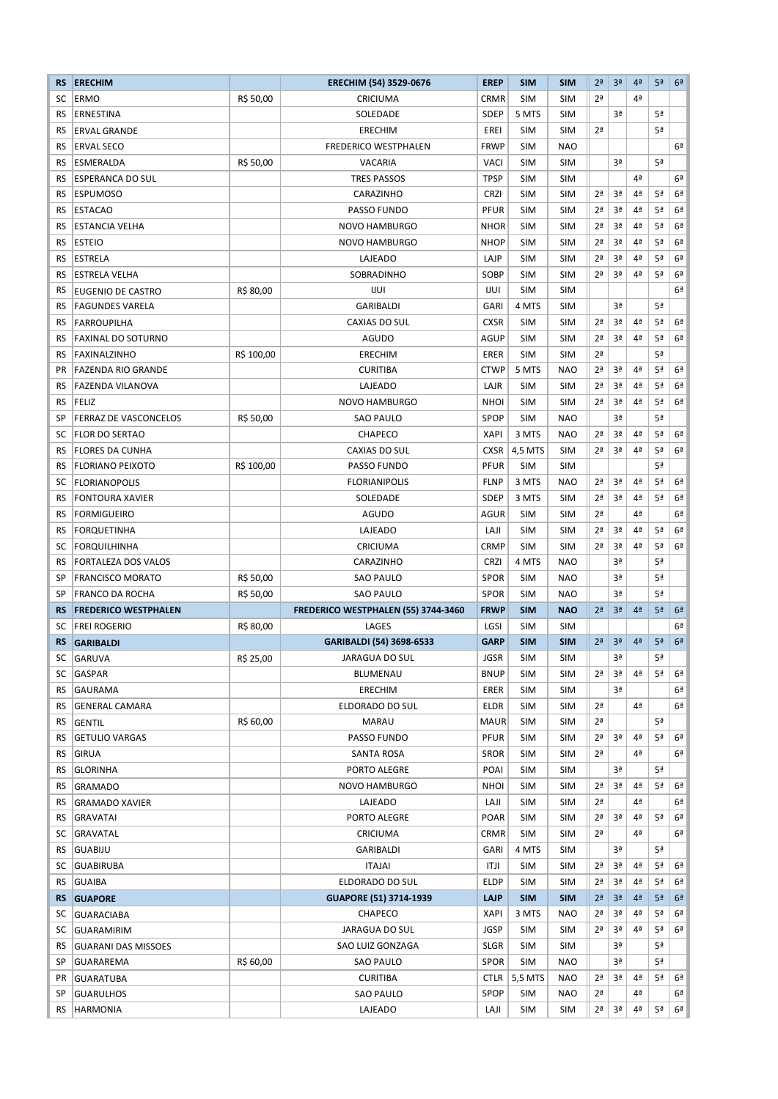| <b>RS</b> | <b>ERECHIM</b>               |            | ERECHIM (54) 3529-0676              | <b>EREP</b> | <b>SIM</b> | <b>SIM</b> | 2 <sup>a</sup> | 3 <sup>a</sup> | 4 <sup>a</sup> | 5 <sup>a</sup> | 6 <sup>2</sup> |
|-----------|------------------------------|------------|-------------------------------------|-------------|------------|------------|----------------|----------------|----------------|----------------|----------------|
| SC        | <b>ERMO</b>                  | R\$ 50,00  | CRICIUMA                            | <b>CRMR</b> | <b>SIM</b> | <b>SIM</b> | 2ª             |                | 4ª             |                |                |
| RS        | ERNESTINA                    |            | SOLEDADE                            | <b>SDEP</b> | 5 MTS      | <b>SIM</b> |                | 3ª             |                | 5ª             |                |
| <b>RS</b> | <b>ERVAL GRANDE</b>          |            | ERECHIM                             | EREI        | <b>SIM</b> | <b>SIM</b> | 2 <sup>a</sup> |                |                | 5ª             |                |
| <b>RS</b> | <b>ERVAL SECO</b>            |            | <b>FREDERICO WESTPHALEN</b>         | <b>FRWP</b> | <b>SIM</b> | <b>NAO</b> |                |                |                |                | 6 <sup>a</sup> |
| <b>RS</b> | ESMERALDA                    | R\$ 50,00  | <b>VACARIA</b>                      | VACI        | <b>SIM</b> | <b>SIM</b> |                | 3ª             |                | 5ª             |                |
| <b>RS</b> | ESPERANCA DO SUL             |            | TRES PASSOS                         | <b>TPSP</b> | <b>SIM</b> | <b>SIM</b> |                |                | 4 <sup>a</sup> |                | 6 <sup>a</sup> |
| RS        | <b>ESPUMOSO</b>              |            | CARAZINHO                           | <b>CRZI</b> | <b>SIM</b> | <b>SIM</b> | 2 <sup>a</sup> | 3ª             | 4 <sup>a</sup> | 5ª             | 6 <sup>a</sup> |
| RS        | <b>ESTACAO</b>               |            | <b>PASSO FUNDO</b>                  | <b>PFUR</b> | <b>SIM</b> | <b>SIM</b> | 2ª             | 3ª             | 4 <sup>a</sup> | 5ª             | 6 <sup>2</sup> |
| RS        | <b>ESTANCIA VELHA</b>        |            | <b>NOVO HAMBURGO</b>                | <b>NHOR</b> | <b>SIM</b> | <b>SIM</b> | 2ª             | 3ª             | 4 <sup>a</sup> | 5ª             | 6 <sup>2</sup> |
| <b>RS</b> | <b>ESTEIO</b>                |            | NOVO HAMBURGO                       | <b>NHOP</b> | <b>SIM</b> | <b>SIM</b> | 2 <sup>a</sup> | 3ª             | 4ª             | 5ª             | 6 <sup>a</sup> |
| RS        | <b>ESTRELA</b>               |            | LAJEADO                             | LAJP        | <b>SIM</b> | <b>SIM</b> | 2ª             | 3ª             | 4 <sup>a</sup> | 5ª             | 6 <sup>2</sup> |
| RS        | <b>ESTRELA VELHA</b>         |            | SOBRADINHO                          | SOBP        | <b>SIM</b> | <b>SIM</b> | 2 <sup>a</sup> | 3ª             | 4 <sup>a</sup> | 5ª             | 6ª             |
|           |                              |            |                                     |             |            |            |                |                |                |                |                |
| <b>RS</b> | <b>EUGENIO DE CASTRO</b>     | R\$ 80,00  | IJUI                                | <b>IJUI</b> | <b>SIM</b> | <b>SIM</b> |                |                |                |                | 6 <sup>2</sup> |
| RS        | <b>FAGUNDES VARELA</b>       |            | <b>GARIBALDI</b>                    | <b>GARI</b> | 4 MTS      | <b>SIM</b> |                | 3ª             |                | 5ª             |                |
| <b>RS</b> | <b>FARROUPILHA</b>           |            | <b>CAXIAS DO SUL</b>                | <b>CXSR</b> | <b>SIM</b> | <b>SIM</b> | 2ª             | 3ª             | 4 <sup>a</sup> | 5ª             | 6 <sup>a</sup> |
| RS        | <b>FAXINAL DO SOTURNO</b>    |            | <b>AGUDO</b>                        | <b>AGUP</b> | <b>SIM</b> | <b>SIM</b> | 2ª             | 3ª             | 4 <sup>a</sup> | 5ª             | 6 <sup>a</sup> |
| RS        | FAXINALZINHO                 | R\$ 100,00 | ERECHIM                             | <b>ERER</b> | <b>SIM</b> | <b>SIM</b> | 2 <sup>a</sup> |                |                | 5ª             |                |
| PR        | <b>FAZENDA RIO GRANDE</b>    |            | <b>CURITIBA</b>                     | <b>CTWP</b> | 5 MTS      | <b>NAO</b> | 2 <sup>a</sup> | 3ª             | 4ª             | 5ª             | 6 <sup>a</sup> |
| RS        | <b>FAZENDA VILANOVA</b>      |            | LAJEADO                             | LAJR        | <b>SIM</b> | <b>SIM</b> | 2ª             | 3ª             | 4 <sup>a</sup> | 5ª             | 6 <sup>2</sup> |
| RS        | FELIZ                        |            | NOVO HAMBURGO                       | <b>NHOI</b> | <b>SIM</b> | <b>SIM</b> | 2ª             | 3ª             | 4 <sup>a</sup> | 5ª             | 6 <sup>2</sup> |
| SP        | <b>FERRAZ DE VASCONCELOS</b> | R\$ 50,00  | SAO PAULO                           | <b>SPOP</b> | <b>SIM</b> | <b>NAO</b> |                | 3ª             |                | 5ª             |                |
| SC        | <b>FLOR DO SERTAO</b>        |            | <b>CHAPECO</b>                      | <b>XAPI</b> | 3 MTS      | <b>NAO</b> | 2 <sup>a</sup> | 3ª             | 4ª             | 5ª             | 6 <sup>a</sup> |
| RS        | <b>FLORES DA CUNHA</b>       |            | CAXIAS DO SUL                       | <b>CXSR</b> | 4,5 MTS    | <b>SIM</b> | 2ª             | 3ª             | 4 <sup>a</sup> | 5ª             | 6 <sup>a</sup> |
| RS        | <b>FLORIANO PEIXOTO</b>      | R\$ 100,00 | PASSO FUNDO                         | PFUR        | <b>SIM</b> | <b>SIM</b> |                |                |                | 5ª             |                |
| SC        | FLORIANOPOLIS                |            | <b>FLORIANIPOLIS</b>                | <b>FLNP</b> | 3 MTS      | <b>NAO</b> | 2 <sup>a</sup> | 3ª             | 4 <sup>a</sup> | 5 <sup>a</sup> | 6 <sup>a</sup> |
| RS        | <b>FONTOURA XAVIER</b>       |            | SOLEDADE                            | <b>SDEP</b> | 3 MTS      | <b>SIM</b> | 2ª             | 3ª             | 4 <sup>a</sup> | 5ª             | 6 <sup>a</sup> |
| RS        | <b>FORMIGUEIRO</b>           |            | AGUDO                               | <b>AGUR</b> | <b>SIM</b> | <b>SIM</b> | 2 <sup>a</sup> |                | 4 <sup>a</sup> |                | 6ª             |
| RS        | <b>FORQUETINHA</b>           |            | LAJEADO                             | LAJI        | <b>SIM</b> | <b>SIM</b> | 2 <sup>a</sup> | 3ª             | 4ª             | 5ª             | 6ª             |
| SC        | <b>FORQUILHINHA</b>          |            | CRICIUMA                            | <b>CRMP</b> | <b>SIM</b> | <b>SIM</b> | 2 <sup>a</sup> | 3ª             | 4ª             | 5ª             | 6 <sup>a</sup> |
| RS        | <b>FORTALEZA DOS VALOS</b>   |            | CARAZINHO                           | <b>CRZI</b> | 4 MTS      | <b>NAO</b> |                | 3ª             |                | 5ª             |                |
| SP        | <b>FRANCISCO MORATO</b>      | R\$ 50,00  | <b>SAO PAULO</b>                    | <b>SPOR</b> | <b>SIM</b> | <b>NAO</b> |                | 3ª             |                | 5ª             |                |
| SP        | <b>FRANCO DA ROCHA</b>       | R\$ 50,00  | <b>SAO PAULO</b>                    | <b>SPOR</b> | <b>SIM</b> | <b>NAO</b> |                | 3ª             |                | 5ª             |                |
| <b>RS</b> | <b>FREDERICO WESTPHALEN</b>  |            | FREDERICO WESTPHALEN (55) 3744-3460 | <b>FRWP</b> | <b>SIM</b> | <b>NAO</b> | 2 <sup>a</sup> | 3 <sup>a</sup> | 4 <sup>a</sup> | 5 <sup>a</sup> | 6 <sup>2</sup> |
| SC        | <b>FREI ROGERIO</b>          | R\$ 80,00  | LAGES                               | LGSI        | <b>SIM</b> | <b>SIM</b> |                |                |                |                | 6ª             |
| <b>RS</b> | <b>GARIBALDI</b>             |            | GARIBALDI (54) 3698-6533            | <b>GARP</b> | <b>SIM</b> | <b>SIM</b> | 2 <sup>a</sup> | 3 <sup>a</sup> | 4 <sup>2</sup> | 5 <sup>a</sup> | 6 <sup>a</sup> |
| SC        | <b>GARUVA</b>                | R\$ 25,00  | JARAGUA DO SUL                      | <b>JGSR</b> | SIM        | SIM        |                | 3ª             |                | 5ª             |                |
| SC        | GASPAR                       |            | BLUMENAU                            | <b>BNUP</b> | <b>SIM</b> | <b>SIM</b> | 2 <sup>a</sup> | 3ª             | 4 <sup>a</sup> | 5ª             | 6 <sup>a</sup> |
| RS        | GAURAMA                      |            | ERECHIM                             | ERER        | <b>SIM</b> | <b>SIM</b> |                | 3ª             |                |                | 6ª             |
| RS        | <b>GENERAL CAMARA</b>        |            | ELDORADO DO SUL                     | <b>ELDR</b> | <b>SIM</b> | <b>SIM</b> | 2ª             |                | 4 <sup>a</sup> |                | 6ª             |
| RS        |                              | R\$ 60,00  | MARAU                               | MAUR        | <b>SIM</b> | <b>SIM</b> | 2 <sup>a</sup> |                |                | 5ª             |                |
|           | <b>GENTIL</b>                |            |                                     | PFUR        |            |            | 2 <sup>a</sup> | 3ª             | 4 <sup>a</sup> | 5ª             | 6 <sup>a</sup> |
| RS        | <b>GETULIO VARGAS</b>        |            | PASSO FUNDO                         |             | <b>SIM</b> | <b>SIM</b> |                |                |                |                |                |
| RS        | <b>GIRUA</b>                 |            | SANTA ROSA                          | <b>SROR</b> | <b>SIM</b> | <b>SIM</b> | 2 <sup>a</sup> |                | 4 <sup>a</sup> |                | 6ª             |
| RS        | <b>GLORINHA</b>              |            | PORTO ALEGRE                        | POAI        | <b>SIM</b> | <b>SIM</b> |                | 3ª             |                | 5ª             |                |
| RS.       | <b>GRAMADO</b>               |            | NOVO HAMBURGO                       | <b>NHOI</b> | <b>SIM</b> | <b>SIM</b> | 2ª             | 3ª             | 4 <sup>a</sup> | 5ª             | 6 <sup>2</sup> |
| <b>RS</b> | <b>GRAMADO XAVIER</b>        |            | LAJEADO                             | LAJI        | <b>SIM</b> | <b>SIM</b> | 2ª             |                | 4 <sup>a</sup> |                | 6 <sup>2</sup> |
| RS        | <b>GRAVATAI</b>              |            | PORTO ALEGRE                        | <b>POAR</b> | <b>SIM</b> | <b>SIM</b> | 2 <sup>a</sup> | 3ª             | 4 <sup>a</sup> | 5ª             | 6 <sup>a</sup> |
| SC        | GRAVATAL                     |            | CRICIUMA                            | CRMR        | <b>SIM</b> | <b>SIM</b> | 2ª             |                | 4 <sup>a</sup> |                | 6 <sup>2</sup> |
| RS.       | GUABIJU                      |            | GARIBALDI                           | GARI        | 4 MTS      | <b>SIM</b> |                | 3ª             |                | 5ª             |                |
| SC        | <b>GUABIRUBA</b>             |            | <b>ITAJAI</b>                       | ITJI        | <b>SIM</b> | <b>SIM</b> | 2 <sup>a</sup> | 3ª             | 4 <sup>a</sup> | 5ª             | 6 <sup>a</sup> |
| RS        | GUAIBA                       |            | ELDORADO DO SUL                     | ELDP        | <b>SIM</b> | <b>SIM</b> | 2ª             | 3ª             | 4ª             | 5ª             | 6ª             |
| <b>RS</b> | <b>GUAPORE</b>               |            | GUAPORE (51) 3714-1939              | <b>LAJP</b> | <b>SIM</b> | <b>SIM</b> | 2 <sup>a</sup> | 3 <sup>a</sup> | 4 <sup>a</sup> | 5 <sup>a</sup> | 6 <sup>2</sup> |
| SC        | GUARACIABA                   |            | CHAPECO                             | <b>XAPI</b> | 3 MTS      | <b>NAO</b> | 2 <sup>a</sup> | 3ª             | 4 <sup>a</sup> | 5ª             | 6ª             |
| SC        | GUARAMIRIM                   |            | JARAGUA DO SUL                      | <b>JGSP</b> | <b>SIM</b> | <b>SIM</b> | 2 <sup>a</sup> | 3ª             | 4 <sup>a</sup> | 5ª             | 6ª             |
| RS.       | <b>GUARANI DAS MISSOES</b>   |            | SAO LUIZ GONZAGA                    | <b>SLGR</b> | <b>SIM</b> | <b>SIM</b> |                | 3ª             |                | 5ª             |                |
| SP        | GUARAREMA                    | R\$ 60,00  | SAO PAULO                           | <b>SPOR</b> | <b>SIM</b> | <b>NAO</b> |                | 3ª             |                | 5ª             |                |
| PR        | <b>GUARATUBA</b>             |            | <b>CURITIBA</b>                     | <b>CTLR</b> | 5,5 MTS    | <b>NAO</b> | 2 <sup>a</sup> | 3ª             | 4 <sup>a</sup> | 5ª             | 6ª             |
| SP        | <b>GUARULHOS</b>             |            | <b>SAO PAULO</b>                    | <b>SPOP</b> | <b>SIM</b> | <b>NAO</b> | 2ª             |                | 4 <sup>a</sup> |                | 6ª             |
| RS        | <b>HARMONIA</b>              |            | LAJEADO                             | LAJI        | SIM        | <b>SIM</b> | 2ª             | 3ª             | 4ª             | 5ª             | 6 <sup>a</sup> |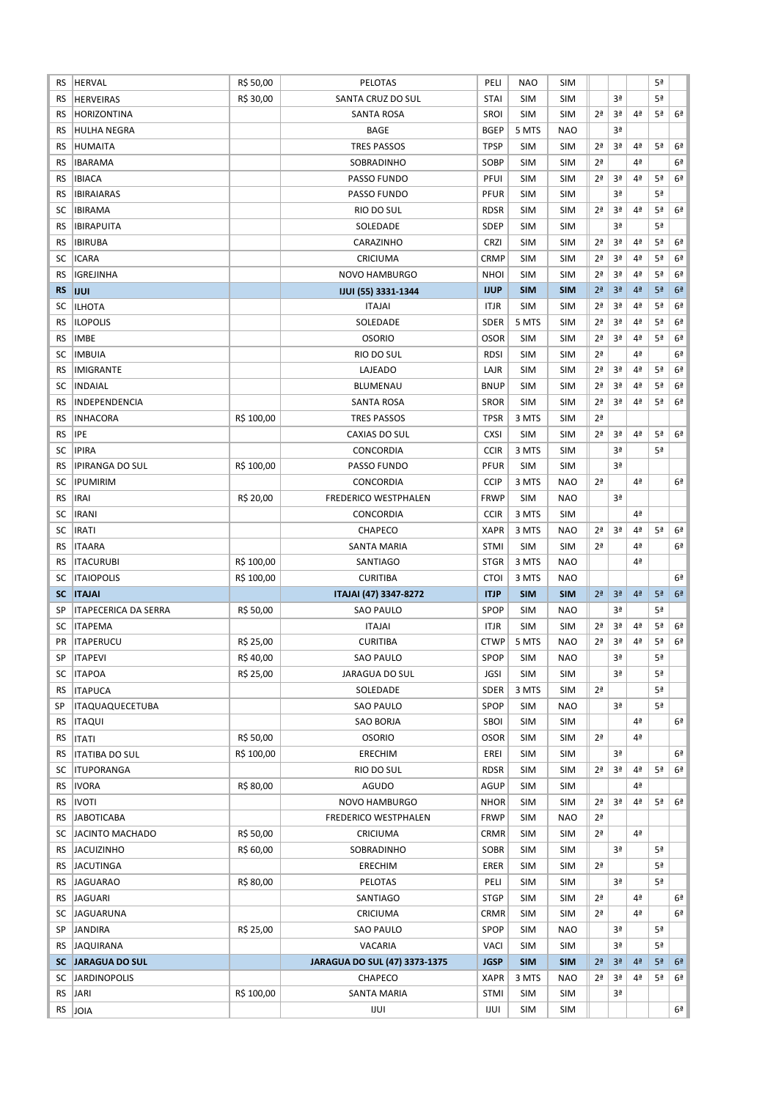| RS                     | <b>HERVAL</b>               | R\$ 50,00  | <b>PELOTAS</b>                | PELI                | <b>NAO</b>        | <b>SIM</b>        |                      |                |                | 5ª |                |
|------------------------|-----------------------------|------------|-------------------------------|---------------------|-------------------|-------------------|----------------------|----------------|----------------|----|----------------|
| RS                     | <b>HERVEIRAS</b>            | R\$ 30,00  | SANTA CRUZ DO SUL             | <b>STAI</b>         | <b>SIM</b>        | <b>SIM</b>        |                      | 3ª             |                | 5ª |                |
| RS                     | <b>HORIZONTINA</b>          |            | <b>SANTA ROSA</b>             | SROI                | <b>SIM</b>        | <b>SIM</b>        | 2 <sup>a</sup>       | 3ª             | 4ª             | 5ª | 6 <sup>a</sup> |
| RS                     | <b>HULHA NEGRA</b>          |            | <b>BAGE</b>                   | <b>BGEP</b>         | 5 MTS             | <b>NAO</b>        |                      | 3ª             |                |    |                |
| <b>RS</b>              | <b>HUMAITA</b>              |            | <b>TRES PASSOS</b>            | <b>TPSP</b>         | <b>SIM</b>        | <b>SIM</b>        | 2ª                   | 3ª             | 4ª             | 5ª | 6 <sup>2</sup> |
| RS                     | <b>IBARAMA</b>              |            | SOBRADINHO                    | SOBP                | <b>SIM</b>        | <b>SIM</b>        | 2 <sup>a</sup>       |                | 4ª             |    | 6 <sup>a</sup> |
| RS                     | <b>IBIACA</b>               |            | PASSO FUNDO                   | PFUI                | <b>SIM</b>        | <b>SIM</b>        | 2 <sup>a</sup>       | 3ª             | 4 <sup>a</sup> | 5ª | 6 <sup>a</sup> |
| RS                     | <b>IBIRAIARAS</b>           |            | PASSO FUNDO                   | <b>PFUR</b>         | <b>SIM</b>        | <b>SIM</b>        |                      | 3ª             |                | 5ª |                |
| SC                     | <b>IBIRAMA</b>              |            | RIO DO SUL                    | <b>RDSR</b>         | <b>SIM</b>        | <b>SIM</b>        | 2 <sup>a</sup>       | 3ª             | 4ª             | 5ª | 6ª             |
| RS                     | <b>IBIRAPUITA</b>           |            | SOLEDADE                      | <b>SDEP</b>         | SIM               | <b>SIM</b>        |                      | 3ª             |                | 5ª |                |
| <b>RS</b>              | <b>IBIRUBA</b>              |            | CARAZINHO                     | <b>CRZI</b>         | <b>SIM</b>        | <b>SIM</b>        | 2 <sup>a</sup>       | 3ª             | 4 <sup>a</sup> | 5ª | 6ª             |
| SC                     | <b>ICARA</b>                |            | CRICIUMA                      | <b>CRMP</b>         | <b>SIM</b>        | <b>SIM</b>        | 2 <sup>a</sup>       | 3ª             | 4ª             | 5ª | 6ª             |
| RS                     | <b>IGREJINHA</b>            |            | <b>NOVO HAMBURGO</b>          | <b>NHOI</b>         | <b>SIM</b>        | <b>SIM</b>        | 2ª                   | 3ª             | 4ª             | 5ª | 6ª             |
| <b>RS</b>              |                             |            |                               | <b>IJUP</b>         | <b>SIM</b>        | <b>SIM</b>        | 2 <sup>a</sup>       | 3 <sup>a</sup> | 4 <sup>2</sup> | 5ª | 6 <sup>2</sup> |
|                        | <b>IJUI</b>                 |            | <b>IJUI (55) 3331-1344</b>    |                     |                   |                   |                      |                |                |    |                |
| SC                     | <b>ILHOTA</b>               |            | <b>ITAJAI</b>                 | <b>ITJR</b>         | <b>SIM</b>        | <b>SIM</b>        | 2 <sup>a</sup>       | 3ª             | 4ª             | 5ª | 6ª             |
| <b>RS</b>              | <b>ILOPOLIS</b>             |            | SOLEDADE                      | <b>SDER</b>         | 5 MTS             | <b>SIM</b>        | 2ª                   | 3ª             | 4ª             | 5ª | 6ª             |
| <b>RS</b>              | <b>IMBE</b>                 |            | <b>OSORIO</b>                 | <b>OSOR</b>         | SIM               | <b>SIM</b>        | 2ª                   | 3ª             | 4ª             | 5ª | 6ª             |
| SC                     | <b>IMBUIA</b>               |            | RIO DO SUL                    | <b>RDSI</b>         | <b>SIM</b>        | <b>SIM</b>        | 2 <sup>a</sup>       |                | 4ª             |    | 6 <sup>2</sup> |
| RS                     | <b>IMIGRANTE</b>            |            | LAJEADO                       | LAJR                | <b>SIM</b>        | <b>SIM</b>        | 2ª                   | 3ª             | 4ª             | 5ª | 6ª             |
| SC                     | <b>INDAIAL</b>              |            | <b>BLUMENAU</b>               | <b>BNUP</b>         | <b>SIM</b>        | <b>SIM</b>        | 2 <sup>a</sup>       | 3ª             | 4ª             | 5ª | 6 <sup>2</sup> |
| <b>RS</b>              | INDEPENDENCIA               |            | <b>SANTA ROSA</b>             | <b>SROR</b>         | <b>SIM</b>        | <b>SIM</b>        | 2 <sup>a</sup>       | 3ª             | 4ª             | 5ª | 6 <sup>2</sup> |
| <b>RS</b>              | <b>INHACORA</b>             | R\$ 100,00 | <b>TRES PASSOS</b>            | <b>TPSR</b>         | 3 MTS             | <b>SIM</b>        | 2 <sup>a</sup>       |                |                |    |                |
| <b>RS</b>              | <b>IPE</b>                  |            | <b>CAXIAS DO SUL</b>          | <b>CXSI</b>         | <b>SIM</b>        | <b>SIM</b>        | 2 <sup>a</sup>       | 3ª             | 4 <sup>a</sup> | 5ª | 6 <sup>a</sup> |
| SC                     | <b>IPIRA</b>                |            | CONCORDIA                     | <b>CCIR</b>         | 3 MTS             | <b>SIM</b>        |                      | 3ª             |                | 5ª |                |
| <b>RS</b>              | <b>IPIRANGA DO SUL</b>      | R\$ 100,00 | PASSO FUNDO                   | PFUR                | <b>SIM</b>        | <b>SIM</b>        |                      | 3ª             |                |    |                |
| SC                     | <b>IPUMIRIM</b>             |            | CONCORDIA                     | <b>CCIP</b>         | 3 MTS             | <b>NAO</b>        | 2 <sup>a</sup>       |                | 4ª             |    | 6ª             |
| <b>RS</b>              | <b>IRAI</b>                 | R\$ 20,00  | <b>FREDERICO WESTPHALEN</b>   | <b>FRWP</b>         | <b>SIM</b>        | <b>NAO</b>        |                      | 3ª             |                |    |                |
| SC                     | <b>IRANI</b>                |            | CONCORDIA                     | <b>CCIR</b>         | 3 MTS             | <b>SIM</b>        |                      |                | 4ª             |    |                |
| SC                     | <b>IRATI</b>                |            | CHAPECO                       | <b>XAPR</b>         | 3 MTS             | <b>NAO</b>        | 2 <sup>a</sup>       | 3ª             | 4ª             | 5ª | 6 <sup>a</sup> |
| RS                     | <b>ITAARA</b>               |            | SANTA MARIA                   | <b>STMI</b>         | <b>SIM</b>        | <b>SIM</b>        | 2ª                   |                | 4ª             |    | 6 <sup>2</sup> |
|                        |                             |            |                               |                     |                   |                   |                      |                |                |    |                |
| RS                     | <b>ITACURUBI</b>            | R\$ 100,00 | SANTIAGO                      | <b>STGR</b>         | 3 MTS             | <b>NAO</b>        |                      |                | 4ª             |    |                |
| SC                     | <b>ITAIOPOLIS</b>           | R\$ 100,00 | <b>CURITIBA</b>               | <b>CTOI</b>         | 3 MTS             | <b>NAO</b>        |                      |                |                |    | 6ª             |
| <b>SC</b>              | <b>ITAJAI</b>               |            | ITAJAI (47) 3347-8272         | <b>ITJP</b>         | <b>SIM</b>        | <b>SIM</b>        | 2 <sup>a</sup>       | 3 <sup>a</sup> | 4 <sup>2</sup> | 5ª | 6 <sup>a</sup> |
| SP                     | <b>ITAPECERICA DA SERRA</b> | R\$ 50,00  | <b>SAO PAULO</b>              | <b>SPOP</b>         | <b>SIM</b>        | <b>NAO</b>        |                      | 3ª             |                | 5ª |                |
| SC                     | <b>ITAPEMA</b>              |            | <b>ITAJAI</b>                 | <b>ITJR</b>         | SIM               | <b>SIM</b>        | 2 <sup>a</sup>       | 3ª             | 4 <sup>a</sup> | 5ª | 6 <sup>a</sup> |
| <b>PR</b>              | <b>ITAPERUCU</b>            | R\$ 25,00  | <b>CURITIBA</b>               | <b>CTWP</b>         | 5 MTS             | <b>NAO</b>        | 2 <sup>a</sup>       | 3ª             | 4ª             | 5ª | 6 <sup>a</sup> |
| SP                     | <b>ITAPEVI</b>              | R\$40,00   | <b>SAO PAULO</b>              | SPOP                | <b>SIM</b>        | <b>NAO</b>        |                      | 3ª             |                | 5ª |                |
| SC                     | <b>ITAPOA</b>               | R\$ 25,00  | JARAGUA DO SUL                | <b>JGSI</b>         | SIM               | <b>SIM</b>        |                      | 3ª             |                | 5ª |                |
| RS.                    | <b>ITAPUCA</b>              |            | SOLEDADE                      | <b>SDER</b>         | 3 MTS             | <b>SIM</b>        | 2 <sup>a</sup>       |                |                | 5ª |                |
| SP                     | <b>ITAQUAQUECETUBA</b>      |            | SAO PAULO                     | SPOP                | SIM               | <b>NAO</b>        |                      | 3ª             |                | 5ª |                |
| RS                     | <b>ITAQUI</b>               |            | SAO BORJA                     | SBOI                | <b>SIM</b>        | <b>SIM</b>        |                      |                | 4ª             |    | 6 <sup>a</sup> |
| RS.                    | <b>ITATI</b>                | R\$ 50,00  | <b>OSORIO</b>                 | <b>OSOR</b>         | SIM               | <b>SIM</b>        | 2 <sup>a</sup>       |                | 4 <sup>a</sup> |    |                |
| RS.                    | <b>ITATIBA DO SUL</b>       | R\$ 100,00 | <b>ERECHIM</b>                | EREI                | <b>SIM</b>        | <b>SIM</b>        |                      | 3ª             |                |    | 6ª             |
| SC                     | <b>ITUPORANGA</b>           |            | RIO DO SUL                    | <b>RDSR</b>         | <b>SIM</b>        | <b>SIM</b>        | 2ª                   | 3ª             | 4 <sup>a</sup> | 5ª | 6ª             |
| RS.                    | <b>IVORA</b>                | R\$ 80,00  | AGUDO                         | AGUP                | <b>SIM</b>        | <b>SIM</b>        |                      |                | 4ª             |    |                |
|                        |                             |            |                               |                     |                   |                   | 2ª                   | 3ª             | 4 <sup>a</sup> | 5ª | 6 <sup>2</sup> |
| <b>RS</b>              | <b>IVOTI</b>                |            | NOVO HAMBURGO                 | <b>NHOR</b>         | <b>SIM</b>        | <b>SIM</b>        |                      |                |                |    |                |
| RS                     | <b>JABOTICABA</b>           |            | FREDERICO WESTPHALEN          | <b>FRWP</b>         | SIM               | <b>NAO</b>        | 2ª<br>2 <sup>a</sup> |                | 4 <sup>a</sup> |    |                |
| SC                     | JACINTO MACHADO             | R\$ 50,00  | CRICIUMA                      | <b>CRMR</b>         | <b>SIM</b>        | <b>SIM</b>        |                      |                |                |    |                |
| RS.                    | <b>JACUIZINHO</b>           | R\$ 60,00  | SOBRADINHO                    | SOBR                | SIM               | <b>SIM</b>        |                      | 3ª             |                | 5ª |                |
| RS.                    | <b>JACUTINGA</b>            |            | ERECHIM                       | ERER                | <b>SIM</b>        | <b>SIM</b>        | 2 <sup>a</sup>       |                |                | 5ª |                |
| RS.                    | <b>JAGUARAO</b>             | R\$ 80,00  | PELOTAS                       | PELI                | <b>SIM</b>        | <b>SIM</b>        |                      | 3ª             |                | 5ª |                |
| RS                     | <b>JAGUARI</b>              |            | SANTIAGO                      | <b>STGP</b>         | <b>SIM</b>        | <b>SIM</b>        | 2 <sup>a</sup>       |                | 4 <sup>a</sup> |    | 6ª             |
| SC                     | <b>JAGUARUNA</b>            |            | CRICIUMA                      | <b>CRMR</b>         | <b>SIM</b>        | <b>SIM</b>        | 2 <sup>a</sup>       |                | 4ª             |    | 6 <sup>a</sup> |
| SP                     | JANDIRA                     | R\$ 25,00  | <b>SAO PAULO</b>              | SPOP                | SIM               | <b>NAO</b>        |                      | Зª             |                | 5ª |                |
| RS                     | <b>JAQUIRANA</b>            |            | VACARIA                       | <b>VACI</b>         | SIM               | <b>SIM</b>        |                      | 3ª             |                | 5ª |                |
|                        | <b>SC JARAGUA DO SUL</b>    |            | JARAGUA DO SUL (47) 3373-1375 | <b>JGSP</b>         | <b>SIM</b>        | <b>SIM</b>        | 2 <sup>a</sup>       | 3 <sup>a</sup> | 4 <sup>2</sup> | 5ª | 6 <sup>2</sup> |
| SC                     | <b>JARDINOPOLIS</b>         |            | CHAPECO                       | <b>XAPR</b>         | 3 MTS             | <b>NAO</b>        | 2ª                   | 3ª             | 4 <sup>a</sup> | 5ª | 6 <sup>a</sup> |
| <b>RS</b><br><b>RS</b> | JARI<br>JOIA                | R\$ 100,00 | SANTA MARIA<br>IJUI           | <b>STMI</b><br>IJUI | SIM<br><b>SIM</b> | SIM<br><b>SIM</b> |                      | 3ª             |                |    | 6ª             |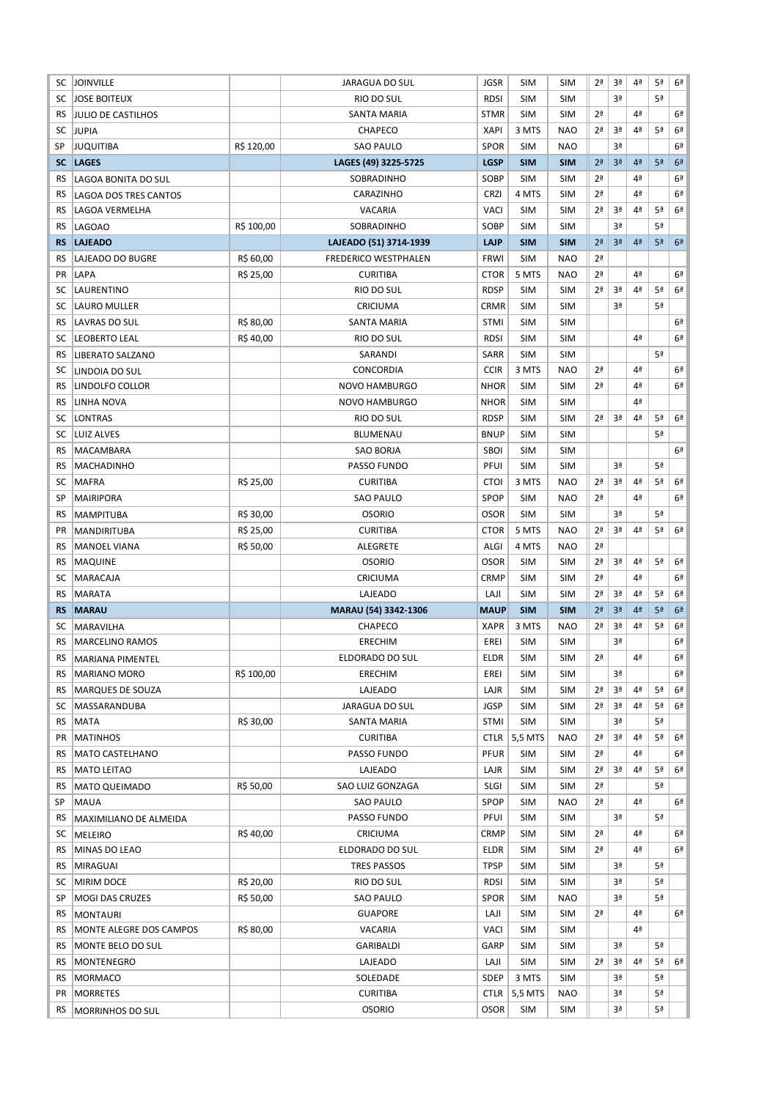| SC              | <b>JOINVILLE</b>             |            | <b>JARAGUA DO SUL</b>            | <b>JGSR</b>                | <b>SIM</b>            | <b>SIM</b>               | 2ª                   | 3ª             | 4ª             | 5ª             | 6 <sup>a</sup> |
|-----------------|------------------------------|------------|----------------------------------|----------------------------|-----------------------|--------------------------|----------------------|----------------|----------------|----------------|----------------|
| SC              | <b>JOSE BOITEUX</b>          |            | RIO DO SUL                       | <b>RDSI</b>                | <b>SIM</b>            | <b>SIM</b>               |                      | 3ª             |                | 5ª             |                |
| RS              | <b>JULIO DE CASTILHOS</b>    |            | SANTA MARIA                      | <b>STMR</b>                | <b>SIM</b>            | <b>SIM</b>               | 2 <sup>a</sup>       |                | 4ª             |                | 6ª             |
| SC              | <b>JUPIA</b>                 |            | CHAPECO                          | <b>XAPI</b>                | 3 MTS                 | <b>NAO</b>               | 2ª                   | 3ª             | 4ª             | 5ª             | 6 <sup>a</sup> |
| SP              | <b>JUQUITIBA</b>             | R\$ 120,00 | <b>SAO PAULO</b>                 | SPOR                       | <b>SIM</b>            | <b>NAO</b>               |                      | 3ª             |                |                | 6 <sup>a</sup> |
| <b>SC</b>       | <b>LAGES</b>                 |            | LAGES (49) 3225-5725             | <b>LGSP</b>                | <b>SIM</b>            | <b>SIM</b>               | 2 <sup>a</sup>       | 3 <sup>a</sup> | 4 <sup>a</sup> | 5 <sup>a</sup> | 6 <sup>a</sup> |
| RS              | LAGOA BONITA DO SUL          |            | SOBRADINHO                       | SOBP                       | <b>SIM</b>            | <b>SIM</b>               | 2 <sup>a</sup>       |                | 4ª             |                | 6ª             |
| RS              | LAGOA DOS TRES CANTOS        |            | CARAZINHO                        | <b>CRZI</b>                | 4 MTS                 | <b>SIM</b>               | 2 <sup>a</sup>       |                | 4ª             |                | 6 <sup>a</sup> |
| RS              | LAGOA VERMELHA               |            | <b>VACARIA</b>                   | <b>VACI</b>                | <b>SIM</b>            | <b>SIM</b>               | 2ª                   | 3ª             | 4ª             | 5ª             | 6 <sup>2</sup> |
| RS              | <b>LAGOAO</b>                | R\$ 100,00 | SOBRADINHO                       | SOBP                       | <b>SIM</b>            | <b>SIM</b>               |                      | 3ª             |                | 5ª             |                |
| <b>RS</b>       | <b>LAJEADO</b>               |            | LAJEADO (51) 3714-1939           | <b>LAJP</b>                | <b>SIM</b>            | <b>SIM</b>               | 2 <sup>a</sup>       | 3ª             | 4 <sup>2</sup> | 5 <sup>a</sup> | 6 <sup>a</sup> |
| <b>RS</b>       | LAJEADO DO BUGRE             | R\$ 60,00  | <b>FREDERICO WESTPHALEN</b>      | <b>FRWI</b>                | <b>SIM</b>            | <b>NAO</b>               | 2ª                   |                |                |                |                |
| PR              | LAPA                         | R\$ 25,00  | <b>CURITIBA</b>                  | <b>CTOR</b>                | 5 MTS                 | <b>NAO</b>               | 2 <sup>a</sup>       |                | 4ª             |                | 6ª             |
| SC              | LAURENTINO                   |            | RIO DO SUL                       | <b>RDSP</b>                | <b>SIM</b>            | <b>SIM</b>               | 2ª                   | 3ª             | 4ª             | 5ª             | 6 <sup>a</sup> |
| SC              | LAURO MULLER                 |            | CRICIUMA                         | CRMR                       | <b>SIM</b>            | <b>SIM</b>               |                      | 3ª             |                | 5ª             |                |
| RS              | LAVRAS DO SUL                | R\$ 80,00  | SANTA MARIA                      | <b>STMI</b>                | <b>SIM</b>            | <b>SIM</b>               |                      |                |                |                | 6ª             |
| SC              | LEOBERTO LEAL                | R\$40,00   | RIO DO SUL                       | <b>RDSI</b>                | <b>SIM</b>            | <b>SIM</b>               |                      |                | 4ª             |                | 6ª             |
| RS              |                              |            | SARANDI                          | SARR                       | <b>SIM</b>            | <b>SIM</b>               |                      |                |                | 5ª             |                |
| SC              | <b>LIBERATO SALZANO</b>      |            | <b>CONCORDIA</b>                 | <b>CCIR</b>                | 3 MTS                 | <b>NAO</b>               | 2 <sup>a</sup>       |                | 4ª             |                | 6ª             |
|                 | LINDOIA DO SUL               |            |                                  |                            |                       |                          |                      |                |                |                |                |
| RS              | LINDOLFO COLLOR              |            | <b>NOVO HAMBURGO</b>             | <b>NHOR</b>                | <b>SIM</b>            | <b>SIM</b>               | 2 <sup>a</sup>       |                | 4ª             |                | 6ª             |
| RS              | <b>LINHA NOVA</b>            |            | <b>NOVO HAMBURGO</b>             | <b>NHOR</b>                | <b>SIM</b>            | <b>SIM</b>               |                      |                | 4ª             |                |                |
| SC              | <b>LONTRAS</b>               |            | RIO DO SUL                       | <b>RDSP</b>                | <b>SIM</b>            | <b>SIM</b>               | 2 <sup>a</sup>       | 3ª             | 4ª             | 5ª             | 6 <sup>a</sup> |
| SC              | LUIZ ALVES                   |            | <b>BLUMENAU</b>                  | <b>BNUP</b>                | <b>SIM</b>            | <b>SIM</b>               |                      |                |                | 5ª             |                |
| <b>RS</b>       | MACAMBARA                    |            | SAO BORJA                        | SBOI                       | <b>SIM</b>            | <b>SIM</b>               |                      |                |                |                | 6 <sup>a</sup> |
| RS              | MACHADINHO                   |            | PASSO FUNDO                      | PFUI                       | <b>SIM</b>            | <b>SIM</b>               |                      | 3ª             |                | 5 <sup>a</sup> |                |
| SC              | <b>MAFRA</b>                 | R\$ 25,00  | <b>CURITIBA</b>                  | <b>CTOI</b>                | 3 MTS                 | <b>NAO</b>               | 2ª                   | 3ª             | 4ª             | 5ª             | 6 <sup>a</sup> |
| SP              | <b>MAIRIPORA</b>             |            | <b>SAO PAULO</b>                 | SPOP                       | <b>SIM</b>            | <b>NAO</b>               | 2ª                   |                | 4ª             |                | 6ª             |
| RS              | <b>MAMPITUBA</b>             | R\$ 30,00  | <b>OSORIO</b>                    | <b>OSOR</b>                | <b>SIM</b>            | <b>SIM</b>               |                      | 3ª             |                | 5 <sup>a</sup> |                |
| PR              | <b>MANDIRITUBA</b>           | R\$ 25,00  | <b>CURITIBA</b>                  | <b>CTOR</b>                | 5 MTS                 | <b>NAO</b>               | 2ª                   | 3ª             | 4ª             | 5ª             | 6 <sup>a</sup> |
| RS              | <b>MANOEL VIANA</b>          | R\$ 50,00  | ALEGRETE                         | ALGI                       | 4 MTS                 | <b>NAO</b>               | 2 <sup>a</sup>       |                |                |                |                |
| RS              | <b>MAQUINE</b>               |            | <b>OSORIO</b>                    | <b>OSOR</b>                | <b>SIM</b>            | <b>SIM</b>               | 2ª                   | 3ª             | 4ª             | 5ª             | 6 <sup>2</sup> |
| SC              | MARACAJA                     |            | CRICIUMA                         | <b>CRMP</b>                | <b>SIM</b>            | <b>SIM</b>               | 2ª                   |                | 4ª             |                | 6 <sup>a</sup> |
| RS              | MARATA                       |            | LAJEADO                          | LAJI                       | <b>SIM</b>            | <b>SIM</b>               | 2ª                   | 3ª             | 4ª             | 5ª             | 6 <sup>a</sup> |
| <b>RS</b>       | <b>MARAU</b>                 |            | MARAU (54) 3342-1306             | <b>MAUP</b>                | <b>SIM</b>            | <b>SIM</b>               | 2 <sup>a</sup>       | 3ª             | 4 <sup>2</sup> | 5 <sup>a</sup> | 6 <sup>a</sup> |
|                 |                              |            |                                  |                            |                       |                          |                      |                | 4ª             | 5ª             | 6 <sup>a</sup> |
| SC              | <b>MARAVILHA</b>             |            | <b>CHAPECO</b>                   | <b>XAPR</b>                | 3 MTS                 | <b>NAO</b>               | 2ª                   | Зª             |                |                |                |
| RS              | <b>MARCELINO RAMOS</b>       |            | <b>ERECHIM</b>                   | EREI                       | <b>SIM</b>            | <b>SIM</b>               |                      | 3ª             |                |                | 6 <sup>a</sup> |
| <b>RS</b>       | <b>MARIANA PIMENTEL</b>      |            | ELDORADO DO SUL                  | <b>ELDR</b>                | <b>SIM</b>            | <b>SIM</b>               | 2 <sup>a</sup>       |                | 4ª             |                | 6 <sup>2</sup> |
| <b>RS</b>       | MARIANO MORO                 | R\$ 100,00 | ERECHIM                          | EREI                       | <b>SIM</b>            | <b>SIM</b>               |                      | 3ª             |                |                | 6ª             |
| <b>RS</b>       | <b>MARQUES DE SOUZA</b>      |            | LAJEADO                          | LAJR                       | <b>SIM</b>            | <b>SIM</b>               | 2ª                   | 3ª             | 4ª             | 5ª             | 6ª             |
| SC              | MASSARANDUBA                 |            | JARAGUA DO SUL                   | JGSP                       | <b>SIM</b>            | <b>SIM</b>               | 2ª                   | Зª             | 4ª             | 5ª             | 6ª             |
| RS              | <b>MATA</b>                  | R\$ 30,00  | SANTA MARIA                      | <b>STMI</b>                | <b>SIM</b>            | <b>SIM</b>               |                      | Зª             |                | 5ª             |                |
| PR              | <b>MATINHOS</b>              |            | <b>CURITIBA</b>                  | CTLR                       | 5,5 MTS               | <b>NAO</b>               | 2ª                   | 3ª             | 4 <sup>a</sup> | 5ª             | 6ª             |
| RS              | <b>MATO CASTELHANO</b>       |            | PASSO FUNDO                      | PFUR                       | <b>SIM</b>            | <b>SIM</b>               | 2ª                   |                | 4 <sup>a</sup> |                | 6ª             |
| RS              | <b>MATO LEITAO</b>           |            | LAJEADO                          | LAJR                       | <b>SIM</b>            | <b>SIM</b>               | 2ª                   | 3ª             | 4 <sup>a</sup> | 5ª             | 6ª             |
| RS              |                              | R\$ 50,00  | SAO LUIZ GONZAGA                 | <b>SLGI</b>                | <b>SIM</b>            | <b>SIM</b>               | 2ª                   |                |                | 5ª             |                |
| SP              | <b>MATO QUEIMADO</b>         |            |                                  | <b>SPOP</b>                |                       | <b>NAO</b>               | 2ª                   |                | 4ª             |                | 6 <sup>a</sup> |
|                 | <b>MAUA</b>                  |            | <b>SAO PAULO</b>                 |                            | <b>SIM</b>            |                          |                      | 3ª             |                | 5ª             |                |
| RS              | MAXIMILIANO DE ALMEIDA       |            | PASSO FUNDO                      | PFUI                       | <b>SIM</b>            | <b>SIM</b>               |                      |                | 4ª             |                |                |
| SC              | <b>MELEIRO</b>               | R\$40,00   | CRICIUMA                         | <b>CRMP</b>                | <b>SIM</b>            | <b>SIM</b>               | 2ª<br>2 <sup>a</sup> |                | 4ª             |                | 6ª<br>6ª       |
| RS              | MINAS DO LEAO                |            | ELDORADO DO SUL                  | <b>ELDR</b>                | <b>SIM</b>            | <b>SIM</b>               |                      |                |                |                |                |
| <b>RS</b>       | MIRAGUAI                     |            | <b>TRES PASSOS</b>               | <b>TPSP</b>                | <b>SIM</b>            | <b>SIM</b>               |                      | 3ª             |                | 5ª             |                |
| SC              | MIRIM DOCE                   | R\$ 20,00  | RIO DO SUL                       | <b>RDSI</b>                | <b>SIM</b>            | SIM                      |                      | 3ª             |                | 5ª             |                |
| SP              | MOGI DAS CRUZES              | R\$ 50,00  | <b>SAO PAULO</b>                 | <b>SPOR</b>                | <b>SIM</b>            | <b>NAO</b>               |                      | 3ª             |                | 5 <sup>a</sup> |                |
| <b>RS</b>       | <b>MONTAURI</b>              |            | <b>GUAPORE</b>                   | LAJI                       | <b>SIM</b>            | <b>SIM</b>               | 2ª                   |                | 4 <sup>a</sup> |                | 6ª             |
| RS              | MONTE ALEGRE DOS CAMPOS      | R\$ 80,00  | VACARIA                          | <b>VACI</b>                | <b>SIM</b>            | <b>SIM</b>               |                      |                | 4ª             |                |                |
| RS              | MONTE BELO DO SUL            |            | GARIBALDI                        | GARP                       | <b>SIM</b>            | <b>SIM</b>               |                      | 3ª             |                | 5 <sup>a</sup> |                |
| RS              | MONTENEGRO                   |            | LAJEADO                          | LAJI                       | <b>SIM</b>            | SIM                      | 2ª                   | 3ª             | 4ª             | 5ª             | 6 <sup>a</sup> |
| <b>RS</b>       | <b>MORMACO</b>               |            | SOLEDADE                         | SDEP                       | 3 MTS                 | SIM                      |                      | 3ª             |                | 5ª             |                |
| PR<br><b>RS</b> | MORRETES<br>MORRINHOS DO SUL |            | <b>CURITIBA</b><br><b>OSORIO</b> | <b>CTLR</b><br><b>OSOR</b> | 5,5 MTS<br><b>SIM</b> | <b>NAO</b><br><b>SIM</b> |                      | Зª<br>Зª       |                | 5ª<br>5ª       |                |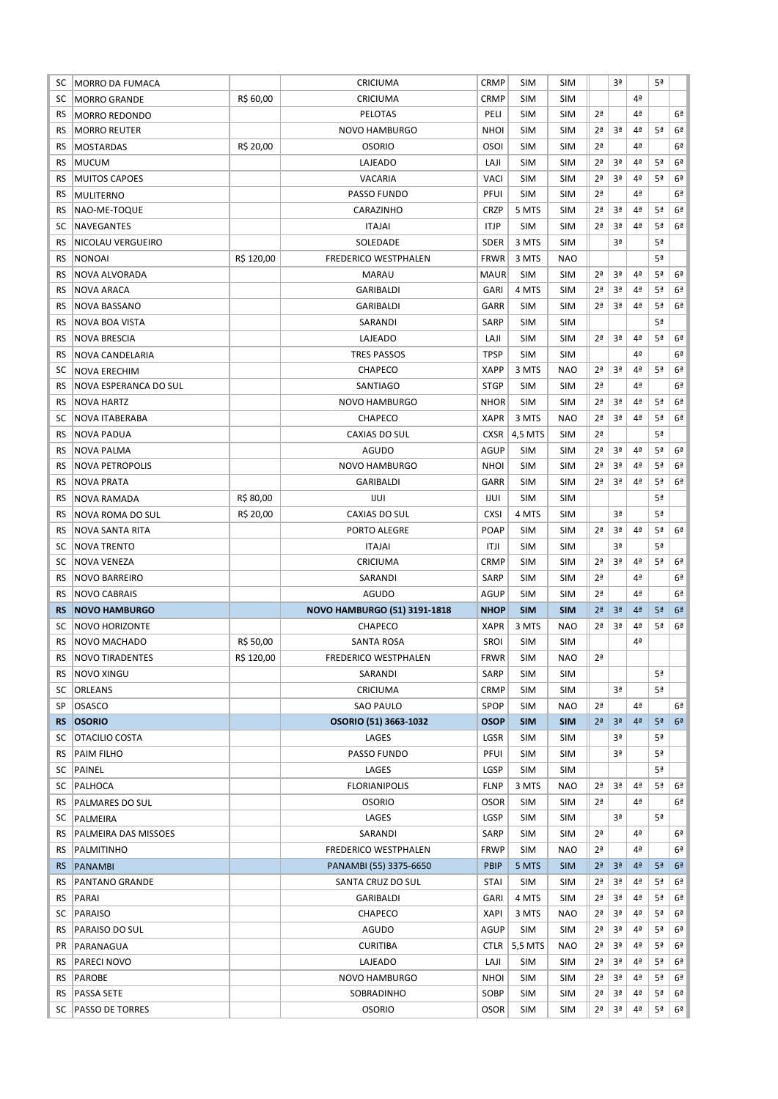| SC.       | <b>MORRO DA FUMACA</b>  |            | CRICIUMA                            | <b>CRMP</b> | SIM        | <b>SIM</b> |                | Зª             |                | 5ª             |                |
|-----------|-------------------------|------------|-------------------------------------|-------------|------------|------------|----------------|----------------|----------------|----------------|----------------|
| SC        | <b>MORRO GRANDE</b>     | R\$ 60,00  | CRICIUMA                            | <b>CRMP</b> | <b>SIM</b> | <b>SIM</b> |                |                | 4ª             |                |                |
| RS        | <b>MORRO REDONDO</b>    |            | <b>PELOTAS</b>                      | PELI        | <b>SIM</b> | <b>SIM</b> | 2 <sup>a</sup> |                | 4ª             |                | 6ª             |
| RS        | <b>MORRO REUTER</b>     |            | <b>NOVO HAMBURGO</b>                | <b>NHOI</b> | <b>SIM</b> | <b>SIM</b> | 2ª             | 3ª             | 4 <sup>a</sup> | 5ª             | 6ª             |
| RS        | <b>MOSTARDAS</b>        | R\$ 20,00  | <b>OSORIO</b>                       | <b>OSOI</b> | <b>SIM</b> | <b>SIM</b> | 2 <sup>a</sup> |                | 4ª             |                | 6ª             |
| RS        | <b>MUCUM</b>            |            | LAJEADO                             | LAJI        | SIM        | <b>SIM</b> | 2ª             | 3ª             | 4ª             | 5ª             | 6ª             |
| RS        | <b>MUITOS CAPOES</b>    |            | <b>VACARIA</b>                      | <b>VACI</b> | SIM        | <b>SIM</b> | 2ª             | 3ª             | 4ª             | 5ª             | 6 <sup>a</sup> |
| RS.       | <b>MULITERNO</b>        |            | PASSO FUNDO                         | PFUI        | <b>SIM</b> | <b>SIM</b> | 2ª             |                | 4ª             |                | 6ª             |
| RS        | NAO-ME-TOQUE            |            | CARAZINHO                           | <b>CRZP</b> | 5 MTS      | <b>SIM</b> | 2ª             | 3ª             | 4ª             | 5ª             | 6ª             |
| SC        | <b>NAVEGANTES</b>       |            | <b>ITAJAI</b>                       | <b>ITJP</b> | <b>SIM</b> | <b>SIM</b> | 2ª             | 3ª             | 4ª             | 5ª             | 6ª             |
| <b>RS</b> | NICOLAU VERGUEIRO       |            | SOLEDADE                            | <b>SDER</b> | 3 MTS      | <b>SIM</b> |                | 3ª             |                | 5ª             |                |
| RS        | <b>NONOAI</b>           | R\$ 120,00 | <b>FREDERICO WESTPHALEN</b>         | <b>FRWR</b> | 3 MTS      | <b>NAO</b> |                |                |                | 5ª             |                |
| RS.       | NOVA ALVORADA           |            | <b>MARAU</b>                        | <b>MAUR</b> | <b>SIM</b> | <b>SIM</b> | 2ª             | 3ª             | 4ª             | 5ª             | 6 <sup>a</sup> |
| RS        | <b>NOVA ARACA</b>       |            | <b>GARIBALDI</b>                    | <b>GARI</b> | 4 MTS      | <b>SIM</b> | 2ª             | 3ª             | 4 <sup>a</sup> | 5ª             | 6ª             |
| RS        | <b>NOVA BASSANO</b>     |            | GARIBALDI                           | GARR        | <b>SIM</b> | <b>SIM</b> | 2ª             | Зª             | 4ª             | 5ª             | 6ª             |
| RS        | NOVA BOA VISTA          |            | SARANDI                             | <b>SARP</b> | <b>SIM</b> | <b>SIM</b> |                |                |                | 5ª             |                |
| <b>RS</b> | <b>NOVA BRESCIA</b>     |            | LAJEADO                             | LAJI        | <b>SIM</b> | <b>SIM</b> | 2ª             | 3ª             | 4 <sup>a</sup> | 5ª             | 6ª             |
|           |                         |            |                                     | <b>TPSP</b> |            |            |                |                | 4ª             |                | 6ª             |
| <b>RS</b> | NOVA CANDELARIA         |            | <b>TRES PASSOS</b><br>CHAPECO       | <b>XAPP</b> | SIM        | <b>SIM</b> | 2ª             | 3ª             | 4ª             | 5ª             | 6ª             |
| SC        | <b>NOVA ERECHIM</b>     |            |                                     |             | 3 MTS      | <b>NAO</b> |                |                |                |                |                |
| RS        | NOVA ESPERANCA DO SUL   |            | SANTIAGO                            | <b>STGP</b> | <b>SIM</b> | <b>SIM</b> | 2ª             |                | 4ª             |                | 6ª             |
| RS        | <b>NOVA HARTZ</b>       |            | <b>NOVO HAMBURGO</b>                | <b>NHOR</b> | <b>SIM</b> | <b>SIM</b> | 2 <sup>a</sup> | 3ª             | 4ª             | 5ª             | 6ª             |
| SC        | <b>NOVA ITABERABA</b>   |            | CHAPECO                             | <b>XAPR</b> | 3 MTS      | <b>NAO</b> | 2ª             | 3ª             | 4ª             | 5ª             | 6ª             |
| <b>RS</b> | <b>NOVA PADUA</b>       |            | CAXIAS DO SUL                       | <b>CXSR</b> | 4,5 MTS    | <b>SIM</b> | 2ª             |                |                | 5ª             |                |
| RS        | NOVA PALMA              |            | <b>AGUDO</b>                        | <b>AGUP</b> | SIM        | <b>SIM</b> | 2 <sup>a</sup> | 3ª             | 4ª             | 5ª             | 6 <sup>a</sup> |
| RS        | <b>NOVA PETROPOLIS</b>  |            | <b>NOVO HAMBURGO</b>                | <b>NHOI</b> | <b>SIM</b> | <b>SIM</b> | 2ª             | 3ª             | 4ª             | 5ª             | 6 <sup>a</sup> |
| RS        | <b>NOVA PRATA</b>       |            | <b>GARIBALDI</b>                    | GARR        | <b>SIM</b> | <b>SIM</b> | 2ª             | 3ª             | 4ª             | 5ª             | 6 <sup>a</sup> |
| RS        | <b>NOVA RAMADA</b>      | R\$ 80,00  | IJUI                                | IJUI        | <b>SIM</b> | <b>SIM</b> |                |                |                | 5ª             |                |
|           | <b>NOVA ROMA DO SUL</b> | R\$ 20,00  | <b>CAXIAS DO SUL</b>                | <b>CXSI</b> | 4 MTS      | <b>SIM</b> |                | 3ª             |                | 5ª             |                |
| RS        |                         |            |                                     |             |            |            |                |                |                |                |                |
| <b>RS</b> | <b>NOVA SANTA RITA</b>  |            | PORTO ALEGRE                        | POAP        | <b>SIM</b> | <b>SIM</b> | 2ª             | 3ª             | 4ª             | 5ª             | 6ª             |
| SC        | <b>NOVA TRENTO</b>      |            | <b>ITAJAI</b>                       | ITJI        | SIM        | <b>SIM</b> |                | 3ª             |                | 5ª             |                |
| SC        | NOVA VENEZA             |            | CRICIUMA                            | <b>CRMP</b> | SIM        | <b>SIM</b> | 2ª             | 3ª             | 4ª             | 5ª             | 6ª             |
| RS        | <b>NOVO BARREIRO</b>    |            | SARANDI                             | SARP        | SIM        | <b>SIM</b> | 2ª             |                | 4ª             |                | 6ª             |
| RS        | <b>NOVO CABRAIS</b>     |            | AGUDO                               | <b>AGUP</b> | SIM        | <b>SIM</b> | 2ª             |                | 4ª             |                | 6ª             |
| <b>RS</b> | <b>NOVO HAMBURGO</b>    |            | <b>NOVO HAMBURGO (51) 3191-1818</b> | <b>NHOP</b> | <b>SIM</b> | <b>SIM</b> | 2 <sup>a</sup> | 3 <sup>a</sup> | 4 <sup>2</sup> | 5 <sup>a</sup> | 6 <sup>2</sup> |
| SC        | <b>NOVO HORIZONTE</b>   |            | <b>CHAPECO</b>                      | <b>XAPR</b> | 3 MTS      | <b>NAO</b> | 2ª             | 3ª             | 4ª             | 5ª             | 6 <sup>a</sup> |
| <b>RS</b> | NOVO MACHADO            | R\$ 50,00  | <b>SANTA ROSA</b>                   | <b>SROI</b> | <b>SIM</b> | <b>SIM</b> |                |                | 4ª             |                |                |
| RS        | <b>NOVO TIRADENTES</b>  | R\$ 120,00 | <b>FREDERICO WESTPHALEN</b>         | <b>FRWR</b> | SIM        | <b>NAO</b> | 2 <sup>a</sup> |                |                |                |                |
| RS        | <b>NOVO XINGU</b>       |            | SARANDI                             | <b>SARP</b> | SIM        | <b>SIM</b> |                |                |                | 5ª             |                |
| SC        | <b>ORLEANS</b>          |            | CRICIUMA                            | <b>CRMP</b> | SIM        | <b>SIM</b> |                | 3ª             |                | 5ª             |                |
| SP        | OSASCO                  |            | SAO PAULO                           | <b>SPOP</b> | <b>SIM</b> | <b>NAO</b> | 2 <sup>a</sup> |                | 4ª             |                | 6ª             |
| <b>RS</b> | <b>OSORIO</b>           |            | OSORIO (51) 3663-1032               | <b>OSOP</b> | <b>SIM</b> | <b>SIM</b> | 2 <sup>a</sup> | 3 <sup>a</sup> | 4 <sup>2</sup> | 5 <sup>a</sup> | 6 <sup>2</sup> |
| SC        | <b>OTACILIO COSTA</b>   |            | LAGES                               | LGSR        | <b>SIM</b> | <b>SIM</b> |                | 3ª             |                | 5ª             |                |
| RS        | <b>PAIM FILHO</b>       |            | PASSO FUNDO                         | PFUI        | SIM        | <b>SIM</b> |                | 3ª             |                | 5ª             |                |
| SC        | PAINEL                  |            | LAGES                               | LGSP        | SIM        | <b>SIM</b> |                |                |                | 5ª             |                |
| SC        | PALHOCA                 |            | <b>FLORIANIPOLIS</b>                | <b>FLNP</b> | 3 MTS      | NAO        | 2ª             | 3ª             | 4 <sup>a</sup> | 5ª             | 6ª             |
| RS        | PALMARES DO SUL         |            | <b>OSORIO</b>                       | <b>OSOR</b> | SIM        | <b>SIM</b> | 2ª             |                | 4ª             |                | 6ª             |
| SC        | PALMEIRA                |            | LAGES                               | LGSP        | <b>SIM</b> | <b>SIM</b> |                | 3ª             |                | 5ª             |                |
| RS        | PALMEIRA DAS MISSOES    |            | SARANDI                             | SARP        | <b>SIM</b> | <b>SIM</b> | 2 <sup>a</sup> |                | 4ª             |                | 6ª             |
| RS.       | PALMITINHO              |            | FREDERICO WESTPHALEN                | <b>FRWP</b> | <b>SIM</b> | <b>NAO</b> | 2ª             |                | 4ª             |                | 6ª             |
| RS.       | <b>PANAMBI</b>          |            | PANAMBI (55) 3375-6650              | <b>PBIP</b> | 5 MTS      | <b>SIM</b> | 2 <sup>a</sup> | 3 <sup>a</sup> | 4 <sup>2</sup> | 5 <sup>a</sup> | 6 <sup>2</sup> |
| RS        | <b>PANTANO GRANDE</b>   |            | SANTA CRUZ DO SUL                   | <b>STAI</b> | SIM        | <b>SIM</b> | 2ª             | 3ª             | 4ª             | 5ª             | 6ª             |
| RS        | PARAI                   |            | GARIBALDI                           | <b>GARI</b> | 4 MTS      | <b>SIM</b> | 2ª             | Зª             | 4ª             | 5ª             | 6ª             |
| SC        | PARAISO                 |            | CHAPECO                             | <b>XAPI</b> | 3 MTS      | <b>NAO</b> | 2ª             | 3ª             | 4ª             | 5ª             | 6ª             |
| RS        | PARAISO DO SUL          |            | AGUDO                               | <b>AGUP</b> | <b>SIM</b> | <b>SIM</b> | 2ª             | 3ª             | 4ª             | 5ª             | 6ª             |
| PR        | PARANAGUA               |            | <b>CURITIBA</b>                     | <b>CTLR</b> | 5,5 MTS    | <b>NAO</b> | 2ª             | 3ª             | 4ª             | 5ª             | 6ª             |
| RS        | PARECI NOVO             |            | LAJEADO                             | LAJI        | SIM        | <b>SIM</b> | 2ª             | 3ª             | 4ª             | 5ª             | 6 <sup>a</sup> |
| RS        | PAROBE                  |            | NOVO HAMBURGO                       | <b>NHOI</b> | SIM        | <b>SIM</b> | 2ª             | 3ª             | 4ª             | 5ª             | 6ª             |
| RS        | PASSA SETE              |            | SOBRADINHO                          | SOBP        | <b>SIM</b> | <b>SIM</b> | 2ª             | 3ª             | 4ª             | 5ª             | 6ª             |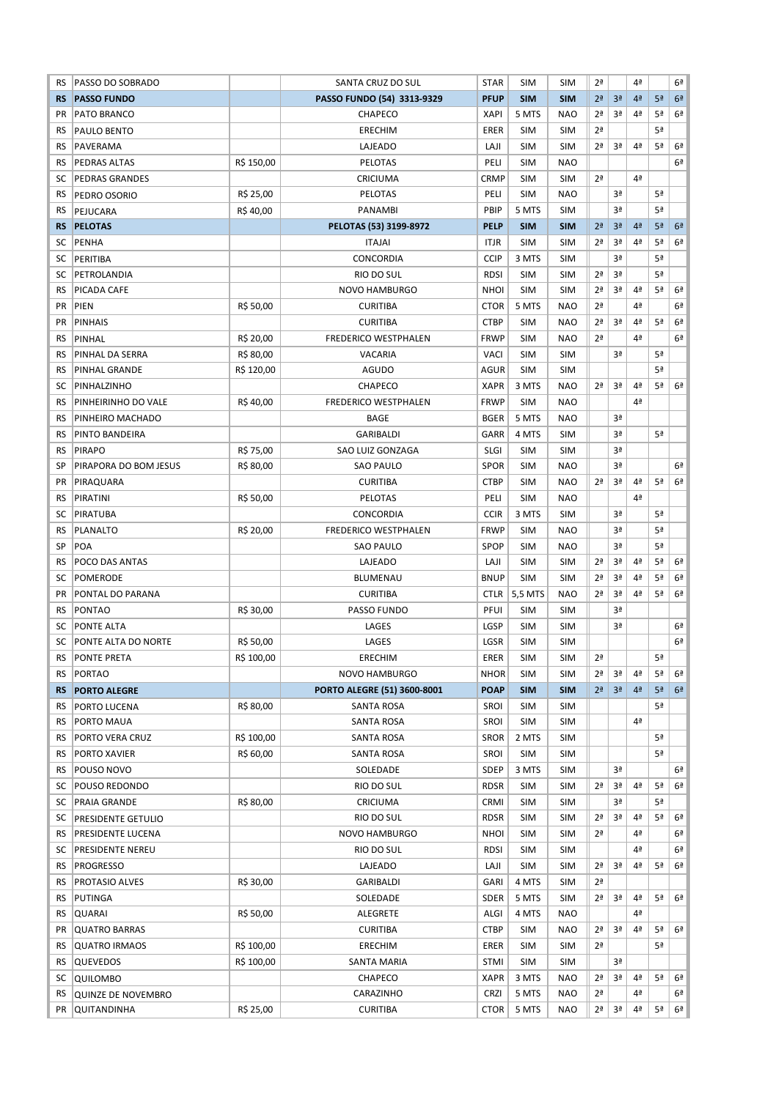| RS        | PASSO DO SOBRADO                         |            | SANTA CRUZ DO SUL           | <b>STAR</b> | <b>SIM</b> | <b>SIM</b>               | 2ª             |                | 4ª             |    | 6ª             |
|-----------|------------------------------------------|------------|-----------------------------|-------------|------------|--------------------------|----------------|----------------|----------------|----|----------------|
| <b>RS</b> | <b>PASSO FUNDO</b>                       |            | PASSO FUNDO (54) 3313-9329  | <b>PFUP</b> | <b>SIM</b> | <b>SIM</b>               | 2 <sup>a</sup> | 3 <sup>a</sup> | 4ª             | 5ª | 6 <sup>2</sup> |
| <b>PR</b> | PATO BRANCO                              |            | <b>CHAPECO</b>              | <b>XAPI</b> | 5 MTS      | <b>NAO</b>               | 2 <sup>a</sup> | 3ª             | 4ª             | 5ª | 6 <sup>2</sup> |
| RS        | <b>PAULO BENTO</b>                       |            | <b>ERECHIM</b>              | <b>ERER</b> | <b>SIM</b> | <b>SIM</b>               | 2 <sup>a</sup> |                |                | 5ª |                |
| <b>RS</b> | PAVERAMA                                 |            | LAJEADO                     | LAJI        | <b>SIM</b> | <b>SIM</b>               | 2 <sup>a</sup> | 3ª             | 4ª             | 5ª | 6 <sup>a</sup> |
| RS        | <b>PEDRAS ALTAS</b>                      | R\$ 150,00 | <b>PELOTAS</b>              | PELI        | <b>SIM</b> | <b>NAO</b>               |                |                |                |    | 6 <sup>a</sup> |
| SC        | <b>PEDRAS GRANDES</b>                    |            | CRICIUMA                    | <b>CRMP</b> | <b>SIM</b> | <b>SIM</b>               | 2 <sup>a</sup> |                | 4ª             |    |                |
| RS        | PEDRO OSORIO                             | R\$ 25,00  | PELOTAS                     | PELI        | <b>SIM</b> | <b>NAO</b>               |                | 3ª             |                | 5ª |                |
| RS        | PEJUCARA                                 | R\$40,00   | <b>PANAMBI</b>              | PBIP        | 5 MTS      | <b>SIM</b>               |                | 3ª             |                | 5ª |                |
| <b>RS</b> | <b>PELOTAS</b>                           |            | PELOTAS (53) 3199-8972      | <b>PELP</b> | <b>SIM</b> | <b>SIM</b>               | 2 <sup>a</sup> | 3 <sup>a</sup> | 4 <sup>2</sup> | 5ª | 6 <sup>a</sup> |
| SC        | <b>PENHA</b>                             |            | <b>ITAJAI</b>               | <b>ITJR</b> | <b>SIM</b> | <b>SIM</b>               | 2 <sup>a</sup> | 3ª             | 4 <sup>a</sup> | 5ª | 6ª             |
| SC        | PERITIBA                                 |            | <b>CONCORDIA</b>            | <b>CCIP</b> | 3 MTS      | <b>SIM</b>               |                | 3ª             |                | 5ª |                |
| SC        | PETROLANDIA                              |            | RIO DO SUL                  | <b>RDSI</b> | <b>SIM</b> | <b>SIM</b>               | 2 <sup>a</sup> | 3ª             |                | 5ª |                |
| RS        | PICADA CAFE                              |            | NOVO HAMBURGO               | <b>NHOI</b> | <b>SIM</b> | <b>SIM</b>               | 2 <sup>a</sup> | 3ª             | 4 <sup>a</sup> | 5ª | 6 <sup>a</sup> |
| <b>PR</b> | PIEN                                     | R\$ 50,00  | <b>CURITIBA</b>             | <b>CTOR</b> | 5 MTS      | <b>NAO</b>               | 2 <sup>a</sup> |                | 4ª             |    | 6ª             |
| PR        | <b>PINHAIS</b>                           |            | <b>CURITIBA</b>             | <b>CTBP</b> | <b>SIM</b> | <b>NAO</b>               | 2ª             | 3ª             | 4 <sup>a</sup> | 5ª | 6 <sup>a</sup> |
| <b>RS</b> | PINHAL                                   | R\$ 20,00  | FREDERICO WESTPHALEN        | <b>FRWP</b> | <b>SIM</b> | <b>NAO</b>               | 2 <sup>a</sup> |                | 4ª             |    | 6ª             |
| RS        | PINHAL DA SERRA                          | R\$ 80,00  | VACARIA                     | <b>VACI</b> | <b>SIM</b> | <b>SIM</b>               |                | 3ª             |                | 5ª |                |
| RS        | PINHAL GRANDE                            | R\$ 120,00 | AGUDO                       | <b>AGUR</b> | <b>SIM</b> | <b>SIM</b>               |                |                |                | 5ª |                |
| SC        | PINHALZINHO                              |            | CHAPECO                     | <b>XAPR</b> | 3 MTS      | <b>NAO</b>               | 2 <sup>a</sup> | 3ª             | 4 <sup>a</sup> | 5ª | 6 <sup>a</sup> |
| <b>RS</b> | PINHEIRINHO DO VALE                      | R\$40,00   | <b>FREDERICO WESTPHALEN</b> | <b>FRWP</b> | <b>SIM</b> | <b>NAO</b>               |                |                | 4ª             |    |                |
| RS        | PINHEIRO MACHADO                         |            | <b>BAGE</b>                 | <b>BGER</b> | 5 MTS      | <b>NAO</b>               |                | 3ª             |                |    |                |
| <b>RS</b> | PINTO BANDEIRA                           |            | <b>GARIBALDI</b>            | GARR        | 4 MTS      | <b>SIM</b>               |                | 3ª             |                | 5ª |                |
| RS        | <b>PIRAPO</b>                            | R\$ 75,00  | <b>SAO LUIZ GONZAGA</b>     | <b>SLGI</b> | <b>SIM</b> | <b>SIM</b>               |                | 3ª             |                |    |                |
| SP        | PIRAPORA DO BOM JESUS                    | R\$ 80,00  | <b>SAO PAULO</b>            | <b>SPOR</b> | <b>SIM</b> | <b>NAO</b>               |                | 3ª             |                |    | 6ª             |
| PR        | PIRAQUARA                                |            | <b>CURITIBA</b>             | <b>CTBP</b> | <b>SIM</b> | <b>NAO</b>               | 2 <sup>a</sup> | 3ª             | 4ª             | 5ª | 6 <sup>a</sup> |
| RS        | PIRATINI                                 | R\$ 50,00  | PELOTAS                     | PELI        | <b>SIM</b> | <b>NAO</b>               |                |                | 4 <sup>a</sup> |    |                |
| SC        | PIRATUBA                                 |            | CONCORDIA                   | <b>CCIR</b> | 3 MTS      | <b>SIM</b>               |                | 3ª             |                | 5ª |                |
| <b>RS</b> | <b>PLANALTO</b>                          | R\$ 20,00  | <b>FREDERICO WESTPHALEN</b> | <b>FRWP</b> | <b>SIM</b> | <b>NAO</b>               |                | 3ª             |                | 5ª |                |
| SP        | <b>POA</b>                               |            | <b>SAO PAULO</b>            | <b>SPOP</b> | <b>SIM</b> | <b>NAO</b>               |                | 3ª             |                | 5ª |                |
| <b>RS</b> | POCO DAS ANTAS                           |            | LAJEADO                     | LAJI        | <b>SIM</b> | <b>SIM</b>               | 2ª             | 3ª             | 4ª             | 5ª | 6 <sup>a</sup> |
| SC        | POMERODE                                 |            | <b>BLUMENAU</b>             | <b>BNUP</b> | <b>SIM</b> | <b>SIM</b>               | 2ª             | 3ª             | 4 <sup>a</sup> | 5ª | 6 <sup>a</sup> |
| <b>PR</b> | PONTAL DO PARANA                         |            | <b>CURITIBA</b>             | <b>CTLR</b> | 5,5 MTS    | <b>NAO</b>               | 2ª             | 3ª             | 4ª             | 5ª | 6ª             |
| RS        | <b>PONTAO</b>                            | R\$ 30,00  | PASSO FUNDO                 | PFUI        | <b>SIM</b> | <b>SIM</b>               |                | 3ª             |                |    |                |
|           |                                          |            |                             | LGSP        | <b>SIM</b> |                          |                | 3ª             |                |    | 6ª             |
| SC.<br>SC | <b>PONTE ALTA</b><br>PONTE ALTA DO NORTE | R\$ 50,00  | LAGES<br>LAGES              | LGSR        | <b>SIM</b> | <b>SIM</b><br><b>SIM</b> |                |                |                |    | 6 <sup>a</sup> |
|           |                                          |            |                             | <b>ERER</b> |            |                          | 2 <sup>a</sup> |                |                |    |                |
| RS        | <b>PONTE PRETA</b>                       | R\$ 100,00 | <b>ERECHIM</b>              |             | <b>SIM</b> | <b>SIM</b>               |                |                |                | 5ª |                |
| RS        | PORTAO                                   |            | NOVO HAMBURGO               |             |            |                          |                | 3ª             | 4ª             | 5ª | 6 <sup>a</sup> |
| <b>RS</b> |                                          |            |                             | <b>NHOR</b> | SIM        | <b>SIM</b>               | 2ª             |                |                |    | 6 <sup>2</sup> |
| RS        | <b>PORTO ALEGRE</b>                      |            | PORTO ALEGRE (51) 3600-8001 | <b>POAP</b> | <b>SIM</b> | <b>SIM</b>               | 2 <sup>a</sup> | 3 <sup>a</sup> | 4 <sup>2</sup> | 5ª |                |
|           | PORTO LUCENA                             | R\$ 80,00  | SANTA ROSA                  | SROI        | <b>SIM</b> | SIM                      |                |                |                | 5ª |                |
| RS        | PORTO MAUA                               |            | SANTA ROSA                  | SROI        | <b>SIM</b> | <b>SIM</b>               |                |                | 4ª             |    |                |
| RS        | PORTO VERA CRUZ                          | R\$ 100,00 | SANTA ROSA                  | <b>SROR</b> | 2 MTS      | <b>SIM</b>               |                |                |                | 5ª |                |
| RS.       | <b>PORTO XAVIER</b>                      | R\$ 60,00  | SANTA ROSA                  | SROI        | SIM        | <b>SIM</b>               |                |                |                | 5ª |                |
| RS        | POUSO NOVO                               |            | SOLEDADE                    | <b>SDEP</b> | 3 MTS      | <b>SIM</b>               |                | 3ª             |                |    | 6ª             |
| SC        | POUSO REDONDO                            |            | RIO DO SUL                  | <b>RDSR</b> | SIM        | <b>SIM</b>               | 2 <sup>a</sup> | 3ª             | 4ª             | 5ª | 6ª             |
| SC        | PRAIA GRANDE                             | R\$ 80,00  | CRICIUMA                    | <b>CRMI</b> | <b>SIM</b> | <b>SIM</b>               |                | 3ª             |                | 5ª |                |
| SC        | <b>PRESIDENTE GETULIO</b>                |            | RIO DO SUL                  | <b>RDSR</b> | <b>SIM</b> | <b>SIM</b>               | 2ª             | 3ª             | 4 <sup>a</sup> | 5ª | 6 <sup>2</sup> |
| RS        | PRESIDENTE LUCENA                        |            | NOVO HAMBURGO               | <b>NHOI</b> | <b>SIM</b> | <b>SIM</b>               | 2ª             |                | 4ª             |    | 6ª             |
| SC        | PRESIDENTE NEREU                         |            | RIO DO SUL                  | <b>RDSI</b> | <b>SIM</b> | <b>SIM</b>               |                |                | 4ª             |    | 6ª             |
| RS        | <b>PROGRESSO</b>                         |            | LAJEADO                     | LAJI        | <b>SIM</b> | <b>SIM</b>               | 2ª             | 3ª             | 4 <sup>a</sup> | 5ª | 6 <sup>2</sup> |
| RS.       | <b>PROTASIO ALVES</b>                    | R\$ 30,00  | GARIBALDI                   | <b>GARI</b> | 4 MTS      | <b>SIM</b>               | 2ª             |                |                |    |                |
| RS        | PUTINGA                                  |            | SOLEDADE                    | <b>SDER</b> | 5 MTS      | <b>SIM</b>               | 2ª             | 3ª             | 4 <sup>a</sup> | 5ª | 6 <sup>a</sup> |
| RS        | QUARAI                                   | R\$ 50,00  | ALEGRETE                    | ALGI        | 4 MTS      | <b>NAO</b>               |                |                | 4ª             |    |                |
| PR        | QUATRO BARRAS                            |            | <b>CURITIBA</b>             | <b>CTBP</b> | <b>SIM</b> | <b>NAO</b>               | 2ª             | 3ª             | 4ª             | 5ª | 6 <sup>a</sup> |
| RS.       | <b>QUATRO IRMAOS</b>                     | R\$ 100,00 | <b>ERECHIM</b>              | ERER        | SIM        | <b>SIM</b>               | 2ª             |                |                | 5ª |                |
| RS.       | <b>QUEVEDOS</b>                          | R\$ 100,00 | SANTA MARIA                 | <b>STMI</b> | SIM        | <b>SIM</b>               |                | 3ª             |                |    |                |
| SC        | <b>QUILOMBO</b>                          |            | CHAPECO                     | <b>XAPR</b> | 3 MTS      | <b>NAO</b>               | 2 <sup>a</sup> | 3ª             | 4 <sup>a</sup> | 5ª | 6 <sup>a</sup> |
| RS        | <b>QUINZE DE NOVEMBRO</b>                |            | CARAZINHO                   | <b>CRZI</b> | 5 MTS      | <b>NAO</b>               | 2ª             |                | 4ª             |    | 6 <sup>2</sup> |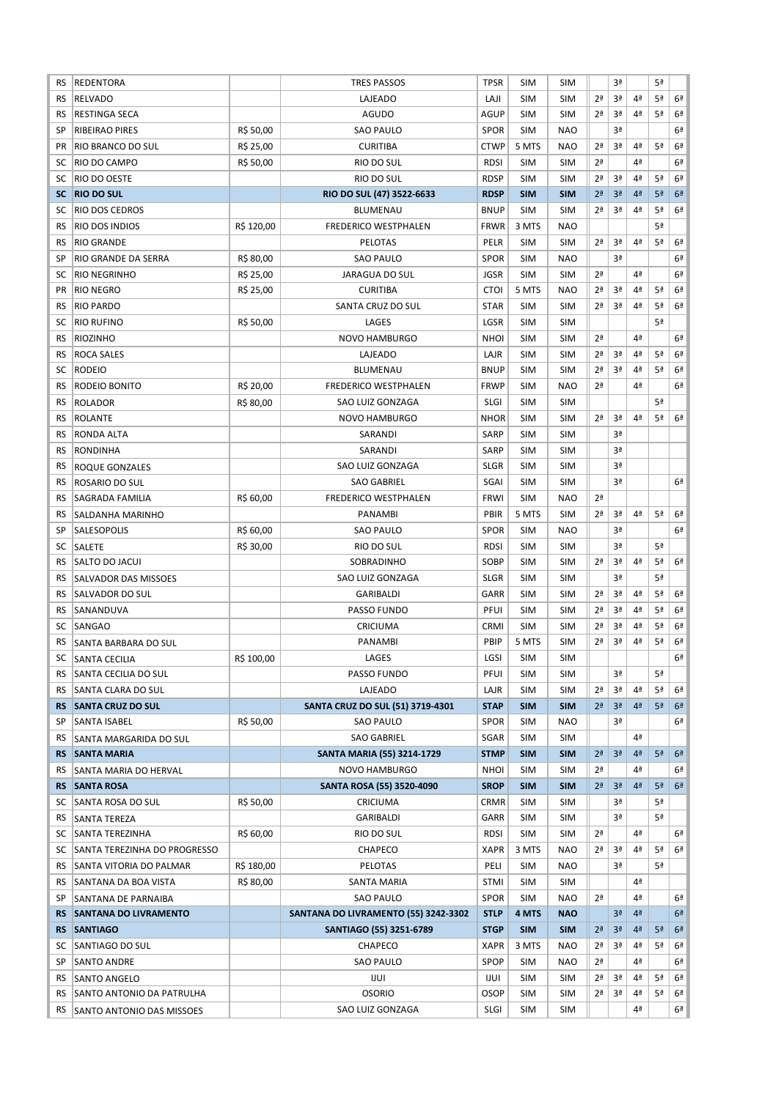| RS        | REDENTORA                    |            | <b>TRES PASSOS</b>                   | <b>TPSR</b> | <b>SIM</b> | <b>SIM</b> |                | 3ª             |                | 5ª             |                |
|-----------|------------------------------|------------|--------------------------------------|-------------|------------|------------|----------------|----------------|----------------|----------------|----------------|
| <b>RS</b> | <b>RELVADO</b>               |            | LAJEADO                              | LAJI        | <b>SIM</b> | <b>SIM</b> | 2 <sup>a</sup> | 3ª             | 4ª             | 5ª             | 6 <sup>a</sup> |
| RS        | <b>RESTINGA SECA</b>         |            | AGUDO                                | AGUP        | <b>SIM</b> | <b>SIM</b> | 2 <sup>a</sup> | 3ª             | 4ª             | 5ª             | 6 <sup>a</sup> |
| SP        | <b>RIBEIRAO PIRES</b>        | R\$ 50,00  | <b>SAO PAULO</b>                     | SPOR        | <b>SIM</b> | <b>NAO</b> |                | 3ª             |                |                | 6 <sup>2</sup> |
| PR        | RIO BRANCO DO SUL            | R\$ 25,00  | <b>CURITIBA</b>                      | <b>CTWP</b> | 5 MTS      | <b>NAO</b> | 2 <sup>a</sup> | 3ª             | 4 <sup>a</sup> | 5ª             | 6ª             |
| SC        | RIO DO CAMPO                 | R\$ 50,00  | RIO DO SUL                           | <b>RDSI</b> | <b>SIM</b> | <b>SIM</b> | 2 <sup>a</sup> |                | 4 <sup>a</sup> |                | 6ª             |
| SC        | RIO DO OESTE                 |            | RIO DO SUL                           | <b>RDSP</b> | <b>SIM</b> | <b>SIM</b> | 2 <sup>a</sup> | 3ª             | 4 <sup>a</sup> | 5ª             | 6 <sup>a</sup> |
| <b>SC</b> | <b>RIO DO SUL</b>            |            | RIO DO SUL (47) 3522-6633            | <b>RDSP</b> | <b>SIM</b> | <b>SIM</b> | 2 <sup>a</sup> | 3 <sup>a</sup> | 4 <sup>2</sup> | 5ª             | 6 <sup>2</sup> |
| SC        | <b>RIO DOS CEDROS</b>        |            | <b>BLUMENAU</b>                      | <b>BNUP</b> | <b>SIM</b> | <b>SIM</b> | 2 <sup>a</sup> | 3ª             | 4 <sup>a</sup> | 5ª             | 6 <sup>a</sup> |
| RS        | RIO DOS INDIOS               | R\$ 120,00 | <b>FREDERICO WESTPHALEN</b>          | <b>FRWR</b> | 3 MTS      | <b>NAO</b> |                |                |                | 5 <sup>a</sup> |                |
| RS        | <b>RIO GRANDE</b>            |            | <b>PELOTAS</b>                       | <b>PELR</b> | <b>SIM</b> | <b>SIM</b> | 2 <sup>a</sup> | 3ª             | 4 <sup>a</sup> | 5ª             | 6 <sup>a</sup> |
| SP        | RIO GRANDE DA SERRA          | R\$ 80,00  | <b>SAO PAULO</b>                     | <b>SPOR</b> | <b>SIM</b> | <b>NAO</b> |                | 3ª             |                |                | 6 <sup>a</sup> |
| SC        | <b>RIO NEGRINHO</b>          | R\$ 25,00  | JARAGUA DO SUL                       | <b>JGSR</b> | <b>SIM</b> | <b>SIM</b> | 2 <sup>a</sup> |                | 4ª             |                | 6ª             |
| <b>PR</b> | <b>RIO NEGRO</b>             | R\$ 25,00  | <b>CURITIBA</b>                      | <b>CTOI</b> | 5 MTS      | <b>NAO</b> | 2 <sup>a</sup> | 3ª             | 4ª             | 5ª             | 6 <sup>2</sup> |
| RS        | <b>RIO PARDO</b>             |            | SANTA CRUZ DO SUL                    | <b>STAR</b> | <b>SIM</b> | <b>SIM</b> | 2 <sup>a</sup> | 3ª             | 4ª             | 5ª             | 6ª             |
| SC        | <b>RIO RUFINO</b>            | R\$ 50,00  | LAGES                                | LGSR        | <b>SIM</b> | <b>SIM</b> |                |                |                | 5ª             |                |
| RS        | <b>RIOZINHO</b>              |            | <b>NOVO HAMBURGO</b>                 | <b>NHOI</b> | <b>SIM</b> | <b>SIM</b> | 2 <sup>a</sup> |                | 4 <sup>a</sup> |                | 6ª             |
| RS        | <b>ROCA SALES</b>            |            | LAJEADO                              | LAJR        | <b>SIM</b> | <b>SIM</b> | 2 <sup>a</sup> | 3ª             | 4 <sup>a</sup> | 5ª             | 6ª             |
| SC        | <b>RODEIO</b>                |            | <b>BLUMENAU</b>                      | <b>BNUP</b> | <b>SIM</b> | <b>SIM</b> | 2 <sup>a</sup> | 3ª             | 4 <sup>a</sup> | 5ª             | 6ª             |
| <b>RS</b> | RODEIO BONITO                | R\$ 20.00  | <b>FREDERICO WESTPHALEN</b>          | <b>FRWP</b> | <b>SIM</b> | <b>NAO</b> | 2 <sup>a</sup> |                | 4 <sup>a</sup> |                | 6ª             |
| RS        | <b>ROLADOR</b>               | R\$ 80,00  | SAO LUIZ GONZAGA                     | <b>SLGI</b> | <b>SIM</b> | <b>SIM</b> |                |                |                | 5ª             |                |
| RS        | <b>ROLANTE</b>               |            | <b>NOVO HAMBURGO</b>                 | <b>NHOR</b> | <b>SIM</b> | <b>SIM</b> | 2 <sup>a</sup> | 3ª             | 4ª             | 5ª             | 6 <sup>a</sup> |
| RS        | RONDA ALTA                   |            | SARANDI                              | SARP        | <b>SIM</b> | <b>SIM</b> |                | 3ª             |                |                |                |
| RS        | <b>RONDINHA</b>              |            | SARANDI                              | SARP        | <b>SIM</b> | <b>SIM</b> |                | 3ª             |                |                |                |
| RS        |                              |            | SAO LUIZ GONZAGA                     | <b>SLGR</b> | <b>SIM</b> | <b>SIM</b> |                | 3ª             |                |                |                |
|           | ROQUE GONZALES               |            |                                      |             |            |            |                | 3ª             |                |                | 6ª             |
| RS        | ROSARIO DO SUL               |            | <b>SAO GABRIEL</b>                   | SGAI        | <b>SIM</b> | <b>SIM</b> |                |                |                |                |                |
| RS        | SAGRADA FAMILIA              | R\$ 60,00  | <b>FREDERICO WESTPHALEN</b>          | <b>FRWI</b> | <b>SIM</b> | <b>NAO</b> | 2 <sup>a</sup> |                |                |                |                |
| RS        | SALDANHA MARINHO             |            | PANAMBI                              | PBIR        | 5 MTS      | <b>SIM</b> | 2 <sup>a</sup> | 3ª             | 4ª             | 5ª             | 6 <sup>a</sup> |
| SP        | SALESOPOLIS                  | R\$ 60,00  | <b>SAO PAULO</b>                     | <b>SPOR</b> | <b>SIM</b> | <b>NAO</b> |                | 3ª             |                |                | 6 <sup>2</sup> |
| SC        | SALETE                       | R\$ 30,00  | RIO DO SUL                           | <b>RDSI</b> | <b>SIM</b> | <b>SIM</b> |                | 3ª             |                | 5 <sup>a</sup> |                |
| RS        | SALTO DO JACUI               |            | SOBRADINHO                           | SOBP        | <b>SIM</b> | <b>SIM</b> | 2 <sup>a</sup> | 3ª             | 4ª             | 5ª             | 6ª             |
| RS        | SALVADOR DAS MISSOES         |            | SAO LUIZ GONZAGA                     | <b>SLGR</b> | <b>SIM</b> | <b>SIM</b> |                | 3ª             |                | 5ª             |                |
| <b>RS</b> | <b>SALVADOR DO SUL</b>       |            | GARIBALDI                            | GARR        | <b>SIM</b> | <b>SIM</b> | 2 <sup>a</sup> | 3ª             | 4 <sup>a</sup> | 5ª             | 6 <sup>2</sup> |
| RS        | SANANDUVA                    |            | PASSO FUNDO                          | PFUI        | <b>SIM</b> | <b>SIM</b> | 2 <sup>a</sup> | 3ª             | 4 <sup>a</sup> | 5ª             | 6ª             |
| SC        | SANGAO                       |            | CRICIUMA                             | <b>CRMI</b> | <b>SIM</b> | <b>SIM</b> | 2ª             | 3ª             | 4 <sup>a</sup> | 5ª             | 6ª             |
| RS        | SANTA BARBARA DO SUL         |            | PANAMBI                              | PBIP        | 5 MTS      | <b>SIM</b> | 2ª             | 3ª             | 4 <sup>a</sup> | 5ª             | 6 <sup>a</sup> |
| SC        | <b>SANTA CECILIA</b>         | R\$ 100,00 | LAGES                                | LGSI        | <b>SIM</b> | <b>SIM</b> |                |                |                |                | 6ª             |
| RS        | <b>SANTA CECILIA DO SUL</b>  |            | PASSO FUNDO                          | PFUI        | <b>SIM</b> | <b>SIM</b> |                | 3ª             |                | 5ª             |                |
| RS        | <b>SANTA CLARA DO SUL</b>    |            | LAJEADO                              | LAJR        | <b>SIM</b> | <b>SIM</b> | 2ª             | 3ª             | 4 <sup>a</sup> | 5ª             | 6ª             |
| <b>RS</b> | <b>SANTA CRUZ DO SUL</b>     |            | SANTA CRUZ DO SUL (51) 3719-4301     | <b>STAP</b> | <b>SIM</b> | <b>SIM</b> | 2 <sup>a</sup> | 3 <sup>a</sup> | 4 <sup>a</sup> | 5 <sup>a</sup> | 6 <sup>2</sup> |
| SP        | SANTA ISABEL                 | R\$ 50,00  | SAO PAULO                            | <b>SPOR</b> | <b>SIM</b> | <b>NAO</b> |                | 3ª             |                |                | 6ª             |
| RS.       | SANTA MARGARIDA DO SUL       |            | <b>SAO GABRIEL</b>                   | SGAR        | <b>SIM</b> | <b>SIM</b> |                |                | 4 <sup>a</sup> |                |                |
| <b>RS</b> | <b>SANTA MARIA</b>           |            | SANTA MARIA (55) 3214-1729           | <b>STMP</b> | <b>SIM</b> | <b>SIM</b> | 2 <sup>a</sup> | 3 <sup>a</sup> | 4 <sup>a</sup> | 5ª             | 6 <sup>2</sup> |
| RS.       | SANTA MARIA DO HERVAL        |            | NOVO HAMBURGO                        | <b>NHOI</b> | <b>SIM</b> | <b>SIM</b> | 2 <sup>a</sup> |                | 4 <sup>a</sup> |                | 6ª             |
| RS        | <b>SANTA ROSA</b>            |            | SANTA ROSA (55) 3520-4090            | <b>SROP</b> | <b>SIM</b> | <b>SIM</b> | 2 <sup>a</sup> | 3 <sup>a</sup> | 4 <sup>a</sup> | 5ª             | 6 <sup>2</sup> |
| SC        | SANTA ROSA DO SUL            | R\$ 50,00  | <b>CRICIUMA</b>                      | <b>CRMR</b> | <b>SIM</b> | <b>SIM</b> |                | 3ª             |                | 5ª             |                |
| RS.       | <b>SANTA TEREZA</b>          |            | <b>GARIBALDI</b>                     | GARR        | <b>SIM</b> | <b>SIM</b> |                | 3ª             |                | 5ª             |                |
| SC        | <b>SANTA TEREZINHA</b>       | R\$ 60,00  | RIO DO SUL                           | <b>RDSI</b> | SIM        | SIM        | 2 <sup>a</sup> |                | 4 <sup>a</sup> |                | 6ª             |
| SC        | SANTA TEREZINHA DO PROGRESSO |            | CHAPECO                              | <b>XAPR</b> | 3 MTS      | <b>NAO</b> | 2 <sup>a</sup> | 3ª             | 4ª             | 5ª             | 6ª             |
| RS        | SANTA VITORIA DO PALMAR      | R\$ 180,00 | PELOTAS                              | PELI        | <b>SIM</b> | <b>NAO</b> |                | 3ª             |                | 5ª             |                |
| RS        | SANTANA DA BOA VISTA         | R\$ 80,00  | SANTA MARIA                          | <b>STMI</b> | <b>SIM</b> | <b>SIM</b> |                |                | 4 <sup>a</sup> |                |                |
| SP        | SANTANA DE PARNAIBA          |            | <b>SAO PAULO</b>                     | <b>SPOR</b> | <b>SIM</b> | <b>NAO</b> | 2 <sup>a</sup> |                | 4ª             |                | 6ª             |
| <b>RS</b> | <b>SANTANA DO LIVRAMENTO</b> |            | SANTANA DO LIVRAMENTO (55) 3242-3302 | <b>STLP</b> | 4 MTS      | <b>NAO</b> |                | 3 <sup>a</sup> | 4 <sup>a</sup> |                | 6 <sup>2</sup> |
| <b>RS</b> | <b>SANTIAGO</b>              |            | SANTIAGO (55) 3251-6789              | <b>STGP</b> | <b>SIM</b> | <b>SIM</b> | 2 <sup>a</sup> | 3 <sup>a</sup> | 4 <sup>a</sup> | 5 <sup>a</sup> | 6 <sup>2</sup> |
| SC        | SANTIAGO DO SUL              |            | CHAPECO                              | <b>XAPR</b> | 3 MTS      | <b>NAO</b> | 2ª             | 3ª             | 4 <sup>a</sup> | 5ª             | 6ª             |
| SP        | SANTO ANDRE                  |            | <b>SAO PAULO</b>                     | SPOP        | <b>SIM</b> | <b>NAO</b> | 2 <sup>a</sup> |                | 4 <sup>a</sup> |                | 6ª             |
| <b>RS</b> | <b>SANTO ANGELO</b>          |            | IJUI                                 | IJUI        | <b>SIM</b> | <b>SIM</b> | 2 <sup>a</sup> | 3ª             | 4 <sup>a</sup> | 5ª             | 6ª             |
| <b>RS</b> | SANTO ANTONIO DA PATRULHA    |            | <b>OSORIO</b>                        | <b>OSOP</b> | <b>SIM</b> | SIM        | 2ª             | 3ª             | 4ª             | 5ª             | 6 <sup>a</sup> |
| RS        | SANTO ANTONIO DAS MISSOES    |            | SAO LUIZ GONZAGA                     | <b>SLGI</b> | <b>SIM</b> | SIM        |                |                | 4 <sup>a</sup> |                | 6ª             |
|           |                              |            |                                      |             |            |            |                |                |                |                |                |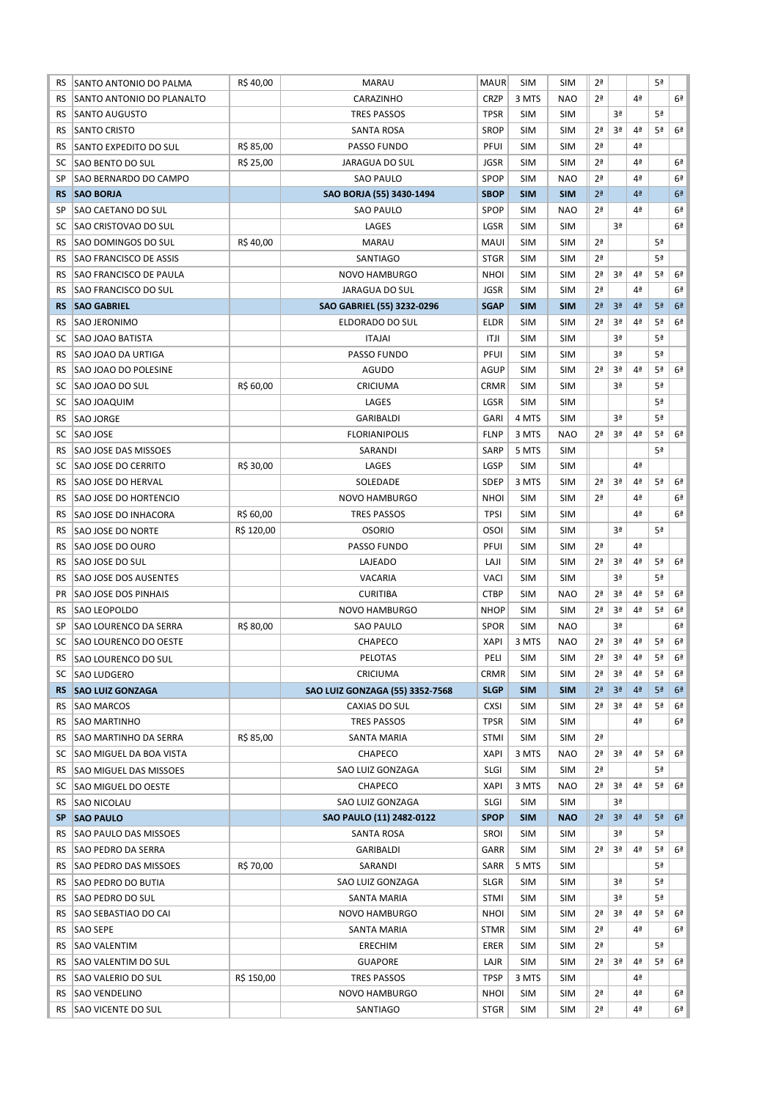| RS        | SANTO ANTONIO DO PALMA                           | R\$40,00   | <b>MARAU</b>                    | <b>MAUR</b> | <b>SIM</b> | <b>SIM</b> | 2 <sup>a</sup> |                |                | 5ª             |                |
|-----------|--------------------------------------------------|------------|---------------------------------|-------------|------------|------------|----------------|----------------|----------------|----------------|----------------|
| RS        | SANTO ANTONIO DO PLANALTO                        |            | CARAZINHO                       | <b>CRZP</b> | 3 MTS      | <b>NAO</b> | 2 <sup>a</sup> |                | 4ª             |                | 6 <sup>a</sup> |
| RS        | <b>SANTO AUGUSTO</b>                             |            | <b>TRES PASSOS</b>              | <b>TPSR</b> | <b>SIM</b> | <b>SIM</b> |                | 3ª             |                | 5ª             |                |
| RS        | <b>SANTO CRISTO</b>                              |            | <b>SANTA ROSA</b>               | <b>SROP</b> | <b>SIM</b> | <b>SIM</b> | 2 <sup>a</sup> | 3ª             | 4ª             | 5ª             | 6 <sup>a</sup> |
| RS        | SANTO EXPEDITO DO SUL                            | R\$ 85,00  | PASSO FUNDO                     | <b>PFUI</b> | <b>SIM</b> | <b>SIM</b> | 2 <sup>a</sup> |                | 4ª             |                |                |
| SC        |                                                  | R\$ 25,00  | <b>JARAGUA DO SUL</b>           | <b>JGSR</b> | <b>SIM</b> | <b>SIM</b> | 2 <sup>a</sup> |                | 4ª             |                | 6 <sup>a</sup> |
| SP        | <b>SAO BENTO DO SUL</b><br>SAO BERNARDO DO CAMPO |            | <b>SAO PAULO</b>                | SPOP        | <b>SIM</b> | <b>NAO</b> | 2 <sup>a</sup> |                | 4ª             |                | 6 <sup>a</sup> |
|           |                                                  |            |                                 |             |            |            |                |                |                |                |                |
| <b>RS</b> | <b>SAO BORJA</b>                                 |            | SAO BORJA (55) 3430-1494        | <b>SBOP</b> | <b>SIM</b> | <b>SIM</b> | 2 <sup>a</sup> |                | 4 <sup>2</sup> |                | 6 <sup>a</sup> |
| SP        | SAO CAETANO DO SUL                               |            | <b>SAO PAULO</b>                | <b>SPOP</b> | <b>SIM</b> | <b>NAO</b> | 2 <sup>a</sup> |                | 4ª             |                | 6 <sup>a</sup> |
| SC        | <b>SAO CRISTOVAO DO SUL</b>                      |            | LAGES                           | LGSR        | <b>SIM</b> | <b>SIM</b> |                | 3ª             |                |                | 6 <sup>a</sup> |
| RS        | <b>SAO DOMINGOS DO SUL</b>                       | R\$40,00   | <b>MARAU</b>                    | <b>MAUI</b> | <b>SIM</b> | <b>SIM</b> | 2 <sup>a</sup> |                |                | 5ª             |                |
| <b>RS</b> | <b>SAO FRANCISCO DE ASSIS</b>                    |            | SANTIAGO                        | <b>STGR</b> | <b>SIM</b> | <b>SIM</b> | 2 <sup>a</sup> |                |                | 5ª             |                |
| <b>RS</b> | <b>SAO FRANCISCO DE PAULA</b>                    |            | <b>NOVO HAMBURGO</b>            | <b>NHOI</b> | <b>SIM</b> | <b>SIM</b> | 2 <sup>a</sup> | 3 <sup>a</sup> | 4ª             | 5ª             | 6ª             |
| <b>RS</b> | SAO FRANCISCO DO SUL                             |            | JARAGUA DO SUL                  | <b>JGSR</b> | <b>SIM</b> | <b>SIM</b> | 2 <sup>a</sup> |                | 4ª             |                | 6 <sup>a</sup> |
| <b>RS</b> | <b>SAO GABRIEL</b>                               |            | SAO GABRIEL (55) 3232-0296      | <b>SGAP</b> | <b>SIM</b> | <b>SIM</b> | 2 <sup>a</sup> | 3 <sup>a</sup> | 4 <sup>2</sup> | 5 <sup>a</sup> | 6 <sup>2</sup> |
| RS        | SAO JERONIMO                                     |            | ELDORADO DO SUL                 | <b>ELDR</b> | <b>SIM</b> | <b>SIM</b> | 2 <sup>a</sup> | 3ª             | 4ª             | 5ª             | 6 <sup>a</sup> |
| SC        | <b>SAO JOAO BATISTA</b>                          |            | <b>ITAJAI</b>                   | ITJI        | <b>SIM</b> | <b>SIM</b> |                | 3ª             |                | 5ª             |                |
| <b>RS</b> | SAO JOAO DA URTIGA                               |            | PASSO FUNDO                     | PFUI        | <b>SIM</b> | <b>SIM</b> |                | 3ª             |                | 5ª             |                |
| <b>RS</b> | <b>SAO JOAO DO POLESINE</b>                      |            | AGUDO                           | <b>AGUP</b> | <b>SIM</b> | <b>SIM</b> | 2 <sup>a</sup> | 3ª             | 4ª             | 5ª             | 6 <sup>a</sup> |
| SC        | SAO JOAO DO SUL                                  | R\$ 60,00  | CRICIUMA                        | <b>CRMR</b> | <b>SIM</b> | <b>SIM</b> |                | 3ª             |                | 5ª             |                |
| SC        | SAO JOAQUIM                                      |            | LAGES                           | LGSR        | <b>SIM</b> | <b>SIM</b> |                |                |                | 5ª             |                |
| RS        | <b>SAO JORGE</b>                                 |            | GARIBALDI                       | <b>GARI</b> | 4 MTS      | <b>SIM</b> |                | 3ª             |                | 5ª             |                |
| SC        | SAO JOSE                                         |            | <b>FLORIANIPOLIS</b>            | <b>FLNP</b> | 3 MTS      | <b>NAO</b> | 2 <sup>a</sup> | 3ª             | 4ª             | 5ª             | 6 <sup>a</sup> |
| <b>RS</b> | <b>SAO JOSE DAS MISSOES</b>                      |            | SARANDI                         | <b>SARP</b> | 5 MTS      | <b>SIM</b> |                |                |                | 5ª             |                |
| SC        | <b>SAO JOSE DO CERRITO</b>                       | R\$ 30,00  | LAGES                           | LGSP        | <b>SIM</b> | <b>SIM</b> |                |                | 4ª             |                |                |
| RS        | SAO JOSE DO HERVAL                               |            | SOLEDADE                        | SDEP        | 3 MTS      | <b>SIM</b> | 2 <sup>a</sup> | 3ª             | 4ª             | 5ª             | 6 <sup>2</sup> |
| RS        | <b>SAO JOSE DO HORTENCIO</b>                     |            | <b>NOVO HAMBURGO</b>            | <b>NHOI</b> | <b>SIM</b> | <b>SIM</b> | 2ª             |                | 4ª             |                | 6ª             |
| RS.       | <b>SAO JOSE DO INHACORA</b>                      | R\$ 60,00  | <b>TRES PASSOS</b>              | <b>TPSI</b> | <b>SIM</b> | <b>SIM</b> |                |                | 4ª             |                | 6 <sup>a</sup> |
| RS        | SAO JOSE DO NORTE                                | R\$ 120,00 | <b>OSORIO</b>                   | <b>OSOI</b> | <b>SIM</b> | <b>SIM</b> |                | 3ª             |                | 5ª             |                |
| <b>RS</b> | <b>SAO JOSE DO OURO</b>                          |            | PASSO FUNDO                     | PFUI        | <b>SIM</b> | <b>SIM</b> | 2 <sup>a</sup> |                | 4ª             |                |                |
| <b>RS</b> | <b>SAO JOSE DO SUL</b>                           |            | LAJEADO                         | LAJI        | <b>SIM</b> | <b>SIM</b> | 2 <sup>a</sup> | 3ª             | 4ª             | 5ª             | 6 <sup>a</sup> |
| <b>RS</b> | SAO JOSE DOS AUSENTES                            |            |                                 |             | <b>SIM</b> | <b>SIM</b> |                | 3ª             |                | 5ª             |                |
|           | <b>SAO JOSE DOS PINHAIS</b>                      |            | VACARIA                         | VACI        |            |            | 2 <sup>a</sup> | 3ª             | 4ª             | 5ª             | 6 <sup>a</sup> |
| PR        |                                                  |            | <b>CURITIBA</b>                 | <b>CTBP</b> | <b>SIM</b> | <b>NAO</b> |                |                |                |                |                |
| RS        | <b>SAO LEOPOLDO</b>                              |            | <b>NOVO HAMBURGO</b>            | <b>NHOP</b> | <b>SIM</b> | <b>SIM</b> | 2 <sup>a</sup> | 3ª             | 4ª             | 5ª             | 6ª             |
| SP        | SAO LOURENCO DA SERRA                            | R\$ 80,00  | <b>SAO PAULO</b>                | <b>SPOR</b> | <b>SIM</b> | <b>NAO</b> |                | 3ª             |                |                | 6ª             |
| SC        | <b>SAO LOURENCO DO OESTE</b>                     |            | CHAPECO                         | <b>XAPI</b> | 3 MTS      | <b>NAO</b> | 2 <sup>a</sup> | 3 <sup>a</sup> | 4ª             | 5ª             | 6 <sup>a</sup> |
| RS        | <b>SAO LOURENCO DO SUL</b>                       |            | PELOTAS                         | PELI        | <b>SIM</b> | <b>SIM</b> | 2 <sup>a</sup> | 3ª             | 4ª             | 5ª             | 6 <sup>a</sup> |
| SC        | <b>SAO LUDGERO</b>                               |            | CRICIUMA                        | <b>CRMR</b> | SIM        | <b>SIM</b> | 2ª             | 3ª             | 4ª             | 5ª             | 6ª             |
| <b>RS</b> | <b>SAO LUIZ GONZAGA</b>                          |            | SAO LUIZ GONZAGA (55) 3352-7568 | <b>SLGP</b> | <b>SIM</b> | <b>SIM</b> | 2 <sup>a</sup> | 3 <sup>a</sup> | 4 <sup>2</sup> | 5 <sup>a</sup> | 6 <sup>2</sup> |
| RS        | <b>SAO MARCOS</b>                                |            | CAXIAS DO SUL                   | <b>CXSI</b> | <b>SIM</b> | <b>SIM</b> | 2ª             | 3ª             | 4 <sup>a</sup> | 5ª             | 6ª             |
| RS        | <b>SAO MARTINHO</b>                              |            | <b>TRES PASSOS</b>              | <b>TPSR</b> | <b>SIM</b> | <b>SIM</b> |                |                | 4ª             |                | 6ª             |
| RS        | <b>SAO MARTINHO DA SERRA</b>                     | R\$ 85,00  | SANTA MARIA                     | <b>STMI</b> | <b>SIM</b> | <b>SIM</b> | 2ª             |                |                |                |                |
| SC        | SAO MIGUEL DA BOA VISTA                          |            | CHAPECO                         | <b>XAPI</b> | 3 MTS      | <b>NAO</b> | 2 <sup>a</sup> | 3ª             | 4ª             | 5ª             | 6 <sup>a</sup> |
| RS        | SAO MIGUEL DAS MISSOES                           |            | SAO LUIZ GONZAGA                | <b>SLGI</b> | SIM        | <b>SIM</b> | 2ª             |                |                | 5ª             |                |
| SC        | SAO MIGUEL DO OESTE                              |            | CHAPECO                         | XAPI        | 3 MTS      | <b>NAO</b> | 2 <sup>a</sup> | 3ª             | 4ª             | 5ª             | 6 <sup>a</sup> |
| RS        | SAO NICOLAU                                      |            | SAO LUIZ GONZAGA                | <b>SLGI</b> | <b>SIM</b> | <b>SIM</b> |                | 3ª             |                |                |                |
| SP.       | <b>SAO PAULO</b>                                 |            | SAO PAULO (11) 2482-0122        | <b>SPOP</b> | <b>SIM</b> | <b>NAO</b> | 2 <sup>a</sup> | 3 <sup>a</sup> | 4 <sup>a</sup> | 5 <sup>a</sup> | 6 <sup>2</sup> |
| RS        | SAO PAULO DAS MISSOES                            |            | SANTA ROSA                      | SROI        | <b>SIM</b> | <b>SIM</b> |                | 3ª             |                | 5ª             |                |
| RS.       | <b>SAO PEDRO DA SERRA</b>                        |            | GARIBALDI                       | GARR        | <b>SIM</b> | <b>SIM</b> | 2ª             | 3ª             | 4ª             | 5ª             | 6 <sup>a</sup> |
| RS.       | SAO PEDRO DAS MISSOES                            | R\$ 70,00  | SARANDI                         | SARR        | 5 MTS      | <b>SIM</b> |                |                |                | 5ª             |                |
| RS        | <b>SAO PEDRO DO BUTIA</b>                        |            | SAO LUIZ GONZAGA                | <b>SLGR</b> | <b>SIM</b> | <b>SIM</b> |                | 3ª             |                | 5ª             |                |
| RS.       | SAO PEDRO DO SUL                                 |            | SANTA MARIA                     | <b>STMI</b> | <b>SIM</b> | <b>SIM</b> |                | 3ª             |                | 5ª             |                |
| RS        | SAO SEBASTIAO DO CAI                             |            | <b>NOVO HAMBURGO</b>            | <b>NHOI</b> | SIM        | <b>SIM</b> | 2ª             | 3ª             | 4ª             | 5ª             | 6ª             |
| RS.       | SAO SEPE                                         |            | SANTA MARIA                     | <b>STMR</b> | SIM        | <b>SIM</b> | 2ª             |                | 4ª             |                | 6ª             |
| RS.       | SAO VALENTIM                                     |            | ERECHIM                         | ERER        | SIM        | <b>SIM</b> | 2ª             |                |                | 5ª             |                |
| RS.       | SAO VALENTIM DO SUL                              |            | <b>GUAPORE</b>                  | LAJR        | <b>SIM</b> | <b>SIM</b> | 2ª             | 3ª             | 4ª             | 5ª             | 6ª             |
| RS.       | SAO VALERIO DO SUL                               | R\$ 150,00 | TRES PASSOS                     | TPSP        | 3 MTS      | <b>SIM</b> |                |                | 4ª             |                |                |
| RS        | SAO VENDELINO                                    |            | NOVO HAMBURGO                   | <b>NHOI</b> | <b>SIM</b> | <b>SIM</b> | 2ª             |                | 4ª             |                | 6ª             |
| RS        | <b>SAO VICENTE DO SUL</b>                        |            | SANTIAGO                        | <b>STGR</b> | SIM        | <b>SIM</b> | 2ª             |                | 4ª             |                | 6ª             |
|           |                                                  |            |                                 |             |            |            |                |                |                |                |                |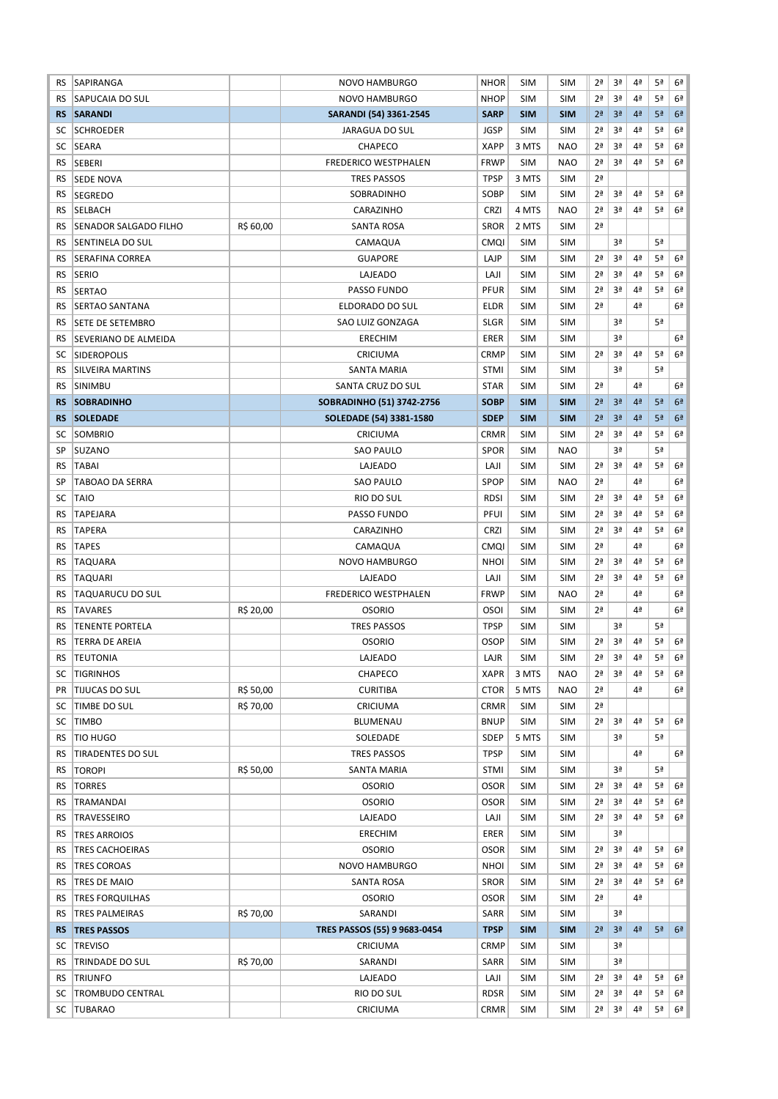| RS        | SAPIRANGA                |           | <b>NOVO HAMBURGO</b>         | <b>NHOR</b> | <b>SIM</b> | <b>SIM</b> | 2ª             | 3ª             | 4ª             | 5ª             | 6ª             |
|-----------|--------------------------|-----------|------------------------------|-------------|------------|------------|----------------|----------------|----------------|----------------|----------------|
| <b>RS</b> | SAPUCAIA DO SUL          |           | NOVO HAMBURGO                | <b>NHOP</b> | <b>SIM</b> | <b>SIM</b> | 2 <sup>a</sup> | 3ª             | 4ª             | 5ª             | 6ª             |
| <b>RS</b> | <b>SARANDI</b>           |           | SARANDI (54) 3361-2545       | <b>SARP</b> | <b>SIM</b> | <b>SIM</b> | 2 <sup>a</sup> | 3 <sup>a</sup> | 4 <sup>2</sup> | 5 <sup>a</sup> | 6 <sup>2</sup> |
| SC        | <b>SCHROEDER</b>         |           | JARAGUA DO SUL               | <b>JGSP</b> | <b>SIM</b> | <b>SIM</b> | 2 <sup>a</sup> | 3ª             | 4ª             | 5ª             | 6ª             |
| SC        | <b>SEARA</b>             |           | CHAPECO                      | <b>XAPP</b> | 3 MTS      | <b>NAO</b> | 2ª             | 3ª             | 4ª             | 5ª             | 6ª             |
| <b>RS</b> | SEBERI                   |           | <b>FREDERICO WESTPHALEN</b>  | <b>FRWP</b> | <b>SIM</b> | <b>NAO</b> | 2 <sup>a</sup> | 3ª             | 4ª             | 5ª             | 6 <sup>a</sup> |
| RS        | <b>SEDE NOVA</b>         |           | <b>TRES PASSOS</b>           | <b>TPSP</b> | 3 MTS      | <b>SIM</b> | 2 <sup>a</sup> |                |                |                |                |
| RS        | <b>SEGREDO</b>           |           | SOBRADINHO                   | SOBP        | <b>SIM</b> | <b>SIM</b> | 2 <sup>a</sup> | 3ª             | 4ª             | 5ª             | 6 <sup>a</sup> |
| RS        | <b>SELBACH</b>           |           | CARAZINHO                    | <b>CRZI</b> | 4 MTS      | <b>NAO</b> | 2 <sup>a</sup> | 3ª             | 4ª             | 5ª             | 6 <sup>a</sup> |
| RS        | SENADOR SALGADO FILHO    | R\$ 60,00 | <b>SANTA ROSA</b>            | <b>SROR</b> | 2 MTS      | <b>SIM</b> | 2 <sup>a</sup> |                |                |                |                |
| RS        | <b>SENTINELA DO SUL</b>  |           | CAMAQUA                      | <b>CMQI</b> | <b>SIM</b> | <b>SIM</b> |                | 3ª             |                | 5ª             |                |
| <b>RS</b> | <b>SERAFINA CORREA</b>   |           | <b>GUAPORE</b>               | LAJP        | <b>SIM</b> | <b>SIM</b> | 2 <sup>a</sup> | 3ª             | 4ª             | 5ª             | 6 <sup>a</sup> |
| <b>RS</b> | <b>SERIO</b>             |           | LAJEADO                      | LAJI        | <b>SIM</b> | <b>SIM</b> | 2 <sup>a</sup> | 3ª             | 4ª             | 5ª             | 6 <sup>a</sup> |
|           |                          |           |                              | PFUR        |            |            |                | 3ª             |                |                |                |
| RS        | <b>SERTAO</b>            |           | PASSO FUNDO                  |             | <b>SIM</b> | <b>SIM</b> | 2 <sup>a</sup> |                | 4ª             | 5ª             | 6ª             |
| RS        | SERTAO SANTANA           |           | ELDORADO DO SUL              | <b>ELDR</b> | <b>SIM</b> | <b>SIM</b> | 2 <sup>a</sup> |                | 4ª             |                | 6 <sup>a</sup> |
| RS        | SETE DE SETEMBRO         |           | SAO LUIZ GONZAGA             | <b>SLGR</b> | <b>SIM</b> | <b>SIM</b> |                | 3ª             |                | 5ª             |                |
| RS        | SEVERIANO DE ALMEIDA     |           | <b>ERECHIM</b>               | ERER        | <b>SIM</b> | <b>SIM</b> |                | 3ª             |                |                | 6 <sup>a</sup> |
| SC        | <b>SIDEROPOLIS</b>       |           | CRICIUMA                     | <b>CRMP</b> | <b>SIM</b> | <b>SIM</b> | 2 <sup>a</sup> | 3ª             | 4ª             | 5ª             | 6 <sup>a</sup> |
| <b>RS</b> | <b>SILVEIRA MARTINS</b>  |           | <b>SANTA MARIA</b>           | <b>STMI</b> | <b>SIM</b> | <b>SIM</b> |                | 3ª             |                | 5ª             |                |
| <b>RS</b> | <b>SINIMBU</b>           |           | SANTA CRUZ DO SUL            | <b>STAR</b> | <b>SIM</b> | <b>SIM</b> | 2 <sup>a</sup> |                | 4ª             |                | 6 <sup>a</sup> |
| <b>RS</b> | <b>SOBRADINHO</b>        |           | SOBRADINHO (51) 3742-2756    | <b>SOBP</b> | <b>SIM</b> | <b>SIM</b> | 2 <sup>a</sup> | 3 <sup>a</sup> | 4 <sup>2</sup> | 5 <sup>a</sup> | 6 <sup>2</sup> |
| <b>RS</b> | <b>SOLEDADE</b>          |           | SOLEDADE (54) 3381-1580      | <b>SDEP</b> | <b>SIM</b> | <b>SIM</b> | 2 <sup>a</sup> | 3 <sup>a</sup> | 4 <sup>2</sup> | 5 <sup>a</sup> | 6 <sup>2</sup> |
| SC        | SOMBRIO                  |           | CRICIUMA                     | <b>CRMR</b> | <b>SIM</b> | <b>SIM</b> | 2 <sup>a</sup> | 3ª             | 4ª             | 5ª             | 6 <sup>a</sup> |
| SP        | <b>SUZANO</b>            |           | <b>SAO PAULO</b>             | <b>SPOR</b> | <b>SIM</b> | <b>NAO</b> |                | 3ª             |                | 5ª             |                |
| <b>RS</b> | <b>TABAI</b>             |           | LAJEADO                      | LAJI        | <b>SIM</b> | <b>SIM</b> | 2 <sup>a</sup> | 3ª             | 4ª             | 5ª             | 6 <sup>a</sup> |
| SP        | <b>TABOAO DA SERRA</b>   |           | <b>SAO PAULO</b>             | SPOP        | <b>SIM</b> | <b>NAO</b> | 2 <sup>a</sup> |                | 4ª             |                | 6 <sup>a</sup> |
| SC        | <b>TAIO</b>              |           | RIO DO SUL                   | <b>RDSI</b> | <b>SIM</b> | <b>SIM</b> | 2 <sup>a</sup> | 3ª             | 4ª             | 5ª             | 6ª             |
| RS        | <b>TAPEJARA</b>          |           | PASSO FUNDO                  | PFUI        | <b>SIM</b> | <b>SIM</b> | 2 <sup>a</sup> | 3ª             | 4ª             | 5ª             | 6ª             |
| RS        | <b>TAPERA</b>            |           | CARAZINHO                    | <b>CRZI</b> | <b>SIM</b> | <b>SIM</b> | 2ª             | 3ª             | 4 <sup>a</sup> | 5ª             | 6ª             |
| <b>RS</b> | <b>TAPES</b>             |           | CAMAQUA                      | CMQI        | <b>SIM</b> | <b>SIM</b> | 2 <sup>a</sup> |                | 4ª             |                | 6ª             |
| RS        | TAQUARA                  |           | NOVO HAMBURGO                | <b>NHOI</b> | <b>SIM</b> | <b>SIM</b> | 2 <sup>a</sup> | 3ª             | 4ª             | 5ª             | 6 <sup>2</sup> |
| RS        | <b>TAQUARI</b>           |           | LAJEADO                      | LAJI        | <b>SIM</b> | <b>SIM</b> | 2ª             | 3ª             | 4 <sup>a</sup> | 5ª             | 6ª             |
|           |                          |           | <b>FREDERICO WESTPHALEN</b>  | <b>FRWP</b> | <b>SIM</b> | <b>NAO</b> | 2 <sup>a</sup> |                | 4ª             |                | 6ª             |
| RS        | <b>TAQUARUCU DO SUL</b>  |           |                              |             |            |            |                |                | 4ª             |                |                |
| RS        | <b>TAVARES</b>           | R\$ 20,00 | <b>OSORIO</b>                | <b>OSOI</b> | <b>SIM</b> | <b>SIM</b> | 2 <sup>a</sup> |                |                |                | 6 <sup>a</sup> |
| RS        | <b>TENENTE PORTELA</b>   |           | <b>TRES PASSOS</b>           | <b>TPSP</b> | <b>SIM</b> | <b>SIM</b> |                | 3ª             |                | 5ª             |                |
| RS        | <b>TERRA DE AREIA</b>    |           | <b>OSORIO</b>                | <b>OSOP</b> | <b>SIM</b> | <b>SIM</b> | 2 <sup>a</sup> | 3ª             | 4ª             | 5ª             | 6ª             |
| <b>RS</b> | <b>TEUTONIA</b>          |           | LAJEADO                      | LAJR        | <b>SIM</b> | <b>SIM</b> | 2 <sup>a</sup> | 3ª             | 4ª             | 5ª             | 6 <sup>a</sup> |
| SC        | <b>TIGRINHOS</b>         |           | CHAPECO                      | <b>XAPR</b> | 3 MTS      | <b>NAO</b> | 2ª             | 3ª             | 4 <sup>a</sup> | 5ª             | 6ª             |
| PR.       | <b>TIJUCAS DO SUL</b>    | R\$ 50,00 | <b>CURITIBA</b>              | <b>CTOR</b> | 5 MTS      | <b>NAO</b> | 2 <sup>a</sup> |                | 4ª             |                | 6ª             |
| SC        | TIMBE DO SUL             | R\$ 70,00 | CRICIUMA                     | <b>CRMR</b> | SIM        | <b>SIM</b> | 2ª             |                |                |                |                |
| SC        | <b>TIMBO</b>             |           | BLUMENAU                     | <b>BNUP</b> | SIM        | <b>SIM</b> | 2ª             | 3ª             | 4ª             | 5ª             | 6 <sup>2</sup> |
| <b>RS</b> | <b>TIO HUGO</b>          |           | SOLEDADE                     | SDEP        | 5 MTS      | <b>SIM</b> |                | 3ª             |                | 5ª             |                |
| RS        | <b>TIRADENTES DO SUL</b> |           | <b>TRES PASSOS</b>           | <b>TPSP</b> | <b>SIM</b> | <b>SIM</b> |                |                | 4ª             |                | 6 <sup>2</sup> |
| RS.       | <b>TOROPI</b>            | R\$ 50,00 | <b>SANTA MARIA</b>           | <b>STMI</b> | SIM        | <b>SIM</b> |                | 3ª             |                | 5ª             |                |
| RS        | <b>TORRES</b>            |           | <b>OSORIO</b>                | <b>OSOR</b> | <b>SIM</b> | <b>SIM</b> | 2ª             | 3ª             | 4 <sup>a</sup> | 5ª             | 6ª             |
| RS        | TRAMANDAI                |           | <b>OSORIO</b>                | <b>OSOR</b> | <b>SIM</b> | <b>SIM</b> | 2ª             | 3ª             | 4 <sup>a</sup> | 5ª             | 6ª             |
| RS        | TRAVESSEIRO              |           | LAJEADO                      | LAJI        | <b>SIM</b> | <b>SIM</b> | 2ª             | 3ª             | 4ª             | 5ª             | 6ª             |
| RS.       | <b>TRES ARROIOS</b>      |           | <b>ERECHIM</b>               | ERER        | <b>SIM</b> | <b>SIM</b> |                | 3ª             |                |                |                |
| RS        | TRES CACHOEIRAS          |           | <b>OSORIO</b>                | <b>OSOR</b> | SIM        | <b>SIM</b> | 2ª             | 3ª             | 4ª             | 5ª             | 6ª             |
| <b>RS</b> | <b>TRES COROAS</b>       |           | NOVO HAMBURGO                | <b>NHOI</b> | <b>SIM</b> | <b>SIM</b> | 2ª             | 3ª             | 4ª             | 5ª             | 6ª             |
| <b>RS</b> | TRES DE MAIO             |           | SANTA ROSA                   | <b>SROR</b> | <b>SIM</b> | <b>SIM</b> | 2ª             | 3ª             | 4ª             | 5ª             | 6ª             |
| <b>RS</b> | <b>TRES FORQUILHAS</b>   |           | <b>OSORIO</b>                | <b>OSOR</b> | <b>SIM</b> | <b>SIM</b> | 2ª             |                | 4ª             |                |                |
| <b>RS</b> | <b>TRES PALMEIRAS</b>    | R\$ 70,00 | SARANDI                      | SARR        | SIM        | <b>SIM</b> |                | 3ª             |                |                |                |
| <b>RS</b> | <b>TRES PASSOS</b>       |           | TRES PASSOS (55) 9 9683-0454 | <b>TPSP</b> | <b>SIM</b> | <b>SIM</b> | 2 <sup>a</sup> | 3 <sup>a</sup> | 4ª             | 5 <sup>a</sup> | 6 <sup>2</sup> |
| SC        | <b>TREVISO</b>           |           | CRICIUMA                     | <b>CRMP</b> | <b>SIM</b> | <b>SIM</b> |                | 3ª             |                |                |                |
|           |                          | R\$ 70,00 |                              | SARR        |            | <b>SIM</b> |                | 3ª             |                |                |                |
| <b>RS</b> | TRINDADE DO SUL          |           | SARANDI                      |             | SIM        |            |                | 3ª             | 4 <sup>a</sup> | 5ª             | 6ª             |
| RS.       | <b>TRIUNFO</b>           |           | LAJEADO                      | LAJI        | SIM        | <b>SIM</b> | 2ª             |                |                |                |                |
| SC        | <b>TROMBUDO CENTRAL</b>  |           | RIO DO SUL                   | <b>RDSR</b> | SIM        | <b>SIM</b> | 2ª             | 3ª             | 4 <sup>a</sup> | 5ª             | 6ª             |
| SC        | <b>TUBARAO</b>           |           | CRICIUMA                     | <b>CRMR</b> | <b>SIM</b> | <b>SIM</b> | 2ª             | 3ª             | 4ª             | 5ª             | 6ª             |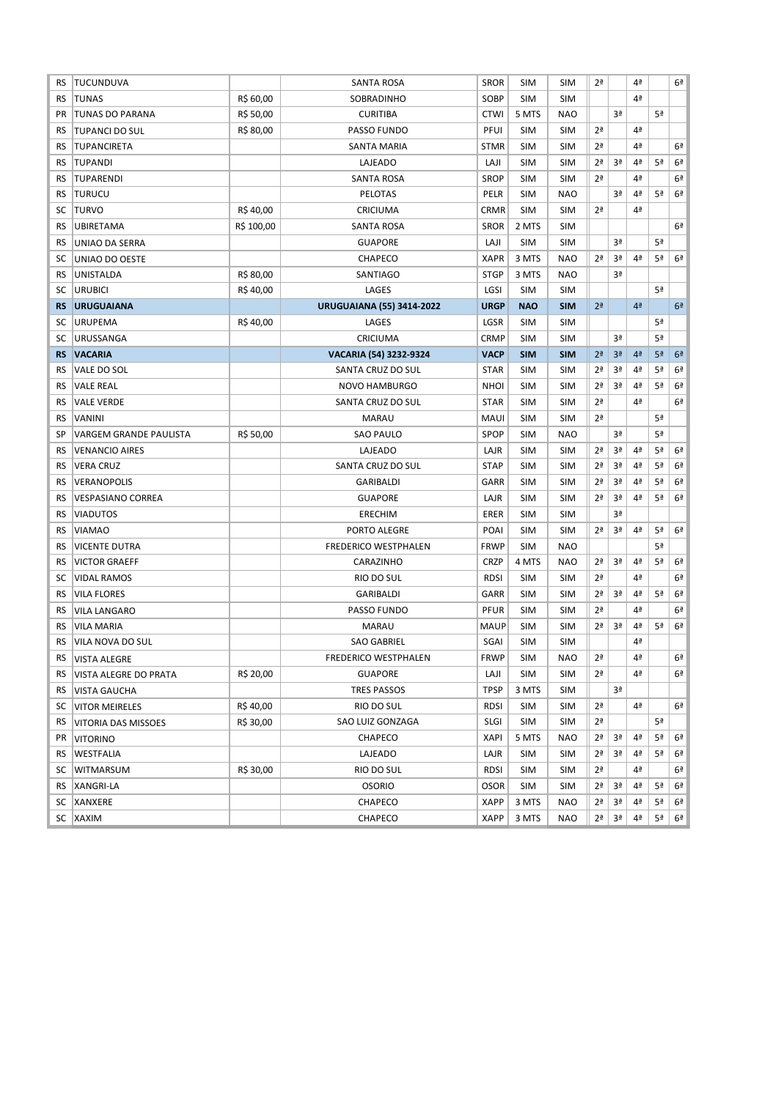| RS        | TUCUNDUVA                     |            | <b>SANTA ROSA</b>                | <b>SROR</b> | <b>SIM</b> | <b>SIM</b> | 2ª             |                | 4 <sup>a</sup> |                | 6 <sup>2</sup> |
|-----------|-------------------------------|------------|----------------------------------|-------------|------------|------------|----------------|----------------|----------------|----------------|----------------|
| RS        | <b>TUNAS</b>                  | R\$ 60,00  | SOBRADINHO                       | SOBP        | <b>SIM</b> | <b>SIM</b> |                |                | 4ª             |                |                |
| PR        | <b>TUNAS DO PARANA</b>        | R\$ 50,00  | <b>CURITIBA</b>                  | <b>CTWI</b> | 5 MTS      | <b>NAO</b> |                | 3ª             |                | 5ª             |                |
| RS        | <b>TUPANCI DO SUL</b>         | R\$ 80,00  | PASSO FUNDO                      | PFUI        | <b>SIM</b> | <b>SIM</b> | 2 <sup>a</sup> |                | 4 <sup>a</sup> |                |                |
| <b>RS</b> | <b>TUPANCIRETA</b>            |            | SANTA MARIA                      | <b>STMR</b> | <b>SIM</b> | <b>SIM</b> | 2 <sup>a</sup> |                | 4ª             |                | 6ª             |
| RS        | <b>TUPANDI</b>                |            | LAJEADO                          | LAJI        | <b>SIM</b> | <b>SIM</b> | 2 <sup>a</sup> | 3ª             | 4 <sup>a</sup> | 5ª             | 6 <sup>2</sup> |
| RS        | <b>TUPARENDI</b>              |            | SANTA ROSA                       | <b>SROP</b> | <b>SIM</b> | <b>SIM</b> | 2 <sup>a</sup> |                | 4ª             |                | 6ª             |
| RS        | <b>TURUCU</b>                 |            | PELOTAS                          | <b>PELR</b> | <b>SIM</b> | <b>NAO</b> |                | 3ª             | 4 <sup>a</sup> | 5ª             | 6 <sup>2</sup> |
| SC        | <b>TURVO</b>                  | R\$40,00   | CRICIUMA                         | <b>CRMR</b> | <b>SIM</b> | <b>SIM</b> | 2 <sup>a</sup> |                | 4 <sup>a</sup> |                |                |
| RS        | <b>UBIRETAMA</b>              | R\$ 100,00 | <b>SANTA ROSA</b>                | <b>SROR</b> | 2 MTS      | <b>SIM</b> |                |                |                |                | 6 <sup>2</sup> |
| RS        | UNIAO DA SERRA                |            | <b>GUAPORE</b>                   | LAJI        | <b>SIM</b> | <b>SIM</b> |                | 3ª             |                | 5ª             |                |
| SC        | UNIAO DO OESTE                |            | CHAPECO                          | <b>XAPR</b> | 3 MTS      | <b>NAO</b> | 2 <sup>a</sup> | 3ª             | 4 <sup>a</sup> | 5ª             | 6 <sup>a</sup> |
| RS        | UNISTALDA                     | R\$ 80,00  | SANTIAGO                         | <b>STGP</b> | 3 MTS      | <b>NAO</b> |                | 3ª             |                |                |                |
| SC        | <b>URUBICI</b>                | R\$40,00   | LAGES                            | LGSI        | <b>SIM</b> | <b>SIM</b> |                |                |                | 5ª             |                |
| <b>RS</b> | <b>URUGUAIANA</b>             |            | <b>URUGUAIANA (55) 3414-2022</b> | <b>URGP</b> | <b>NAO</b> | <b>SIM</b> | 2 <sup>a</sup> |                | 4 <sup>2</sup> |                | 6 <sup>a</sup> |
| SC        | <b>URUPEMA</b>                | R\$40,00   | LAGES                            | LGSR        | <b>SIM</b> | <b>SIM</b> |                |                |                | 5 <sup>a</sup> |                |
| SC        | <b>URUSSANGA</b>              |            | CRICIUMA                         | <b>CRMP</b> | <b>SIM</b> | <b>SIM</b> |                | 3ª             |                | 5ª             |                |
| <b>RS</b> | <b>VACARIA</b>                |            | VACARIA (54) 3232-9324           | <b>VACP</b> | <b>SIM</b> | <b>SIM</b> | 2 <sup>a</sup> | 3 <sup>a</sup> | 4 <sup>2</sup> | 5 <sup>a</sup> | 6 <sup>2</sup> |
| RS        | VALE DO SOL                   |            | SANTA CRUZ DO SUL                | <b>STAR</b> | <b>SIM</b> | <b>SIM</b> | 2ª             | 3ª             | 4 <sup>a</sup> | 5ª             | 6 <sup>2</sup> |
| RS        | <b>VALE REAL</b>              |            | NOVO HAMBURGO                    | <b>NHOI</b> | <b>SIM</b> | <b>SIM</b> | 2ª             | 3ª             | 4 <sup>a</sup> | 5ª             | 6 <sup>2</sup> |
| RS        | <b>VALE VERDE</b>             |            | SANTA CRUZ DO SUL                | <b>STAR</b> | <b>SIM</b> | <b>SIM</b> | 2 <sup>a</sup> |                | 4ª             |                | 6 <sup>a</sup> |
| RS        | VANINI                        |            | <b>MARAU</b>                     | <b>MAUI</b> | <b>SIM</b> | <b>SIM</b> | 2 <sup>a</sup> |                |                | 5 <sup>a</sup> |                |
| SP        | <b>VARGEM GRANDE PAULISTA</b> | R\$ 50,00  | <b>SAO PAULO</b>                 | SPOP        | <b>SIM</b> | <b>NAO</b> |                | 3ª             |                | 5ª             |                |
| RS        | <b>VENANCIO AIRES</b>         |            | LAJEADO                          | LAJR        | <b>SIM</b> | <b>SIM</b> | 2 <sup>a</sup> | 3ª             | 4 <sup>a</sup> | 5 <sup>a</sup> | 6 <sup>2</sup> |
| RS        | <b>VERA CRUZ</b>              |            | SANTA CRUZ DO SUL                | <b>STAP</b> | <b>SIM</b> | <b>SIM</b> | 2ª             | 3ª             | 4 <sup>a</sup> | 5ª             | 6 <sup>2</sup> |
| RS        | <b>VERANOPOLIS</b>            |            | GARIBALDI                        | GARR        | <b>SIM</b> | <b>SIM</b> | 2ª             | 3ª             | 4 <sup>a</sup> | 5 <sup>a</sup> | 6 <sup>2</sup> |
| RS        | <b>VESPASIANO CORREA</b>      |            | <b>GUAPORE</b>                   | LAJR        | <b>SIM</b> | <b>SIM</b> | 2ª             | 3ª             | 4 <sup>a</sup> | 5ª             | 6 <sup>2</sup> |
| RS        | <b>VIADUTOS</b>               |            | <b>ERECHIM</b>                   | ERER        | <b>SIM</b> | <b>SIM</b> |                | 3ª             |                |                |                |
| RS        | <b>VIAMAO</b>                 |            | PORTO ALEGRE                     | POAI        | <b>SIM</b> | <b>SIM</b> | 2 <sup>a</sup> | 3ª             | 4 <sup>a</sup> | 5 <sup>a</sup> | 6 <sup>a</sup> |
| RS        | <b>VICENTE DUTRA</b>          |            | <b>FREDERICO WESTPHALEN</b>      | <b>FRWP</b> | <b>SIM</b> | <b>NAO</b> |                |                |                | 5ª             |                |
| RS        | <b>VICTOR GRAEFF</b>          |            | CARAZINHO                        | <b>CRZP</b> | 4 MTS      | <b>NAO</b> | 2 <sup>a</sup> | 3ª             | 4 <sup>a</sup> | 5ª             | 6 <sup>2</sup> |
| SC        | <b>VIDAL RAMOS</b>            |            | RIO DO SUL                       | <b>RDSI</b> | <b>SIM</b> | <b>SIM</b> | 2 <sup>a</sup> |                | 4 <sup>a</sup> |                | 6 <sup>2</sup> |
| RS        | <b>VILA FLORES</b>            |            | GARIBALDI                        | GARR        | <b>SIM</b> | <b>SIM</b> | 2 <sup>a</sup> | 3ª             | 4 <sup>a</sup> | 5ª             | 6 <sup>2</sup> |
| RS        | <b>VILA LANGARO</b>           |            | PASSO FUNDO                      | <b>PFUR</b> | <b>SIM</b> | <b>SIM</b> | 2ª             |                | 4 <sup>a</sup> |                | 6ª             |
| <b>RS</b> | <b>VILA MARIA</b>             |            | <b>MARAU</b>                     | <b>MAUP</b> | <b>SIM</b> | <b>SIM</b> | 2 <sup>a</sup> | 3ª             | 4 <sup>a</sup> | 5ª             | 6 <sup>2</sup> |
| <b>RS</b> | VILA NOVA DO SUL              |            | <b>SAO GABRIEL</b>               | SGAI        | <b>SIM</b> | <b>SIM</b> |                |                | 4 <sup>a</sup> |                |                |
| <b>RS</b> | <b>VISTA ALEGRE</b>           |            | FREDERICO WESTPHALEN             | <b>FRWP</b> | <b>SIM</b> | <b>NAO</b> | 2 <sup>a</sup> |                | 4ª             |                | 6ª             |
| RS.       | VISTA ALEGRE DO PRATA         | R\$ 20,00  | <b>GUAPORE</b>                   | LAJI        | <b>SIM</b> | <b>SIM</b> | 2 <sup>a</sup> |                | 4ª             |                | 6 <sup>2</sup> |
| RS.       | <b>VISTA GAUCHA</b>           |            | <b>TRES PASSOS</b>               | <b>TPSP</b> | 3 MTS      | <b>SIM</b> |                | 3ª             |                |                |                |
| SC        | <b>VITOR MEIRELES</b>         | R\$40,00   | RIO DO SUL                       | <b>RDSI</b> | <b>SIM</b> | SIM        | 2ª             |                | 4 <sup>a</sup> |                | 6ª             |
| RS        | VITORIA DAS MISSOES           | R\$ 30,00  | SAO LUIZ GONZAGA                 | <b>SLGI</b> | <b>SIM</b> | <b>SIM</b> | 2 <sup>a</sup> |                |                | 5ª             |                |
| PR        | <b>VITORINO</b>               |            | CHAPECO                          | <b>XAPI</b> | 5 MTS      | <b>NAO</b> | 2 <sup>a</sup> | 3ª             | 4 <sup>a</sup> | 5ª             | 6 <sup>a</sup> |
| RS.       | WESTFALIA                     |            | LAJEADO                          | LAJR        | <b>SIM</b> | <b>SIM</b> | 2ª             | 3ª             | 4 <sup>a</sup> | 5ª             | 6ª             |
| SC        | <b>WITMARSUM</b>              | R\$ 30,00  | RIO DO SUL                       | <b>RDSI</b> | <b>SIM</b> | <b>SIM</b> | 2ª             |                | 4 <sup>a</sup> |                | 6 <sup>2</sup> |
|           | RS   XANGRI-LA                |            | <b>OSORIO</b>                    | <b>OSOR</b> | <b>SIM</b> | <b>SIM</b> | 2ª             | 3ª             | 4 <sup>a</sup> | 5ª             | 6ª             |
|           | SC XANXERE                    |            | CHAPECO                          | <b>XAPP</b> | 3 MTS      | <b>NAO</b> | 2ª             | 3ª             | 4 <sup>a</sup> | 5ª             | 6ª             |
|           | SC XAXIM                      |            | CHAPECO                          | <b>XAPP</b> | 3 MTS      | <b>NAO</b> | 2 <sup>a</sup> | Зª             | 4ª             | 5ª             | 6 <sup>a</sup> |